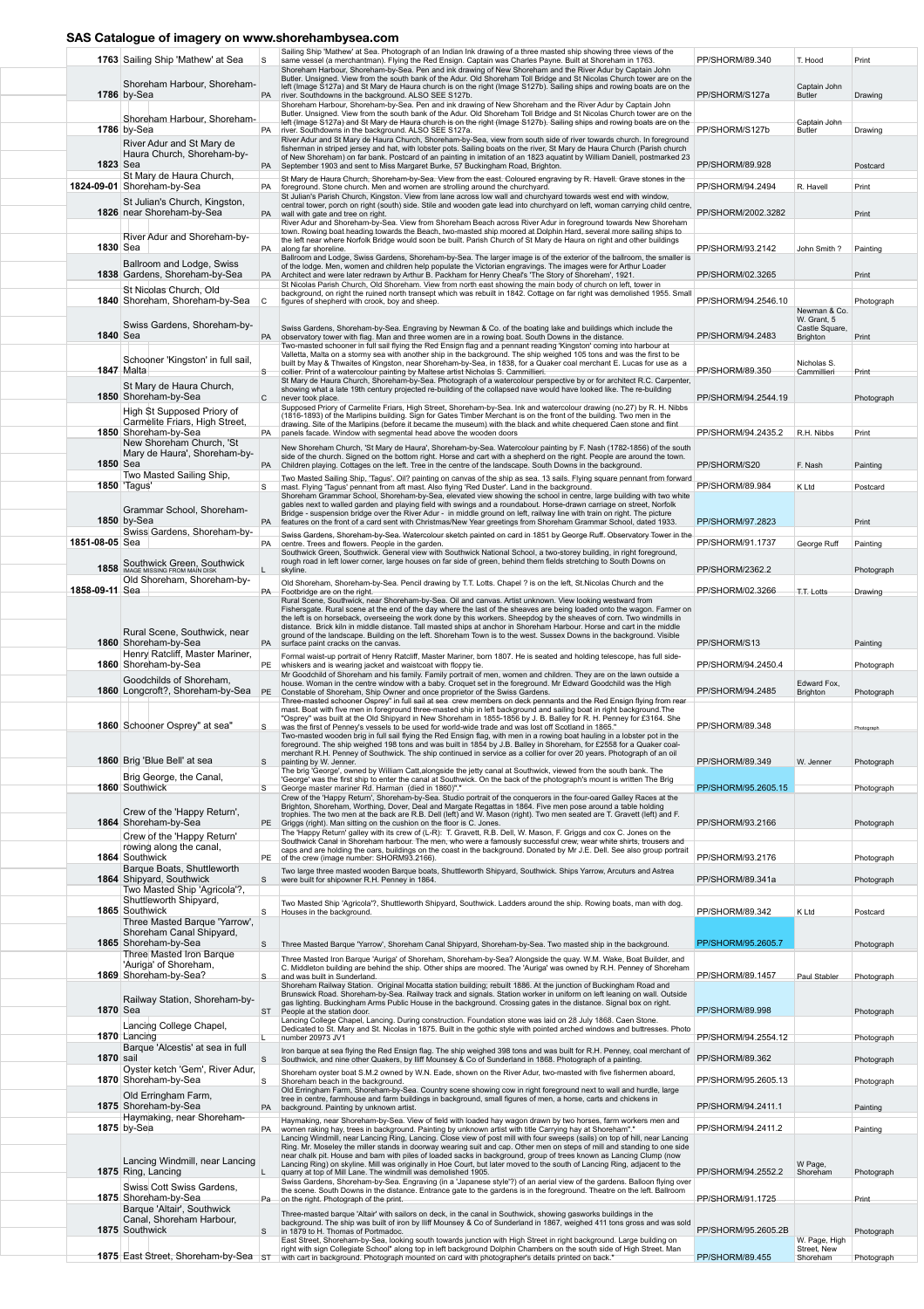## **SAS Catalogue of imagery on www.shorehambysea.com**

|                  | 1763 Sailing Ship 'Mathew' at Sea                             | S         | Sailing Ship 'Mathew' at Sea. Photograph of an Indian Ink drawing of a three masted ship showing three views of the<br>same vessel (a merchantman). Flying the Red Ensign. Captain was Charles Payne. Built at Shoreham in 1763.                                                                                                                              | PP/SHORM/89.340     | T. Hood                           | Print      |
|------------------|---------------------------------------------------------------|-----------|---------------------------------------------------------------------------------------------------------------------------------------------------------------------------------------------------------------------------------------------------------------------------------------------------------------------------------------------------------------|---------------------|-----------------------------------|------------|
|                  | Shoreham Harbour, Shoreham-                                   |           | Shoreham Harbour, Shoreham-by-Sea. Pen and ink drawing of New Shoreham and the River Adur by Captain John<br>Butler. Unsigned. View from the south bank of the Adur. Old Shoreham Toll Bridge and St Nicolas Church tower are on the                                                                                                                          |                     |                                   |            |
|                  | 1786 by-Sea                                                   | <b>PA</b> | left (Image S127a) and St Mary de Haura church is on the right (Image S127b). Sailing ships and rowing boats are on the<br>river. Southdowns in the background. ALSO SEE S127b.                                                                                                                                                                               | PP/SHORM/S127a      | Captain John<br><b>Butler</b>     | Drawing    |
|                  | Shoreham Harbour, Shoreham-                                   |           | Shoreham Harbour, Shoreham-by-Sea. Pen and ink drawing of New Shoreham and the River Adur by Captain John<br>Butler. Unsigned. View from the south bank of the Adur. Old Shoreham Toll Bridge and St Nicolas Church tower are on the                                                                                                                          |                     |                                   |            |
|                  | $1786$ by-Sea                                                 | <b>PA</b> | left (Image S127a) and St Mary de Haura church is on the right (Image S127b). Sailing ships and rowing boats are on the<br>river. Southdowns in the background. ALSO SEE S127a.                                                                                                                                                                               | PP/SHORM/S127b      | Captain John<br><b>Butler</b>     | Drawing    |
|                  | River Adur and St Mary de<br>Haura Church, Shoreham-by-       |           | River Adur and St Mary de Haura Church, Shoreham-by-Sea, view from south side of river towards church. In foreground<br>fisherman in striped jersey and hat, with lobster pots. Sailing boats on the river, St Mary de Haura Church (Parish church                                                                                                            |                     |                                   |            |
| <b>1823</b> Sea  |                                                               | <b>PA</b> | of New Shoreham) on far bank. Postcard of an painting in imitation of an 1823 aquatint by William Daniell, postmarked 23<br>September 1903 and sent to Miss Margaret Burke, 57 Buckingham Road, Brighton.                                                                                                                                                     | PP/SHORM/89.928     |                                   | Postcard   |
|                  | St Mary de Haura Church,<br>1824-09-01 Shoreham-by-Sea        | <b>PA</b> | St Mary de Haura Church, Shoreham-by-Sea. View from the east. Coloured engraving by R. Havell. Grave stones in the<br>foreground. Stone church. Men and women are strolling around the churchyard.                                                                                                                                                            | PP/SHORM/94.2494    | R. Havell                         | Print      |
|                  | St Julian's Church, Kingston,                                 |           | St Julian's Parish Church, Kingston. View from lane across low wall and churchyard towards west end with window,                                                                                                                                                                                                                                              |                     |                                   |            |
|                  | 1826 near Shoreham-by-Sea                                     |           | central tower, porch on right (south) side. Stile and wooden gate lead into churchyard on left, woman carrying child centre,<br>PA wall with gate and tree on right.                                                                                                                                                                                          | PP/SHORM/2002.3282  |                                   | Print      |
|                  | River Adur and Shoreham-by-                                   |           | River Adur and Shoreham-by-Sea. View from Shoreham Beach across River Adur in foreground towards New Shoreham<br>town. Rowing boat heading towards the Beach, two-masted ship moored at Dolphin Hard, several more sailing ships to                                                                                                                           |                     |                                   |            |
| 1830 Sea         |                                                               | PA        | the left near where Norfolk Bridge would soon be built. Parish Church of St Mary de Haura on right and other buildings<br>along far shoreline.                                                                                                                                                                                                                | PP/SHORM/93.2142    | John Smith ?                      | Painting   |
|                  | Ballroom and Lodge, Swiss<br>1838 Gardens, Shoreham-by-Sea    |           | Ballroom and Lodge, Swiss Gardens, Shoreham-by-Sea. The larger image is of the exterior of the ballroom, the smaller is<br>of the lodge. Men, women and children help populate the Victorian engravings. The images were for Arthur Loader                                                                                                                    | PP/SHORM/02.3265    |                                   |            |
|                  | St Nicolas Church, Old                                        |           | PA Architect and were later redrawn by Arthur B. Packham for Henry Cheal's 'The Story of Shoreham', 1921.<br>St Nicolas Parish Church, Old Shoreham. View from north east showing the main body of church on left, tower in                                                                                                                                   |                     |                                   | Print      |
|                  | 1840 Shoreham, Shoreham-by-Sea                                | C         | background, on right the ruined north transept which was rebuilt in 1842. Cottage on far right was demolished 1955. Small<br>figures of shepherd with crook, boy and sheep.                                                                                                                                                                                   | PP/SHORM/94.2546.10 |                                   | Photograph |
|                  | Swiss Gardens, Shoreham-by-                                   |           |                                                                                                                                                                                                                                                                                                                                                               |                     | Newman & Co.<br>W. Grant, 5       |            |
| <b>1840</b> Sea  |                                                               | PA        | Swiss Gardens, Shoreham-by-Sea. Engraving by Newman & Co. of the boating lake and buildings which include the<br>observatory tower with flag. Man and three women are in a rowing boat. South Downs in the distance.                                                                                                                                          | PP/SHORM/94.2483    | Castle Square,<br><b>Brighton</b> | Print      |
|                  | Schooner 'Kingston' in full sail,                             |           | Two-masted schooner in full sail flying the Red Ensign flag and a pennant reading 'Kingston' coming into harbour at<br>Valletta, Malta on a stormy sea with another ship in the background. The ship weighed 105 tons and was the first to be                                                                                                                 |                     |                                   |            |
|                  | 1847 Malta                                                    | S         | built by May & Thwaites of Kingston, near Shoreham-by-Sea, in 1838, for a Quaker coal merchant E. Lucas for use as a<br>collier. Print of a watercolour painting by Maltese artist Nicholas S. Cammillieri.                                                                                                                                                   | PP/SHORM/89.350     | Nicholas S.<br>Cammillieri        | Print      |
|                  | St Mary de Haura Church,                                      |           | St Mary de Haura Church, Shoreham-by-Sea. Photograph of a watercolour perspective by or for architect R.C. Carpenter,<br>showing what a late 19th century projected re-building of the collapsed nave would have looked like. The re-building                                                                                                                 |                     |                                   |            |
|                  | 1850 Shoreham-by-Sea<br>High St Supposed Priory of            | C         | never took place.<br>Supposed Priory of Carmelite Friars, High Street, Shoreham-by-Sea. Ink and watercolour drawing (no.27) by R. H. Nibbs                                                                                                                                                                                                                    | PP/SHORM/94.2544.19 |                                   | Photograph |
|                  | Carmelite Friars, High Street.                                |           | (1816-1893) of the Marlipins building. Sign for Gates Timber Merchant is on the front of the building. Two men in the<br>drawing. Site of the Marlipins (before it became the museum) with the black and white chequered Caen stone and flint                                                                                                                 |                     |                                   |            |
|                  | 1850 Shoreham-by-Sea<br>New Shoreham Church, 'St              | <b>PA</b> | panels facade. Window with segmental head above the wooden doors                                                                                                                                                                                                                                                                                              | PP/SHORM/94.2435.2  | R.H. Nibbs                        | Print      |
| 1850 Sea         | Mary de Haura', Shoreham-by-                                  | PA        | New Shoreham Church, 'St Mary de Haura', Shoreham-by-Sea. Watercolour painting by F. Nash (1782-1856) of the south<br>side of the church. Signed on the bottom right. Horse and cart with a shepherd on the right. People are around the town.<br>Children playing. Cottages on the left. Tree in the centre of the landscape. South Downs in the background. | PP/SHORM/S20        | F. Nash                           | Painting   |
|                  | Two Masted Sailing Ship,                                      |           | Two Masted Sailing Ship, 'Tagus'. Oil? painting on canvas of the ship as sea. 13 sails. Flying square pennant from forward                                                                                                                                                                                                                                    |                     |                                   |            |
|                  | 1850 Tagus'                                                   |           | mast. Flying 'Tagus' pennant from aft mast. Also flying 'Red Duster'. Land in the background.<br>Shoreham Grammar School, Shoreham-by-Sea, elevated view showing the school in centre, large building with two white                                                                                                                                          | PP/SHORM/89.984     | K Ltd                             | Postcard   |
|                  | Grammar School, Shoreham-                                     |           | gables next to walled garden and playing field with swings and a roundabout. Horse-drawn carriage on street, Norfolk<br>Bridge - suspension bridge over the River Adur - in middle ground on left, railway line with train on right. The picture                                                                                                              |                     |                                   |            |
|                  | $1850$ by-Sea<br>Swiss Gardens, Shoreham-by-                  |           | PA features on the front of a card sent with Christmas/New Year greetings from Shoreham Grammar School, dated 1933.                                                                                                                                                                                                                                           | PP/SHORM/97.2823    |                                   | Print      |
| 1851-08-05 Sea   |                                                               | <b>PA</b> | Swiss Gardens, Shoreham-by-Sea. Watercolour sketch painted on card in 1851 by George Ruff. Observatory Tower in the<br>centre. Trees and flowers. People in the garden.                                                                                                                                                                                       | PP/SHORM/91.1737    | George Ruff                       | Painting   |
|                  | <b>1858</b> Southwick Green, Southwick                        |           | Southwick Green, Southwick. General view with Southwick National School, a two-storey building, in right foreground,<br>rough road in left lower corner, large houses on far side of green, behind them fields stretching to South Downs on                                                                                                                   | PP/SHORM/2362.2     |                                   |            |
|                  | Old Shoreham, Shoreham-by-                                    |           | skyline.<br>Old Shoreham, Shoreham-by-Sea. Pencil drawing by T.T. Lotts. Chapel ? is on the left, St. Nicolas Church and the                                                                                                                                                                                                                                  |                     |                                   | Photograph |
| 1858-09-11 Sea   |                                                               | PA-       | $\blacksquare$ Footbridge are on the right.<br>Rural Scene, Southwick, near Shoreham-by-Sea. Oil and canvas. Artist unknown. View looking westward from                                                                                                                                                                                                       | PP/SHORM/02.3266    | T.T. Lotts                        | Drawing    |
|                  |                                                               |           | Fishersgate. Rural scene at the end of the day where the last of the sheaves are being loaded onto the wagon. Farmer on<br>the left is on horseback, overseeing the work done by this workers. Sheepdog by the sheaves of corn. Two windmills in                                                                                                              |                     |                                   |            |
|                  | Rural Scene, Southwick, near                                  |           | distance. Brick kiln in middle distance. Tall masted ships at anchor in Shoreham Harbour. Horse and cart in the middle<br>ground of the landscape. Building on the left. Shoreham Town is to the west. Sussex Downs in the background. Visible                                                                                                                |                     |                                   |            |
|                  | 1860 Shoreham-by-Sea<br>Henry Ratcliff, Master Mariner,       | <b>PA</b> | surface paint cracks on the canvas.                                                                                                                                                                                                                                                                                                                           | PP/SHORM/S13        |                                   | Painting   |
|                  |                                                               |           | Formal waist-up portrait of Henry Ratcliff, Master Mariner, born 1807. He is seated and holding telescope, has full side-                                                                                                                                                                                                                                     |                     |                                   |            |
|                  | 1860 Shoreham-by-Sea                                          | PE        | whiskers and is wearing jacket and waistcoat with floppy tie.                                                                                                                                                                                                                                                                                                 | PP/SHORM/94.2450.4  |                                   | Photograph |
|                  | Goodchilds of Shoreham,                                       |           | Mr Goodchild of Shoreham and his family. Family portrait of men, women and children. They are on the lawn outside a<br>house. Woman in the centre window with a baby. Croquet set in the foreground. Mr Edward Goodchild was the High                                                                                                                         |                     | Edward Fox,                       |            |
|                  | 1860 Longcroft?, Shoreham-by-Sea                              |           | PE Constable of Shoreham, Ship Owner and once proprietor of the Swiss Gardens.<br>Three-masted schooner Osprey" in full sail at sea crew members on deck pennants and the Red Ensign flying from rear                                                                                                                                                         | PP/SHORM/94.2485    | <b>Brighton</b>                   | Photograph |
|                  |                                                               |           | mast. Boat with five men in foreground three-masted ship in left background and sailing boat in right background. The<br>"Osprey" was built at the Old Shipyard in New Shoreham in 1855-1856 by J. B. Balley for R. H. Penney for £3164. She                                                                                                                  |                     |                                   |            |
|                  | 1860 Schooner Osprey" at sea"                                 | S         | was the first of Penney's vessels to be used for world-wide trade and was lost off Scotland in 1865."<br>Two-masted wooden brig in full sail flying the Red Ensign flag, with men in a rowing boat hauling in a lobster pot in the                                                                                                                            | PP/SHORM/89.348     |                                   | Photograph |
|                  |                                                               |           | foreground. The ship weighed 198 tons and was built in 1854 by J.B. Balley in Shoreham, for £2558 for a Quaker coal-<br>merchant R.H. Penney of Southwick. The ship continued in service as a collier for over 20 years. Photograph of an oil                                                                                                                 |                     |                                   |            |
|                  | 1860 Brig 'Blue Bell' at sea                                  | S         | painting by W. Jenner.<br>The brig 'George', owned by William Catt, alongside the jetty canal at Southwick, viewed from the south bank. The                                                                                                                                                                                                                   | PP/SHORM/89.349     | W. Jenner                         | Photograph |
|                  | Brig George, the Canal,<br>1860 Southwick                     |           | 'George' was the first ship to enter the canal at Southwick. On the back of the photograph's mount is written The Brig<br>George master mariner Rd. Harman (died in 1860)"."                                                                                                                                                                                  | PP/SHORM/95.2605.15 |                                   | Photograph |
|                  |                                                               |           | Crew of the 'Happy Return', Shoreham-by-Sea. Studio portrait of the conquerors in the four-oared Galley Races at the<br>Brighton, Shoreham, Worthing, Dover, Deal and Margate Regattas in 1864. Five men pose around a table holding                                                                                                                          |                     |                                   |            |
|                  | Crew of the 'Happy Return',<br>1864 Shoreham-by-Sea           |           | trophies. The two men at the back are R.B. Dell (left) and W. Mason (right). Two men seated are T. Gravett (left) and F.<br>PE Griggs (right). Man sitting on the cushion on the floor is C. Jones.                                                                                                                                                           | PP/SHORM/93.2166    |                                   | Photograph |
|                  | Crew of the 'Happy Return'                                    |           | The 'Happy Return' galley with its crew of (L-R): T. Gravett, R.B. Dell, W. Mason, F. Griggs and cox C. Jones on the<br>Southwick Canal in Shoreham harbour. The men, who were a famously successful crew, wear white shirts, trousers and                                                                                                                    |                     |                                   |            |
|                  | rowing along the canal,<br>1864 Southwick                     |           | caps and are holding the oars, buildings on the coast in the background. Donated by Mr J.E. Dell. See also group portrait<br>PE of the crew (image number: SHORM93.2166).                                                                                                                                                                                     | PP/SHORM/93.2176    |                                   | Photograph |
|                  | Barque Boats, Shuttleworth<br><b>1864</b> Shipyard, Southwick | S         | Two large three masted wooden Barque boats, Shuttleworth Shipyard, Southwick. Ships Yarrow, Arcuturs and Astrea<br>were built for shipowner R.H. Penney in 1864.                                                                                                                                                                                              | PP/SHORM/89.341a    |                                   | Photograph |
|                  | Two Masted Ship 'Agricola'?,                                  |           |                                                                                                                                                                                                                                                                                                                                                               |                     |                                   |            |
|                  | Shuttleworth Shipyard,<br>1865 Southwick                      | S         | Two Masted Ship 'Agricola'?, Shuttleworth Shipyard, Southwick. Ladders around the ship. Rowing boats, man with dog.<br>Houses in the background.                                                                                                                                                                                                              | PP/SHORM/89.342     | K Ltd                             | Postcard   |
|                  | Three Masted Barque 'Yarrow',<br>Shoreham Canal Shipyard,     |           |                                                                                                                                                                                                                                                                                                                                                               |                     |                                   |            |
|                  | 1865 Shoreham-by-Sea                                          | S         | Three Masted Barque 'Yarrow', Shoreham Canal Shipyard, Shoreham-by-Sea. Two masted ship in the background.                                                                                                                                                                                                                                                    | PP/SHORM/95.2605.7  |                                   | Photograph |
|                  | Three Masted Iron Barque<br>'Auriga' of Shoreham,             |           | Three Masted Iron Barque 'Auriga' of Shoreham, Shoreham-by-Sea? Alongside the quay. W.M. Wake, Boat Builder, and<br>C. Middleton building are behind the ship. Other ships are moored. The 'Auriga' was owned by R.H. Penney of Shoreham                                                                                                                      |                     |                                   |            |
|                  | 1869 Shoreham-by-Sea?                                         | S         | and was built in Sunderland.<br>Shoreham Railway Station. Original Mocatta station building; rebuilt 1886. At the junction of Buckingham Road and                                                                                                                                                                                                             | PP/SHORM/89.1457    | Paul Stabler                      | Photograph |
|                  | Railway Station, Shoreham-by-                                 |           | Brunswick Road. Shoreham-by-Sea. Railway track and signals. Station worker in uniform on left leaning on wall. Outside<br>gas lighting. Buckingham Arms Public House in the background. Crossing gates in the distance. Signal box on right.                                                                                                                  |                     |                                   |            |
| 1870 Sea         |                                                               | ST        | People at the station door.<br>Lancing College Chapel, Lancing. During construction. Foundation stone was laid on 28 July 1868. Caen Stone.                                                                                                                                                                                                                   | PP/SHORM/89.998     |                                   | Photograph |
|                  | Lancing College Chapel,<br>1870 Lancing                       |           | Dedicated to St. Mary and St. Nicolas in 1875. Built in the gothic style with pointed arched windows and buttresses. Photo<br>number 20973 JV1                                                                                                                                                                                                                | PP/SHORM/94.2554.12 |                                   | Photograph |
| <b>1870</b> sail | Barque 'Alcestis' at sea in full                              | S         | Iron barque at sea flying the Red Ensign flag. The ship weighed 398 tons and was built for R.H. Penney, coal merchant of                                                                                                                                                                                                                                      | PP/SHORM/89.362     |                                   |            |
|                  | Oyster ketch 'Gem', River Adur,                               |           | Southwick, and nine other Quakers, by Iliff Mounsey & Co of Sunderland in 1868. Photograph of a painting.<br>Shoreham oyster boat S.M.2 owned by W.N. Eade, shown on the River Adur, two-masted with five fishermen aboard,                                                                                                                                   |                     |                                   | Photograph |
|                  | 1870 Shoreham-by-Sea                                          | S         | Shoreham beach in the background.<br>Old Erringham Farm, Shoreham-by-Sea. Country scene showing cow in right foreground next to wall and hurdle, large                                                                                                                                                                                                        | PP/SHORM/95.2605.13 |                                   | Photograph |
|                  | Old Erringham Farm,<br>1875 Shoreham-by-Sea                   | PA        | tree in centre, farmhouse and farm buildings in background, small figures of men, a horse, carts and chickens in<br>background. Painting by unknown artist.                                                                                                                                                                                                   | PP/SHORM/94.2411.1  |                                   | Painting   |
|                  | Haymaking, near Shoreham-                                     |           | Haymaking, near Shoreham-by-Sea. View of field with loaded hay wagon drawn by two horses, farm workers men and                                                                                                                                                                                                                                                |                     |                                   |            |
|                  | $1875$ by-Sea                                                 | <b>PA</b> | women raking hay, trees in background. Painting by unknown artist with title Carrying hay at Shoreham"."<br>Lancing Windmill, near Lancing Ring, Lancing. Close view of post mill with four sweeps (sails) on top of hill, near Lancing                                                                                                                       | PP/SHORM/94.2411.2  |                                   | Painting   |
|                  | Lancing Windmill, near Lancing                                |           | Ring. Mr. Moseley the miller stands in doorway wearing suit and cap. Other men on steps of mill and standing to one side<br>near chalk pit. House and barn with piles of loaded sacks in background, group of trees known as Lancing Clump (now                                                                                                               |                     |                                   |            |
|                  | 1875 Ring, Lancing                                            |           | Lancing Ring) on skyline. Mill was originally in Hoe Court, but later moved to the south of Lancing Ring, adjacent to the<br>quarry at top of Mill Lane. The windmill was demolished 1905.                                                                                                                                                                    | PP/SHORM/94.2552.2  | W Page,<br>Shoreham               | Photograph |
|                  | Swiss Cott Swiss Gardens,                                     |           | Swiss Gardens, Shoreham-by-Sea. Engraving (in a 'Japanese style'?) of an aerial view of the gardens. Balloon flying over<br>the scene. South Downs in the distance. Entrance gate to the gardens is in the foreground. Theatre on the left. Ballroom                                                                                                          |                     |                                   |            |
|                  | 1875 Shoreham-by-Sea<br>Barque 'Altair', Southwick            |           | Pa on the right. Photograph of the print.<br>Three-masted barque 'Altair' with sailors on deck, in the canal in Southwick, showing gasworks buildings in the                                                                                                                                                                                                  | PP/SHORM/91.1725    |                                   | Print      |
|                  | Canal, Shoreham Harbour,<br>1875 Southwick                    | S.        | background. The ship was built of iron by Iliff Mounsey & Co of Sunderland in 1867, weighed 411 tons gross and was sold<br>in 1879 to H. Thomas of Portmadoc.                                                                                                                                                                                                 | PP/SHORM/95.2605.2B |                                   | Photograph |
|                  | 1875 East Street, Shoreham-by-Sea ST                          |           | East Street, Shoreham-by-Sea, looking south towards junction with High Street in right background. Large building on<br>right with sign Collegiate School" along top in left background Dolphin Chambers on the south side of High Street. Man<br>with cart in background. Photograph mounted on card with photographer's details printed on back."           | PP/SHORM/89.455     | W. Page, High<br>Street, New      |            |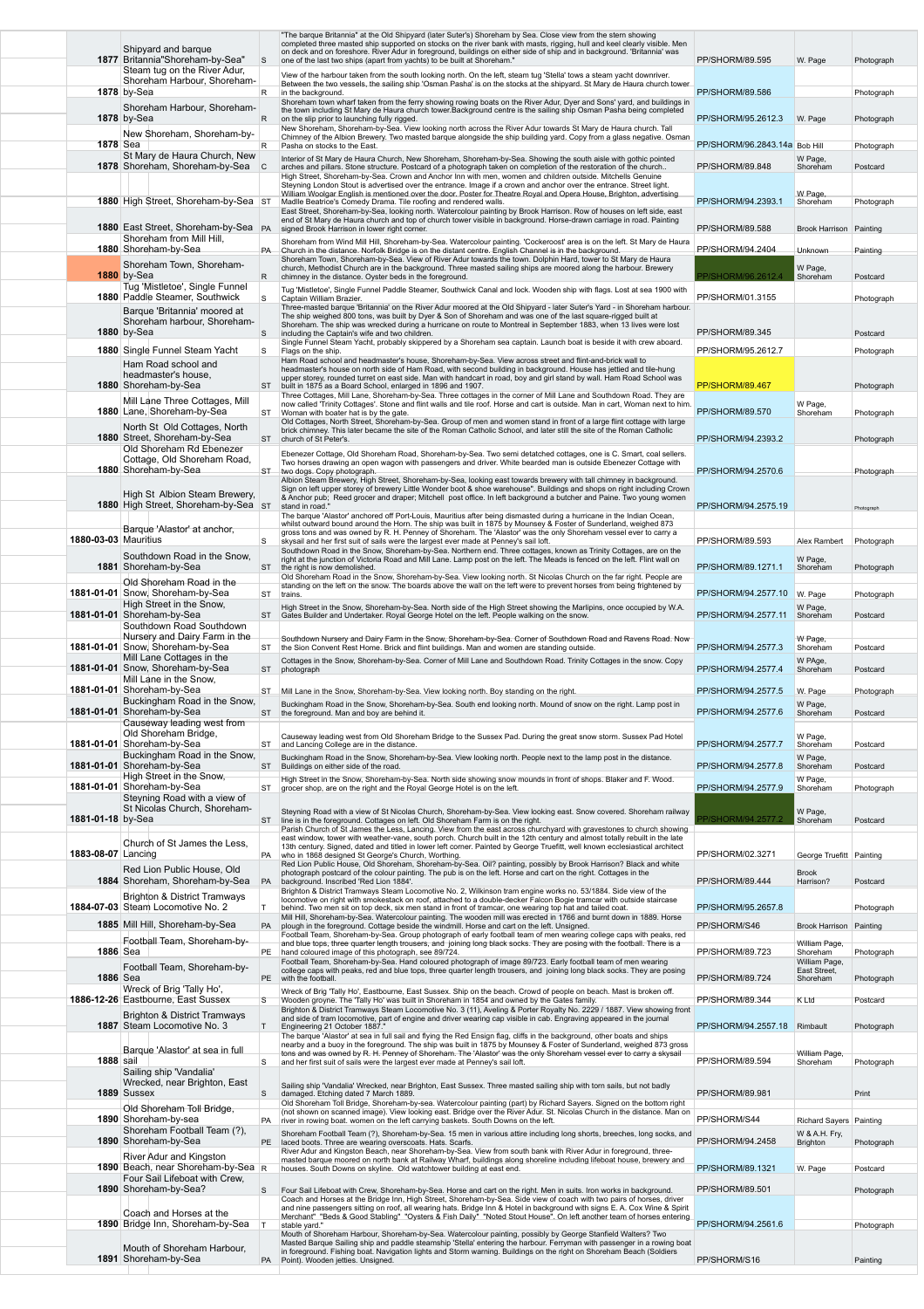|                  |                                                                              |              | "The barque Britannia" at the Old Shipyard (later Suter's) Shoreham by Sea. Close view from the stern showing                                                                                                                                        |                               |                                  |            |
|------------------|------------------------------------------------------------------------------|--------------|------------------------------------------------------------------------------------------------------------------------------------------------------------------------------------------------------------------------------------------------------|-------------------------------|----------------------------------|------------|
|                  | Shipyard and barque                                                          |              | completed three masted ship supported on stocks on the river bank with masts, rigging, hull and keel clearly visible. Men<br>on deck and on foreshore. River Adur in foreground, buildings on either side of ship and in background. 'Britannia' was |                               |                                  |            |
|                  | 1877 Britannia"Shoreham-by-Sea"<br>Steam tug on the River Adur,              | S            | one of the last two ships (apart from yachts) to be built at Shoreham."                                                                                                                                                                              | PP/SHORM/89.595               | W. Page                          | Photograph |
|                  | Shoreham Harbour, Shoreham-                                                  |              | View of the harbour taken from the south looking north. On the left, steam tug 'Stella' tows a steam yacht downriver.<br>Between the two vessels, the sailing ship 'Osman Pasha' is on the stocks at the shipyard. St Mary de Haura church tower     |                               |                                  |            |
|                  | $1878$ by-Sea                                                                | R.           | in the background.<br>Shoreham town wharf taken from the ferry showing rowing boats on the River Adur, Dyer and Sons' yard, and buildings in                                                                                                         | PP/SHORM/89.586               |                                  | Photograph |
|                  | Shoreham Harbour, Shoreham-                                                  |              | the town including St Mary de Haura church tower. Background centre is the sailing ship Osman Pasha being completed                                                                                                                                  |                               |                                  |            |
|                  | <b>1878</b> by-Sea                                                           | R.           | on the slip prior to launching fully rigged.<br>New Shoreham, Shoreham-by-Sea. View looking north across the River Adur towards St Mary de Haura church. Tall                                                                                        | PP/SHORM/95.2612.3            | W. Page                          | Photograph |
| <b>1878</b> Sea  | New Shoreham, Shoreham-by-                                                   |              | Chimney of the Albion Brewery. Two masted barque alongside the ship building yard. Copy from a glass negative. Osman<br>Pasha on stocks to the East.                                                                                                 | PP/SHORM/96.2843.14a Bob Hill |                                  | Photograph |
|                  | St Mary de Haura Church, New                                                 |              | Interior of St Mary de Haura Church, New Shoreham, Shoreham-by-Sea. Showing the south aisle with gothic pointed                                                                                                                                      |                               | W Page,                          |            |
|                  | 1878 Shoreham, Shoreham-by-Sea c                                             |              | arches and pillars. Stone structure. Postcard of a photograph taken on completion of the restoration of the church<br>High Street, Shoreham-by-Sea. Crown and Anchor Inn with men, women and children outside. Mitchells Genuine                     | PP/SHORM/89.848               | Shoreham                         | Postcard   |
|                  |                                                                              |              | Steyning London Stout is advertised over the entrance. Image if a crown and anchor over the entrance. Street light.                                                                                                                                  |                               |                                  |            |
|                  | 1880 High Street, Shoreham-by-Sea ST                                         |              | William Woolgar English is mentioned over the door. Poster for Theatre Royal and Opera House, Brighton, advertising<br>Madlle Beatrice's Comedy Drama. Tile roofing and rendered walls.                                                              | PP/SHORM/94.2393.1            | W Page,<br>Shoreham              | Photograph |
|                  |                                                                              |              | East Street, Shoreham-by-Sea, looking north. Watercolour painting by Brook Harrison. Row of houses on left side, east<br>end of St Mary de Haura church and top of church tower visible in background. Horse-drawn carriage in road. Painting        |                               |                                  |            |
|                  | 1880 East Street, Shoreham-by-Sea PA<br>Shoreham from Mill Hill,             |              | signed Brook Harrison in lower right corner.                                                                                                                                                                                                         | PP/SHORM/89.588               | Brook Harrison Painting          |            |
|                  | 1880 Shoreham-by-Sea                                                         |              | Shoreham from Wind Mill Hill, Shoreham-by-Sea. Watercolour painting. 'Cockeroost' area is on the left. St Mary de Haura<br>PA Church in the distance. Norfolk Bridge is on the distant centre. English Channel is in the background.                 | PP/SHORM/94.2404              | Unknown                          | Painting   |
|                  | Shoreham Town, Shoreham-                                                     |              | Shoreham Town, Shoreham-by-Sea. View of River Adur towards the town. Dolphin Hard, tower to St Mary de Haura<br>church, Methodist Church are in the background. Three masted sailing ships are moored along the harbour. Brewery                     |                               | W Page,                          |            |
|                  | <b>1880</b> by-Sea                                                           | R.           | chimney in the distance. Oyster beds in the foreground.                                                                                                                                                                                              | PP/SHORM/96.2612.4            | Shoreham                         | Postcard   |
|                  | Tug 'Mistletoe', Single Funnel<br>1880 Paddle Steamer, Southwick             | <sub>S</sub> | Tug 'Mistletoe', Single Funnel Paddle Steamer, Southwick Canal and lock. Wooden ship with flags. Lost at sea 1900 with<br>Captain William Brazier.                                                                                                   | PP/SHORM/01.3155              |                                  | Photograph |
|                  | Barque 'Britannia' moored at                                                 |              | Three-masted barque 'Britannia' on the River Adur moored at the Old Shipyard - later Suter's Yard - in Shoreham harbour.<br>The ship weighed 800 tons, was built by Dyer & Son of Shoreham and was one of the last square-rigged built at            |                               |                                  |            |
|                  | Shoreham harbour, Shoreham-<br>1880 by-Sea                                   |              | Shoreham. The ship was wrecked during a hurricane on route to Montreal in September 1883, when 13 lives were lost                                                                                                                                    | PP/SHORM/89.345               |                                  |            |
|                  |                                                                              | S            | including the Captain's wife and two children.<br>Single Funnel Steam Yacht, probably skippered by a Shoreham sea captain. Launch boat is beside it with crew aboard.                                                                                |                               |                                  | Postcard   |
|                  | 1880 Single Funnel Steam Yacht                                               | S.           | Flags on the ship.<br>Ham Road school and headmaster's house, Shoreham-by-Sea. View across street and flint-and-brick wall to                                                                                                                        | PP/SHORM/95.2612.7            |                                  | Photograph |
|                  | Ham Road school and<br>headmaster's house,                                   |              | headmaster's house on north side of Ham Road, with second building in background. House has jettied and tile-hung<br>upper storey, rounded turret on east side. Man with handcart in road, boy and girl stand by wall. Ham Road School was           |                               |                                  |            |
|                  | 1880 Shoreham-by-Sea                                                         |              | ST built in 1875 as a Board School, enlarged in 1896 and 1907.                                                                                                                                                                                       | <b>PP/SHORM/89.467</b>        |                                  | Photograph |
|                  | Mill Lane Three Cottages, Mill                                               |              | Three Cottages, Mill Lane, Shoreham-by-Sea. Three cottages in the corner of Mill Lane and Southdown Road. They are<br>now called 'Trinity Cottages'. Stone and flint walls and tile roof. Horse and cart is outside. Man in cart, Woman next to him. |                               | W Page,                          |            |
|                  | 1880 Lane, Shoreham-by-Sea                                                   | <b>ST</b>    | Woman with boater hat is by the gate.<br>Old Cottages, North Street, Shoreham-by-Sea. Group of men and women stand in front of a large flint cottage with large                                                                                      | PP/SHORM/89.570               | Shoreham                         | Photograph |
|                  | North St Old Cottages, North<br>1880 Street, Shoreham-by-Sea                 |              | brick chimney. This later became the site of the Roman Catholic School, and later still the site of the Roman Catholic<br>ST church of St Peter's.                                                                                                   | PP/SHORM/94.2393.2            |                                  | Photograph |
|                  | Old Shoreham Rd Ebenezer                                                     |              | Ebenezer Cottage, Old Shoreham Road, Shoreham-by-Sea. Two semi detatched cottages, one is C. Smart, coal sellers.                                                                                                                                    |                               |                                  |            |
|                  | Cottage, Old Shoreham Road,<br>1880 Shoreham-by-Sea                          | ST           | Two horses drawing an open wagon with passengers and driver. White bearded man is outside Ebenezer Cottage with<br>two dogs. Copy photograph.                                                                                                        | PP/SHORM/94.2570.6            |                                  | Photograph |
|                  |                                                                              |              | Albion Steam Brewery, High Street, Shoreham-by-Sea, looking east towards brewery with tall chimney in background.                                                                                                                                    |                               |                                  |            |
|                  | High St Albion Steam Brewery,                                                |              | Sign on left upper storey of brewery Little Wonder boot & shoe warehouse". Buildings and shops on right including Crown<br>& Anchor pub; Reed grocer and draper; Mitchell post office. In left background a butcher and Paine. Two young women       |                               |                                  |            |
|                  | 1880 High Street, Shoreham-by-Sea ST                                         |              | stand in road."<br>The barque 'Alastor' anchored off Port-Louis, Mauritius after being dismasted during a hurricane in the Indian Ocean,                                                                                                             | PP/SHORM/94.2575.19           |                                  | Photograph |
|                  | Barque 'Alastor' at anchor,                                                  |              | whilst outward bound around the Horn. The ship was built in 1875 by Mounsey & Foster of Sunderland, weighed 873<br>gross tons and was owned by R. H. Penney of Shoreham. The 'Alastor' was the only Shoreham vessel ever to carry a                  |                               |                                  |            |
|                  | 1880-03-03 Mauritius                                                         | S            | skysail and her first suit of sails were the largest ever made at Penney's sail loft.<br>Southdown Road in the Snow, Shoreham-by-Sea. Northern end. Three cottages, known as Trinity Cottages, are on the                                            | PP/SHORM/89.593               | Alex Rambert                     | Photograph |
|                  | Southdown Road in the Snow,                                                  |              | right at the junction of Victoria Road and Mill Lane. Lamp post on the left. The Meads is fenced on the left. Flint wall on                                                                                                                          |                               | W Page,                          |            |
|                  | 1881 Shoreham-by-Sea<br>Old Shoreham Road in the                             | ST           | the right is now demolished.<br>Old Shoreham Road in the Snow, Shoreham-by-Sea. View looking north. St Nicolas Church on the far right. People are                                                                                                   | PP/SHORM/89.1271.1            | Shoreham                         | Photograph |
|                  | 1881-01-01 Snow, Shoreham-by-Sea                                             | <b>ST</b>    | standing on the left on the snow. The boards above the wall on the left were to prevent horses from being frightened by<br>trains.                                                                                                                   | PP/SHORM/94.2577.10           | W. Page                          | Photograph |
|                  | High Street in the Snow,                                                     |              | High Street in the Snow, Shoreham-by-Sea. North side of the High Street showing the Marlipins, once occupied by W.A.                                                                                                                                 |                               | W Page,                          |            |
|                  | 1881-01-01 Shoreham-by-Sea<br>Southdown Road Southdown                       |              | ST Gates Builder and Undertaker. Royal George Hotel on the left. People walking on the snow.                                                                                                                                                         | PP/SHORM/94.2577.11           | Shoreham                         | Postcard   |
|                  | Nursery and Dairy Farm in the                                                |              | Southdown Nursery and Dairy Farm in the Snow, Shoreham-by-Sea. Corner of Southdown Road and Ravens Road. Now                                                                                                                                         |                               | W Page,                          |            |
|                  |                                                                              |              |                                                                                                                                                                                                                                                      |                               |                                  |            |
|                  | 1881-01-01 Snow, Shoreham-by-Sea                                             | ST           | the Sion Convent Rest Home. Brick and flint buildings. Man and women are standing outside.                                                                                                                                                           | PP/SHORM/94.2577.3            | Shoreham                         | Postcard   |
|                  | Mill Lane Cottages in the<br>1881-01-01 Snow, Shoreham-by-Sea                |              | Cottages in the Snow, Shoreham-by-Sea. Corner of Mill Lane and Southdown Road. Trinity Cottages in the snow. Copy<br>ST photograph                                                                                                                   | PP/SHORM/94.2577.4            | W PAge,<br>Shoreham              | Postcard   |
|                  | Mill Lane in the Snow,                                                       |              |                                                                                                                                                                                                                                                      |                               |                                  |            |
|                  | 1881-01-01 Shoreham-by-Sea<br>Buckingham Road in the Snow,                   |              | ST Mill Lane in the Snow, Shoreham-by-Sea. View looking north. Boy standing on the right.                                                                                                                                                            | PP/SHORM/94.2577.5            | W. Page                          | Photograph |
|                  | 1881-01-01 Shoreham-by-Sea                                                   |              | Buckingham Road in the Snow, Shoreham-by-Sea. South end looking north. Mound of snow on the right. Lamp post in<br>ST the foreground. Man and boy are behind it.                                                                                     | PP/SHORM/94.2577.6            | W Page,<br>Shoreham              | Postcard   |
|                  | Causeway leading west from                                                   |              |                                                                                                                                                                                                                                                      |                               |                                  |            |
|                  | Old Shoreham Bridge,<br>1881-01-01 Shoreham-by-Sea                           | <b>ST</b>    | Causeway leading west from Old Shoreham Bridge to the Sussex Pad. During the great snow storm. Sussex Pad Hotel<br>and Lancing College are in the distance.                                                                                          | PP/SHORM/94.2577.7            | W Page,<br>Shoreham              | Postcard   |
|                  | Buckingham Road in the Snow,                                                 |              | Buckingham Road in the Snow, Shoreham-by-Sea. View looking north. People next to the lamp post in the distance.                                                                                                                                      |                               | W Page,                          |            |
|                  | 1881-01-01 Shoreham-by-Sea<br>High Street in the Snow,                       | <b>ST</b>    | Buildings on either side of the road.<br>High Street in the Snow, Shoreham-by-Sea. North side showing snow mounds in front of shops. Blaker and F. Wood.                                                                                             | PP/SHORM/94.2577.8            | Shoreham<br>W Page,              | Postcard   |
|                  | 1881-01-01 Shoreham-by-Sea                                                   | <b>ST</b>    | grocer shop, are on the right and the Royal George Hotel is on the left.                                                                                                                                                                             | PP/SHORM/94.2577.9            | Shoreham                         | Photograph |
|                  | Steyning Road with a view of<br>St Nicolas Church, Shoreham-                 |              |                                                                                                                                                                                                                                                      |                               | W Page,                          |            |
|                  | 1881-01-18 by-Sea                                                            | <b>ST</b>    | Steyning Road with a view of St Nicolas Church, Shoreham-by-Sea. View looking east. Snow covered. Shoreham railway<br>line is in the foreground. Cottages on left. Old Shoreham Farm is on the right.                                                | PP/SHORM/94.2577.2            | Shoreham                         | Postcard   |
|                  |                                                                              |              | Parish Church of St James the Less, Lancing. View from the east across churchyard with gravestones to church showing<br>east window, tower with weather-vane, south porch. Church built in the 12th century and almost totally rebuilt in the late   |                               |                                  |            |
|                  | Church of St James the Less,<br>1883-08-07 Lancing                           | <b>PA</b>    | 13th century. Signed, dated and titled in lower left corner. Painted by George Truefitt, well known ecclesiastical architect<br>who in 1868 designed St George's Church, Worthing.                                                                   | PP/SHORM/02.3271              | George Truefitt   Painting       |            |
|                  | Red Lion Public House, Old                                                   |              | Red Lion Public House, Old Shoreham, Shoreham-by-Sea. Oil? painting, possibly by Brook Harrison? Black and white<br>photograph postcard of the colour painting. The pub is on the left. Horse and cart on the right. Cottages in the                 |                               | <b>Brook</b>                     |            |
|                  | 1884 Shoreham, Shoreham-by-Sea                                               | <b>PA</b>    | background. Inscribed 'Red Lion 1884'.<br>Brighton & District Tramways Steam Locomotive No. 2, Wilkinson tram engine works no. 53/1884. Side view of the                                                                                             | PP/SHORM/89.444               | Harrison?                        | Postcard   |
|                  | <b>Brighton &amp; District Tramways</b><br>1884-07-03 Steam Locomotive No. 2 | IT.          | locomotive on right with smokestack on roof, attached to a double-decker Falcon Bogie tramcar with outside staircase                                                                                                                                 | PP/SHORM/95.2657.8            |                                  |            |
|                  |                                                                              |              | behind. Two men sit on top deck, six men stand in front of tramcar, one wearing top hat and tailed coat.<br>Mill Hill, Shoreham-by-Sea. Watercolour painting. The wooden mill was erected in 1766 and burnt down in 1889. Horse                      |                               |                                  | Photograph |
|                  | 1885 Mill Hill, Shoreham-by-Sea                                              | <b>PA</b>    | plough in the foreground. Cottage beside the windmill. Horse and cart on the left. Unsigned.<br>Football Team, Shoreham-by-Sea. Group photograph of early football team of men wearing college caps with peaks, red                                  | PP/SHORM/S46                  | <b>Brook Harrison Painting</b>   |            |
| 1886 Sea         | Football Team, Shoreham-by-                                                  | PE.          | and blue tops, three quarter length trousers, and joining long black socks. They are posing with the football. There is a<br>hand coloured image of this photograph, see 89/724.                                                                     | PP/SHORM/89.723               | William Page,<br>Shoreham        | Photograph |
|                  | Football Team, Shoreham-by-                                                  |              | Football Team, Shoreham-by-Sea. Hand coloured photograph of image 89/723. Early football team of men wearing                                                                                                                                         |                               | William Page,<br>East Street,    |            |
| <b>1886</b> Sea  |                                                                              |              | college caps with peaks, red and blue tops, three quarter length trousers, and joining long black socks. They are posing<br>PE with the football.                                                                                                    | PP/SHORM/89.724               | Shoreham                         | Photograph |
|                  | Wreck of Brig 'Tally Ho',<br>1886-12-26 Eastbourne, East Sussex              | S.           | Wreck of Brig 'Tally Ho', Eastbourne, East Sussex. Ship on the beach. Crowd of people on beach. Mast is broken off.                                                                                                                                  | PP/SHORM/89.344               | K Ltd                            | Postcard   |
|                  | <b>Brighton &amp; District Tramways</b>                                      |              | Wooden groyne. The 'Tally Ho' was built in Shoreham in 1854 and owned by the Gates family.<br>Brighton & District Tramways Steam Locomotive No. 3 (11), Aveling & Porter Royalty No. 2229 / 1887. View showing front                                 |                               |                                  |            |
|                  | <b>1887</b> Steam Locomotive No. 3                                           | T            | and side of tram locomotive, part of engine and driver wearing cap visible in cab. Engraving appeared in the journal<br>Engineering 21 October 1887."                                                                                                | PP/SHORM/94.2557.18 Rimbault  |                                  | Photograph |
|                  |                                                                              |              | The barque 'Alastor' at sea in full sail and flying the Red Ensign flag, cliffs in the background, other boats and ships<br>nearby and a buoy in the foreground. The ship was built in 1875 by Mounsey & Foster of Sunderland, weighed 873 gross     |                               |                                  |            |
| <b>1888</b> sail | Barque 'Alastor' at sea in full                                              | S.           | tons and was owned by R. H. Penney of Shoreham. The 'Alastor' was the only Shoreham vessel ever to carry a skysail<br>and her first suit of sails were the largest ever made at Penney's sail loft.                                                  | PP/SHORM/89.594               | William Page,<br>Shoreham        | Photograph |
|                  | Sailing ship 'Vandalia'                                                      |              |                                                                                                                                                                                                                                                      |                               |                                  |            |
|                  | Wrecked, near Brighton, East<br>1889 Sussex                                  | S            | Sailing ship 'Vandalia' Wrecked, near Brighton, East Sussex. Three masted sailing ship with torn sails, but not badly<br>damaged. Etching dated 7 March 1889.                                                                                        | PP/SHORM/89.981               |                                  | Print      |
|                  | Old Shoreham Toll Bridge,                                                    |              | Old Shoreham Toll Bridge, Shoreham-by-sea. Watercolour painting (part) by Richard Sayers. Signed on the bottom right                                                                                                                                 |                               |                                  |            |
|                  | 1890 Shoreham-by-sea                                                         | PA           | (not shown on scanned image). View looking east. Bridge over the River Adur. St. Nicolas Church in the distance. Man on<br>river in rowing boat. women on the left carrying baskets. South Downs on the left.                                        | PP/SHORM/S44                  | Richard Sayers   Painting        |            |
|                  | Shoreham Football Team (?),<br>1890 Shoreham-by-Sea                          |              | Shoreham Football Team (?), Shoreham-by-Sea. 15 men in various attire including long shorts, breeches, long socks, and<br>PE laced boots. Three are wearing overscoats. Hats. Scarfs.                                                                | PP/SHORM/94.2458              | W & A.H. Fry,<br><b>Brighton</b> |            |
|                  | <b>River Adur and Kingston</b>                                               |              | River Adur and Kingston Beach, near Shoreham-by-Sea. View from south bank with River Adur in foreground, three-                                                                                                                                      |                               |                                  | Photograph |
|                  | 1890 Beach, near Shoreham-by-Sea R                                           |              | masted barque moored on north bank at Railway Wharf, buildings along shoreline including lifeboat house, brewery and<br>houses. South Downs on skyline. Old watchtower building at east end.                                                         | PP/SHORM/89.1321              | W. Page                          | Postcard   |
|                  | Four Sail Lifeboat with Crew,                                                |              |                                                                                                                                                                                                                                                      | PP/SHORM/89.501               |                                  |            |
|                  | 1890 Shoreham-by-Sea?                                                        | S.           | Four Sail Lifeboat with Crew, Shoreham-by-Sea. Horse and cart on the right. Men in suits. Iron works in background.<br>Coach and Horses at the Bridge Inn, High Street, Shoreham-by-Sea. Side view of coach with two pairs of horses, driver         |                               |                                  | Photograph |
|                  | Coach and Horses at the                                                      |              | and nine passengers sitting on roof, all wearing hats. Bridge Inn & Hotel in background with signs E. A. Cox Wine & Spirit<br>Merchant" "Beds & Good Stabling" "Oysters & Fish Daily" "Noted Stout House". On left another team of horses entering   |                               |                                  |            |
|                  | 1890 Bridge Inn, Shoreham-by-Sea                                             |              | stable yard."<br>Mouth of Shoreham Harbour, Shoreham-by-Sea. Watercolour painting, possibly by George Stanfield Walters? Two                                                                                                                         | PP/SHORM/94.2561.6            |                                  | Photograph |
|                  | Mouth of Shoreham Harbour,<br>1891 Shoreham-by-Sea                           |              | Masted Barque Sailing ship and paddle steamship 'Stella' entering the harbour. Ferryman with passenger in a rowing boat<br>in foreground. Fishing boat. Navigation lights and Storm warning. Buildings on the right on Shoreham Beach (Soldiers      | PP/SHORM/S16                  |                                  |            |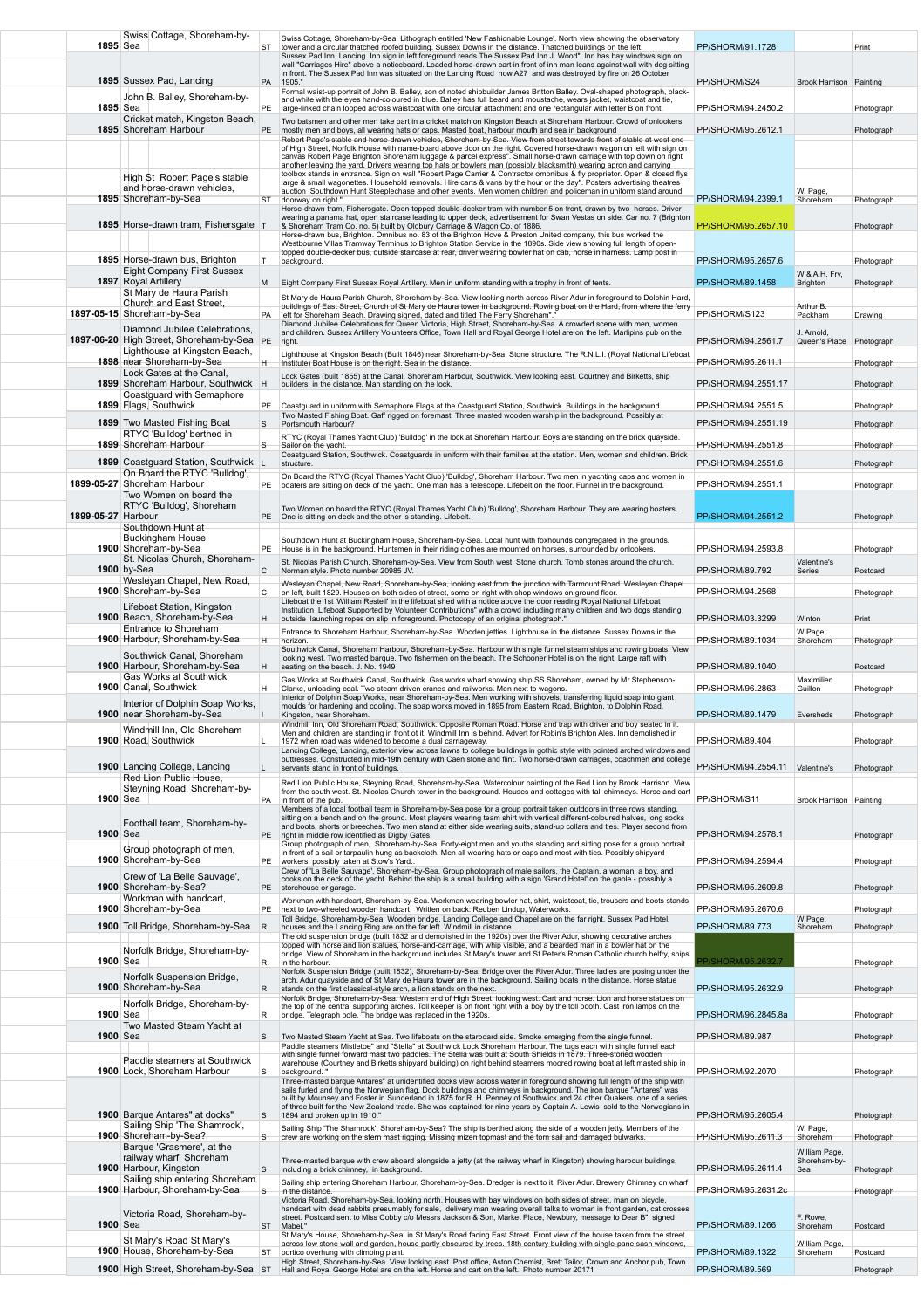| 1895 Sea           | Swiss Cottage, Shoreham-by-                                                                 | <b>ST</b>    | Swiss Cottage, Shoreham-by-Sea. Lithograph entitled 'New Fashionable Lounge'. North view showing the observatory<br>tower and a circular thatched roofed building. Sussex Downs in the distance. Thatched buildings on the left.<br>Sussex Pad Inn, Lancing. Inn sign in left foreground reads The Sussex Pad Inn J. Wood". Inn has bay windows sign on<br>wall "Carriages Hire" above a noticeboard. Loaded horse-drawn cart in front of inn man leans against wall with dog sitting                                               | PP/SHORM/91.1728                          |                                      | Print                    |
|--------------------|---------------------------------------------------------------------------------------------|--------------|-------------------------------------------------------------------------------------------------------------------------------------------------------------------------------------------------------------------------------------------------------------------------------------------------------------------------------------------------------------------------------------------------------------------------------------------------------------------------------------------------------------------------------------|-------------------------------------------|--------------------------------------|--------------------------|
|                    | 1895 Sussex Pad, Lancing                                                                    | PA           | in front. The Sussex Pad Inn was situated on the Lancing Road now A27 and was destroyed by fire on 26 October<br>1905.<br>Formal waist-up portrait of John B. Balley, son of noted shipbuilder James Britton Balley. Oval-shaped photograph, black-                                                                                                                                                                                                                                                                                 | PP/SHORM/S24                              | <b>Brook Harrison Painting</b>       |                          |
| 1895 Sea           | John B. Balley, Shoreham-by-                                                                | <b>PE</b>    | and white with the eyes hand-coloured in blue. Balley has full beard and moustache, wears jacket, waistcoat and tie,<br>large-linked chain looped across waistcoat with one circular attachment and one rectangular with letter B on front.                                                                                                                                                                                                                                                                                         | PP/SHORM/94.2450.2                        |                                      | Photograph               |
|                    | Cricket match, Kingston Beach,<br>1895 Shoreham Harbour                                     | PE.          | Two batsmen and other men take part in a cricket match on Kingston Beach at Shoreham Harbour. Crowd of onlookers,<br>mostly men and boys, all wearing hats or caps. Masted boat, harbour mouth and sea in background                                                                                                                                                                                                                                                                                                                | PP/SHORM/95.2612.1                        |                                      | Photograph               |
|                    |                                                                                             |              | Robert Page's stable and horse-drawn vehicles, Shoreham-by-Sea. View from street towards front of stable at west end<br>of High Street, Norfolk House with name-board above door on the right. Covered horse-drawn wagon on left with sign on<br>canvas Robert Page Brighton Shoreham luggage & parcel express". Small horse-drawn carriage with top down on right                                                                                                                                                                  |                                           |                                      |                          |
|                    | High St Robert Page's stable                                                                |              | another leaving the yard. Drivers wearing top hats or bowlers man (possibly blacksmith) wearing apron and carrying<br>toolbox stands in entrance. Sign on wall "Robert Page Carrier & Contractor ombnibus & fly proprietor. Open & closed flys                                                                                                                                                                                                                                                                                      |                                           |                                      |                          |
|                    | and horse-drawn vehicles,<br>1895 Shoreham-by-Sea                                           | <b>ST</b>    | large & small wagonettes. Household removals. Hire carts & vans by the hour or the day". Posters advertising theatres<br>auction Southdown Hunt Steeplechase and other events. Men women children and policeman in uniform stand around<br>doorway on right."                                                                                                                                                                                                                                                                       | PP/SHORM/94.2399.1                        | W. Page,<br>Shoreham                 | Photograph               |
|                    | 1895 Horse-drawn tram, Fishersgate T                                                        |              | Horse-drawn tram, Fishersgate. Open-topped double-decker tram with number 5 on front, drawn by two horses. Driver<br>wearing a panama hat, open staircase leading to upper deck, advertisement for Swan Vestas on side. Car no. 7 (Brighton<br>& Shoreham Tram Co. no. 5) built by Oldbury Carriage & Wagon Co. of 1886.                                                                                                                                                                                                            | PP/SHORM/95.2657.10                       |                                      | Photograph               |
|                    |                                                                                             |              | Horse-drawn bus, Brighton. Omnibus no. 83 of the Brighton Hove & Preston United company, this bus worked the<br>Westbourne Villas Tramway Terminus to Brighton Station Service in the 1890s. Side view showing full length of open-                                                                                                                                                                                                                                                                                                 |                                           |                                      |                          |
|                    | 1895 Horse-drawn bus, Brighton<br><b>Eight Company First Sussex</b>                         | T            | topped double-decker bus, outside staircase at rear, driver wearing bowler hat on cab, horse in harness. Lamp post in<br>background.                                                                                                                                                                                                                                                                                                                                                                                                | PP/SHORM/95.2657.6                        |                                      | Photograph               |
|                    | 1897 Royal Artillery<br>St Mary de Haura Parish                                             | M            | Eight Company First Sussex Royal Artillery. Men in uniform standing with a trophy in front of tents.                                                                                                                                                                                                                                                                                                                                                                                                                                | <b>PP/SHORM/89.1458</b>                   | W & A.H. Fry,<br><b>Brighton</b>     | Photograph               |
|                    | Church and East Street,<br>1897-05-15 Shoreham-by-Sea                                       | PA           | St Mary de Haura Parish Church, Shoreham-by-Sea. View looking north across River Adur in foreground to Dolphin Hard,<br>buildings of East Street, Church of St Mary de Haura tower in background. Rowing boat on the Hard, from where the ferry<br>left for Shoreham Beach. Drawing signed, dated and titled The Ferry Shoreham"."                                                                                                                                                                                                  | PP/SHORM/S123                             | Arthur B.<br>Packham                 | Drawing                  |
|                    | Diamond Jubilee Celebrations,                                                               |              | Diamond Jubilee Celebrations for Queen Victoria, High Street, Shoreham-by-Sea. A crowded scene with men, women<br>and children. Sussex Artillery Volunteers Office, Town Hall and Royal George Hotel are on the left. Marlipins pub on the                                                                                                                                                                                                                                                                                          |                                           | J. Arnold,                           |                          |
|                    | 1897-06-20 High Street, Shoreham-by-Sea PE<br>Lighthouse at Kingston Beach,                 |              | right.<br>Lighthouse at Kingston Beach (Built 1846) near Shoreham-by-Sea. Stone structure. The R.N.L.I. (Royal National Lifeboat                                                                                                                                                                                                                                                                                                                                                                                                    | PP/SHORM/94.2561.7                        | Queen's Place Photograph             |                          |
|                    | 1898 near Shoreham-by-Sea<br>Lock Gates at the Canal,<br>1899 Shoreham Harbour, Southwick H | $^{\rm H}$   | Institute) Boat House is on the right. Sea in the distance.<br>Lock Gates (built 1855) at the Canal, Shoreham Harbour, Southwick. View looking east. Courtney and Birketts, ship                                                                                                                                                                                                                                                                                                                                                    | PP/SHORM/95.2611.1<br>PP/SHORM/94.2551.17 |                                      | Photograph               |
|                    | Coastguard with Semaphore<br><b>1899</b> Flags, Southwick                                   | PE           | builders, in the distance. Man standing on the lock.                                                                                                                                                                                                                                                                                                                                                                                                                                                                                | PP/SHORM/94.2551.5                        |                                      | Photograph               |
|                    | 1899 Two Masted Fishing Boat                                                                | S            | Coastguard in uniform with Semaphore Flags at the Coastguard Station, Southwick. Buildings in the background.<br>Two Masted Fishing Boat. Gaff rigged on foremast. Three masted wooden warship in the background. Possibly at<br>Portsmouth Harbour?                                                                                                                                                                                                                                                                                | PP/SHORM/94.2551.19                       |                                      | Photograph<br>Photograph |
|                    | RTYC 'Bulldog' berthed in<br>1899 Shoreham Harbour                                          | S            | RTYC (Royal Thames Yacht Club) 'Bulldog' in the lock at Shoreham Harbour. Boys are standing on the brick quayside.<br>Sailor on the yacht.                                                                                                                                                                                                                                                                                                                                                                                          | PP/SHORM/94.2551.8                        |                                      | Photograph               |
|                    | 1899 Coastguard Station, Southwick L                                                        |              | Coastguard Station, Southwick. Coastguards in uniform with their families at the station. Men, women and children. Brick<br>structure.                                                                                                                                                                                                                                                                                                                                                                                              | PP/SHORM/94.2551.6                        |                                      | Photograph               |
|                    | On Board the RTYC 'Bulldog',<br>1899-05-27 Shoreham Harbour                                 |              | On Board the RTYC (Royal Thames Yacht Club) 'Bulldog', Shoreham Harbour. Two men in yachting caps and women in<br>boaters are sitting on deck of the yacht. One man has a telescope. Lifebelt on the floor. Funnel in the background.                                                                                                                                                                                                                                                                                               | PP/SHORM/94.2551.1                        |                                      | Photograph               |
| 1899-05-27 Harbour | Two Women on board the<br>RTYC 'Bulldog', Shoreham<br>Southdown Hunt at                     | <b>PE</b>    | Two Women on board the RTYC (Royal Thames Yacht Club) 'Bulldog', Shoreham Harbour. They are wearing boaters.<br>One is sitting on deck and the other is standing. Lifebelt.                                                                                                                                                                                                                                                                                                                                                         | PP/SHORM/94.2551.2                        |                                      | Photograph               |
|                    | Buckingham House,<br>1900 Shoreham-by-Sea                                                   | <b>PE</b>    | Southdown Hunt at Buckingham House, Shoreham-by-Sea. Local hunt with foxhounds congregated in the grounds.<br>House is in the background. Huntsmen in their riding clothes are mounted on horses, surrounded by onlookers.                                                                                                                                                                                                                                                                                                          | PP/SHORM/94.2593.8                        |                                      | Photograph               |
|                    | St. Nicolas Church, Shoreham-<br>1900 by-Sea                                                | $\mathsf{C}$ | St. Nicolas Parish Church, Shoreham-by-Sea. View from South west. Stone church. Tomb stones around the church.<br>Norman style. Photo number 20985 JV.                                                                                                                                                                                                                                                                                                                                                                              | PP/SHORM/89.792                           | Valentine's<br>Series                | Postcard                 |
|                    | Wesleyan Chapel, New Road,<br>1900 Shoreham-by-Sea                                          | $\mathsf{C}$ | Wesleyan Chapel, New Road, Shoreham-by-Sea, looking east from the junction with Tarmount Road. Wesleyan Chapel<br>on left, built 1829. Houses on both sides of street, some on right with shop windows on ground floor.                                                                                                                                                                                                                                                                                                             | PP/SHORM/94.2568                          |                                      | Photograph               |
|                    | Lifeboat Station, Kingston                                                                  |              | Lifeboat the 1st 'William Restell' in the lifeboat shed with a notice above the door reading Royal National Lifeboat<br>Institution Lifeboat Supported by Volunteer Contributions" with a crowd including many children and two dogs standing                                                                                                                                                                                                                                                                                       |                                           |                                      |                          |
|                    | 1900 Beach, Shoreham-by-Sea<br>Entrance to Shoreham<br>1900 Harbour, Shoreham-by-Sea        | H.           | outside launching ropes on slip in foreground. Photocopy of an original photograph.'<br>Entrance to Shoreham Harbour, Shoreham-by-Sea. Wooden jetties. Lighthouse in the distance. Sussex Downs in the                                                                                                                                                                                                                                                                                                                              | PP/SHORM/03.3299<br>PP/SHORM/89.1034      | Winton<br>W Page,                    | Print                    |
|                    | Southwick Canal, Shoreham                                                                   | H            | horizon.<br>Southwick Canal, Shoreham Harbour, Shoreham-by-Sea. Harbour with single funnel steam ships and rowing boats. View<br>looking west. Two masted barque. Two fishermen on the beach. The Schooner Hotel is on the right. Large raft with                                                                                                                                                                                                                                                                                   |                                           | Shoreham                             | Photograph               |
|                    | 1900 Harbour, Shoreham-by-Sea<br><b>Gas Works at Southwick</b>                              | H            | seating on the beach. J. No. 1949<br>Gas Works at Southwick Canal, Southwick. Gas works wharf showing ship SS Shoreham, owned by Mr Stephenson-                                                                                                                                                                                                                                                                                                                                                                                     | PP/SHORM/89.1040                          | Maximilien                           | Postcard                 |
|                    | 1900 Canal, Southwick<br>Interior of Dolphin Soap Works,<br>1900 near Shoreham-by-Sea       | H.           | Clarke, unloading coal. Two steam driven cranes and railworks. Men next to wagons.<br>Interior of Dolphin Soap Works, near Shoreham-by-Sea. Men working with shovels, transferring liquid soap into giant<br>moulds for hardening and cooling. The soap works moved in 1895 from Eastern Road, Brighton, to Dolphin Road,<br>Kingston, near Shoreham.                                                                                                                                                                               | PP/SHORM/96.2863<br>PP/SHORM/89.1479      | Guillon<br>Eversheds                 | Photograph<br>Photograph |
|                    | Windmill Inn, Old Shoreham<br>1900 Road, Southwick                                          |              | Windmill Inn, Old Shoreham Road, Southwick. Opposite Roman Road. Horse and trap with driver and boy seated in it.<br>Men and children are standing in front ot it. Windmill Inn is behind. Advert for Robin's Brighton Ales. Inn demolished in                                                                                                                                                                                                                                                                                      | PP/SHORM/89.404                           |                                      |                          |
|                    |                                                                                             |              | 1972 when road was widened to become a dual carriageway.<br>Lancing College, Lancing, exterior view across lawns to college buildings in gothic style with pointed arched windows and<br>buttresses. Constructed in mid-19th century with Caen stone and flint. Two horse-drawn carriages, coachmen and college                                                                                                                                                                                                                     |                                           |                                      | Photograph               |
|                    | 1900 Lancing College, Lancing<br>Red Lion Public House,                                     | L.           | servants stand in front of buildings.<br>Red Lion Public House, Steyning Road, Shoreham-by-Sea. Watercolour painting of the Red Lion by Brook Harrison. View                                                                                                                                                                                                                                                                                                                                                                        | PP/SHORM/94.2554.11                       | Valentine's                          | Photograph               |
| 1900 Sea           | Steyning Road, Shoreham-by-                                                                 | PA           | from the south west. St. Nicolas Church tower in the background. Houses and cottages with tall chimneys. Horse and cart<br>in front of the pub.                                                                                                                                                                                                                                                                                                                                                                                     | PP/SHORM/S11                              | Brook Harrison Painting              |                          |
|                    | Football team, Shoreham-by-                                                                 |              | Members of a local football team in Shoreham-by-Sea pose for a group portrait taken outdoors in three rows standing,<br>sitting on a bench and on the ground. Most players wearing team shirt with vertical different-coloured halves, long socks<br>and boots, shorts or breeches. Two men stand at either side wearing suits, stand-up collars and ties. Player second from                                                                                                                                                       |                                           |                                      |                          |
| 1900 Sea           | Group photograph of men,                                                                    | PE           | right in middle row identified as Digby Gates.<br>Group photograph of men, Shoreham-by-Sea. Forty-eight men and youths standing and sitting pose for a group portrait<br>in front of a sail or tarpaulin hung as backcloth. Men all wearing hats or caps and most with ties. Possibly shipyard                                                                                                                                                                                                                                      | PP/SHORM/94.2578.1                        |                                      | Photograph               |
|                    | 1900 Shoreham-by-Sea<br>Crew of 'La Belle Sauvage',                                         |              | PE workers, possibly taken at Stow's Yard<br>Crew of 'La Belle Sauvage', Shoreham-by-Sea. Group photograph of male sailors, the Captain, a woman, a boy, and                                                                                                                                                                                                                                                                                                                                                                        | PP/SHORM/94.2594.4                        |                                      | Photograph               |
|                    | 1900 Shoreham-by-Sea?<br>Workman with handcart,                                             |              | cooks on the deck of the yacht. Behind the ship is a small building with a sign 'Grand Hotel' on the gable - possibly a<br>PE storehouse or garage.                                                                                                                                                                                                                                                                                                                                                                                 | PP/SHORM/95.2609.8                        |                                      | Photograph               |
|                    | 1900 Shoreham-by-Sea                                                                        | <b>PE</b>    | Workman with handcart, Shoreham-by-Sea. Workman wearing bowler hat, shirt, waistcoat, tie, trousers and boots stands<br>next to two-wheeled wooden handcart. Written on back: Reuben Lindup, Waterworks.<br>Toll Bridge, Shoreham-by-Sea. Wooden bridge. Lancing College and Chapel are on the far right. Sussex Pad Hotel,                                                                                                                                                                                                         | PP/SHORM/95.2670.6                        | W Page,                              | Photograph               |
|                    | 1900 Toll Bridge, Shoreham-by-Sea                                                           | R.           | houses and the Lancing Ring are on the far left. Windmill in distance.<br>The old suspension bridge (built 1832 and demolished in the 1920s) over the River Adur, showing decorative arches<br>topped with horse and lion statues, horse-and-carriage, with whip visible, and a bearded man in a bowler hat on the                                                                                                                                                                                                                  | PP/SHORM/89.773                           | Shoreham                             | Photograph               |
| 1900 Sea           | Norfolk Bridge, Shoreham-by-<br>Norfolk Suspension Bridge,                                  | R.           | bridge. View of Shoreham in the background includes St Mary's tower and St Peter's Roman Catholic church belfry, ships<br>in the harbour.<br>Norfolk Suspension Bridge (built 1832), Shoreham-by-Sea. Bridge over the River Adur. Three ladies are posing under the                                                                                                                                                                                                                                                                 | PP/SHORM/95.2632.7                        |                                      | Photograph               |
|                    | 1900 Shoreham-by-Sea                                                                        | R.           | arch. Adur quayside and of St Mary de Haura tower are in the background. Sailing boats in the distance. Horse statue<br>stands on the first classical-style arch, a lion stands on the next.<br>Norfolk Bridge, Shoreham-by-Sea. Western end of High Street, looking west. Cart and horse. Lion and horse statues on                                                                                                                                                                                                                | PP/SHORM/95.2632.9                        |                                      | Photograph               |
| 1900 Sea           | Norfolk Bridge, Shoreham-by-                                                                | R            | the top of the central supporting arches. Toll keeper is on front right with a boy by the toll booth. Cast iron lamps on the<br>bridge. Telegraph pole. The bridge was replaced in the 1920s.                                                                                                                                                                                                                                                                                                                                       | PP/SHORM/96.2845.8a                       |                                      | Photograph               |
| 1900 Sea           | Two Masted Steam Yacht at                                                                   | S            | Two Masted Steam Yacht at Sea. Two lifeboats on the starboard side. Smoke emerging from the single funnel.<br>Paddle steamers Mistletoe" and "Stella" at Southwick Lock Shoreham Harbour. The tugs each with single funnel each<br>with single funnel forward mast two paddles. The Stella was built at South Shields in 1879. Three-storied wooden                                                                                                                                                                                 | PP/SHORM/89.987                           |                                      | Photograph               |
|                    | Paddle steamers at Southwick<br>1900 Lock, Shoreham Harbour                                 | S.           | warehouse (Courtney and Birketts shipyard building) on right behind steamers moored rowing boat at left masted ship in<br>background."                                                                                                                                                                                                                                                                                                                                                                                              | PP/SHORM/92.2070                          |                                      | Photograph               |
|                    | 1900 Barque Antares" at docks"                                                              | S            | Three-masted barque Antares" at unidentified docks view across water in foreground showing full length of the ship with<br>sails furled and flying the Norwegian flag. Dock buildings and chimneys in background. The iron barque "Antares" was<br>built by Mounsey and Foster in Sunderland in 1875 for R. H. Penney of Southwick and 24 other Quakers one of a series<br>of three built for the New Zealand trade. She was captained for nine years by Captain A. Lewis sold to the Norwegians in<br>1894 and broken up in 1910." | PP/SHORM/95.2605.4                        |                                      | Photograph               |
|                    | Sailing Ship 'The Shamrock',<br>1900 Shoreham-by-Sea?                                       | S            | Sailing Ship 'The Shamrock', Shoreham-by-Sea? The ship is berthed along the side of a wooden jetty. Members of the<br>crew are working on the stern mast rigging. Missing mizen topmast and the torn sail and damaged bulwarks.                                                                                                                                                                                                                                                                                                     | PP/SHORM/95.2611.3                        | W. Page,<br>Shoreham                 | Photograph               |
|                    | Barque 'Grasmere', at the<br>railway wharf, Shoreham<br>1900 Harbour, Kingston              | S            | Three-masted barque with crew aboard alongside a jetty (at the railway wharf in Kingston) showing harbour buildings,<br>including a brick chimney, in background.                                                                                                                                                                                                                                                                                                                                                                   | PP/SHORM/95.2611.4                        | William Page,<br>Shoreham-by-<br>Sea | Photograph               |
|                    | Sailing ship entering Shoreham<br>1900 Harbour, Shoreham-by-Sea                             | S.           | Sailing ship entering Shoreham Harbour, Shoreham-by-Sea. Dredger is next to it. River Adur. Brewery Chimney on wharf<br>in the distance.                                                                                                                                                                                                                                                                                                                                                                                            | PP/SHORM/95.2631.2c                       |                                      | Photograph               |
| 1900 Sea           | Victoria Road, Shoreham-by-                                                                 | <b>ST</b>    | Victoria Road, Shoreham-by-Sea, looking north. Houses with bay windows on both sides of street, man on bicycle,<br>handcart with dead rabbits presumably for sale, delivery man wearing overall talks to woman in front garden, cat crosses<br>street. Postcard sent to Miss Cobby c/o Messrs Jackson & Son, Market Place, Newbury, message to Dear B" signed<br>Mabel."                                                                                                                                                            | PP/SHORM/89.1266                          | F. Rowe,<br>Shoreham                 | Postcard                 |
|                    | St Mary's Road St Mary's<br>1900 House, Shoreham-by-Sea                                     | <b>ST</b>    | St Mary's House, Shoreham-by-Sea, in St Mary's Road facing East Street. Front view of the house taken from the street<br>across low stone wall and garden, house partly obscured by trees. 18th century building with single-pane sash windows,                                                                                                                                                                                                                                                                                     | PP/SHORM/89.1322                          | William Page,                        |                          |
|                    | <b>1900</b> High Street, Shoreham-by-Sea ST                                                 |              | portico overhung with climbing plant.<br>High Street, Shoreham-by-Sea. View looking east. Post office, Aston Chemist, Brett Tailor, Crown and Anchor pub, Town<br>Hall and Royal George Hotel are on the left. Horse and cart on the left. Photo number 20171                                                                                                                                                                                                                                                                       | PP/SHORM/89.569                           | Shoreham                             | Postcard<br>Photograph   |
|                    |                                                                                             |              |                                                                                                                                                                                                                                                                                                                                                                                                                                                                                                                                     |                                           |                                      |                          |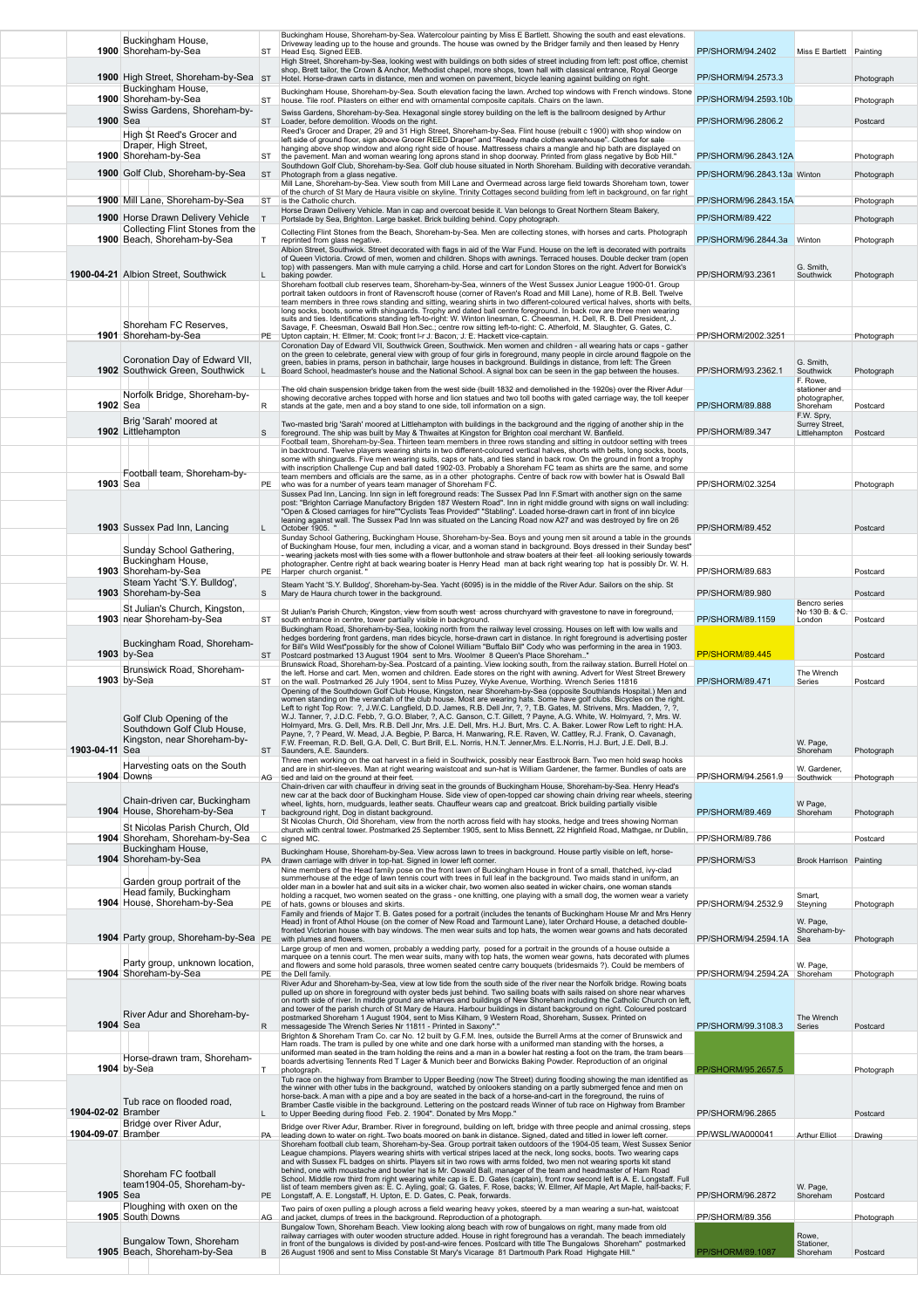|                    | Buckingham House,<br>1900 Shoreham-by-Sea                             |                | Buckingham House, Shoreham-by-Sea. Watercolour painting by Miss E Bartlett. Showing the south and east elevations.<br>Driveway leading up to the house and grounds. The house was owned by the Bridger family and then leased by Henry                                        |                                        |                                        |            |
|--------------------|-----------------------------------------------------------------------|----------------|-------------------------------------------------------------------------------------------------------------------------------------------------------------------------------------------------------------------------------------------------------------------------------|----------------------------------------|----------------------------------------|------------|
|                    | 1900 High Street, Shoreham-by-Sea ST                                  | ST             | Head Esq. Signed EEB.<br>High Street, Shoreham-by-Sea, looking west with buildings on both sides of street including from left: post office, chemist<br>shop, Brett tailor, the Crown & Anchor, Methodist chapel, more shops, town hall with classical entrance, Royal George | PP/SHORM/94.2402<br>PP/SHORM/94.2573.3 | Miss E Bartlett Painting               |            |
|                    | Buckingham House,                                                     |                | Hotel. Horse-drawn carts in distance, men and women on pavement, bicycle leaning against building on right.<br>Buckingham House, Shoreham-by-Sea. South elevation facing the lawn. Arched top windows with French windows. Stone                                              |                                        |                                        | Photograph |
|                    | 1900 Shoreham-by-Sea                                                  | ST             | house. Tile roof. Pilasters on either end with ornamental composite capitals. Chairs on the lawn.                                                                                                                                                                             | PP/SHORM/94.2593.10b                   |                                        | Photograph |
| <b>1900</b> Sea    | Swiss Gardens, Shoreham-by-                                           | <b>ST</b>      | Swiss Gardens, Shoreham-by-Sea. Hexagonal single storey building on the left is the ballroom designed by Arthur<br>Loader, before demolition. Woods on the right.                                                                                                             | PP/SHORM/96.2806.2                     |                                        | Postcard   |
|                    | High St Reed's Grocer and                                             |                | Reed's Grocer and Draper, 29 and 31 High Street, Shoreham-by-Sea. Flint house (rebuilt c 1900) with shop window on                                                                                                                                                            |                                        |                                        |            |
|                    | Draper, High Street,                                                  |                | left side of ground floor, sign above Grocer REED Draper" and "Ready made clothes warehouse". Clothes for sale<br>hanging above shop window and along right side of house. Mattressess chairs a mangle and hip bath are displayed on                                          |                                        |                                        |            |
|                    | 1900 Shoreham-by-Sea                                                  | ST             | the pavement. Man and woman wearing long aprons stand in shop doorway. Printed from glass negative by Bob Hill."<br>Southdown Golf Club, Shoreham-by-Sea. Golf club house situated in North Shoreham. Building with decorative verandah.                                      | PP/SHORM/96.2843.12A                   |                                        | Photograph |
|                    | 1900 Golf Club, Shoreham-by-Sea                                       | ST             | Photograph from a glass negative.<br>Mill Lane, Shoreham-by-Sea. View south from Mill Lane and Overmead across large field towards Shoreham town, tower                                                                                                                       | PP/SHORM/96.2843.13a Winton            |                                        | Photograph |
|                    | 1900 Mill Lane, Shoreham-by-Sea                                       |                | of the church of St Mary de Haura visible on skyline. Trinity Cottages second building from left in background, on far right                                                                                                                                                  |                                        |                                        |            |
|                    |                                                                       | <b>ST</b>      | is the Catholic church.<br>Horse Drawn Delivery Vehicle. Man in cap and overcoat beside it. Van belongs to Great Northern Steam Bakery,                                                                                                                                       | PP/SHORM/96.2843.15A                   |                                        | Photograph |
|                    | 1900 Horse Drawn Delivery Vehicle<br>Collecting Flint Stones from the | $\top$         | Portslade by Sea, Brighton. Large basket. Brick building behind. Copy photograph.                                                                                                                                                                                             | PP/SHORM/89.422                        |                                        | Photograph |
|                    | 1900 Beach, Shoreham-by-Sea                                           |                | Collecting Flint Stones from the Beach, Shoreham-by-Sea. Men are collecting stones, with horses and carts. Photograph<br>reprinted from glass negative.                                                                                                                       | PP/SHORM/96.2844.3a                    | Winton                                 | Photograph |
|                    |                                                                       |                | Albion Street, Southwick. Street decorated with flags in aid of the War Fund. House on the left is decorated with portraits<br>of Queen Victoria. Crowd of men, women and children. Shops with awnings. Terraced houses. Double decker tram (open                             |                                        |                                        |            |
|                    | 1900-04-21 Albion Street, Southwick                                   |                | top) with passengers. Man with mule carrying a child. Horse and cart for London Stores on the right. Advert for Borwick's<br>baking powder.                                                                                                                                   | PP/SHORM/93.2361                       | G. Smith,<br>Southwick                 | Photograph |
|                    |                                                                       |                | Shoreham football club reserves team, Shoreham-by-Sea, winners of the West Sussex Junior League 1900-01. Group<br>portrait taken outdoors in front of Ravenscroft house (corner of Raven's Road and Mill Lane), home of R.B. Bell. Twelve                                     |                                        |                                        |            |
|                    |                                                                       |                | team members in three rows standing and sitting, wearing shirts in two different-coloured vertical halves, shorts with belts,                                                                                                                                                 |                                        |                                        |            |
|                    | Shoreham FC Reserves,                                                 |                | long socks, boots, some with shinguards. Trophy and dated ball centre foreground. In back row are three men wearing<br>suits and ties. Identifications standing left-to-right: W. Winton linesman, C. Cheesman, H. Dell, R. B. Dell President, J.                             |                                        |                                        |            |
|                    | 1901 Shoreham-by-Sea                                                  |                | Savage, F. Cheesman, Oswald Ball Hon Sec.; centre row sitting left-to-right: C. Atherfold, M. Slaughter, G. Gates, C.<br>PE Upton captain, H. Ellmer, M. Cook; front I-r J. Bacon, J. E. Hackett vice-captain.                                                                | PP/SHORM/2002.3251                     |                                        | Photograph |
|                    |                                                                       |                | Coronation Day of Edward VII, Southwick Green, Southwick. Men women and children - all wearing hats or caps - gather<br>on the green to celebrate, general view with group of four girls in foreground, many people in circle around flagpole on the                          |                                        |                                        |            |
|                    | Coronation Day of Edward VII,<br>1902 Southwick Green, Southwick      |                | green, babies in prams, person in bathchair, large houses in background. Buildings in distance, from left: The Green                                                                                                                                                          | PP/SHORM/93.2362.1                     | G. Smith,<br>Southwick                 |            |
|                    |                                                                       |                | Board School, headmaster's house and the National School. A signal box can be seen in the gap between the houses.                                                                                                                                                             |                                        | F. Rowe,                               | Photograph |
|                    | Norfolk Bridge, Shoreham-by-                                          |                | The old chain suspension bridge taken from the west side (built 1832 and demolished in the 1920s) over the River Adur<br>showing decorative arches topped with horse and lion statues and two toll booths with gated carriage way, the toll keeper                            |                                        | stationer and<br>photographer,         |            |
| 1902 Sea           |                                                                       | R              | stands at the gate, men and a boy stand to one side, toll information on a sign.                                                                                                                                                                                              | PP/SHORM/89.888                        | Shoreham<br>F.W. Spry,                 | Postcard   |
|                    | Brig 'Sarah' moored at<br>1902 Littlehampton                          | S              | Two-masted brig 'Sarah' moored at Littlehampton with buildings in the background and the rigging of another ship in the<br>foreground. The ship was built by May & Thwaites at Kingston for Brighton coal merchant W. Banfield.                                               | PP/SHORM/89.347                        | <b>Surrey Street,</b><br>Littlehampton | Postcard   |
|                    |                                                                       |                | Football team, Shoreham-by-Sea. Thirteen team members in three rows standing and sitting in outdoor setting with trees                                                                                                                                                        |                                        |                                        |            |
|                    |                                                                       |                | in backtround. Twelve players wearing shirts in two different-coloured vertical halves, shorts with belts, long socks, boots,<br>some with shinguards. Five men wearing suits, caps or hats, and ties stand in back row. On the ground in front a trophy                      |                                        |                                        |            |
|                    | Football team, Shoreham-by-                                           |                | with inscription Challenge Cup and ball dated 1902-03. Probably a Shoreham FC team as shirts are the same, and some<br>team members and officials are the same, as in a other photographs. Centre of back row with bowler hat is Oswald Ball                                  |                                        |                                        |            |
| 1903 Sea           |                                                                       |                | PE who was for a number of years team manager of Shoreham FC.<br>Sussex Pad Inn, Lancing. Inn sign in left foreground reads: The Sussex Pad Inn F.Smart with another sign on the same                                                                                         | PP/SHORM/02.3254                       |                                        | Photograph |
|                    |                                                                       |                | post: "Brighton Carriage Manufactory Brigden 187 Western Road". Inn in right middle ground with signs on wall including:<br>"Open & Closed carriages for hire""Cyclists Teas Provided" "Stabling". Loaded horse-drawn cart in front of inn bicylce                            |                                        |                                        |            |
|                    | 1903 Sussex Pad Inn, Lancing                                          | L.             | leaning against wall. The Sussex Pad Inn was situated on the Lancing Road now A27 and was destroyed by fire on 26<br>October 1905. "                                                                                                                                          | PP/SHORM/89.452                        |                                        | Postcard   |
|                    |                                                                       |                | Sunday School Gathering, Buckingham House, Shoreham-by-Sea. Boys and young men sit around a table in the grounds                                                                                                                                                              |                                        |                                        |            |
|                    | Sunday School Gathering,<br>Buckingham House,                         |                | of Buckingham House, four men, including a vicar, and a woman stand in background. Boys dressed in their Sunday best"<br>- wearing jackets most with ties some with a flower buttonhole and straw boaters at their feet all looking seriously towards                         |                                        |                                        |            |
|                    | 1903 Shoreham-by-Sea                                                  |                | photographer. Centre right at back wearing boater is Henry Head man at back right wearing top hat is possibly Dr. W. H.<br>PE   Harper church organist."                                                                                                                      | PP/SHORM/89.683                        |                                        | Postcard   |
|                    | Steam Yacht 'S.Y. Bulldog',<br>1903 Shoreham-by-Sea                   | S              | Steam Yacht 'S.Y. Bulldog', Shoreham-by-Sea. Yacht (6095) is in the middle of the River Adur. Sailors on the ship. St<br>Mary de Haura church tower in the background.                                                                                                        | PP/SHORM/89.980                        |                                        | Postcard   |
|                    | St Julian's Church, Kingston,                                         |                |                                                                                                                                                                                                                                                                               |                                        | Bencro series                          |            |
|                    | 1903 near Shoreham-by-Sea                                             | <b>ST</b>      | St Julian's Parish Church, Kingston, view from south west across churchyard with gravestone to nave in foreground,<br>south entrance in centre, tower partially visible in background.                                                                                        | PP/SHORM/89.1159                       | No 130 B. & C.<br>London               | Postcard   |
|                    | Buckingham Road, Shoreham-                                            |                | Buckingham Road, Shoreham-by-Sea, looking north from the railway level crossing. Houses on left with low walls and<br>hedges bordering front gardens, man rides bicycle, horse-drawn cart in distance. In right foreground is advertising poster                              |                                        |                                        |            |
|                    | $1903$ by-Sea                                                         | ST             | for Bill's Wild West"possibly for the show of Colonel William "Buffalo Bill" Cody who was performing in the area in 1903.<br>Postcard postmarked 13 August 1904 sent to Mrs. Woolmer 8 Queen's Place Shoreham"                                                                | <b>PP/SHORM/89.445</b>                 |                                        | Postcard   |
|                    | Brunswick Road, Shoreham-                                             |                | Brunswick Road, Shoreham-by-Sea. Postcard of a painting. View looking south, from the railway station. Burrell Hotel on<br>the left. Horse and cart. Men, women and children. Eade stores on the right with awning. Advert for West Street Brewery                            |                                        | The Wrench                             |            |
|                    | $1903$ by-Sea                                                         | <b>ST</b>      | on the wall. Postmarked 26 July 1904, sent to Miss Puzey, Wyke Avenue, Worthing. Wrench Series 11816<br>Opening of the Southdown Golf Club House, Kingston, near Shoreham-by-Sea (opposite Southlands Hospital.) Men and                                                      | PP/SHORM/89.471                        | Series                                 | Postcard   |
|                    |                                                                       |                | women standing on the verandah of the club house. Most are wearing hats. Some have golf clubs. Bicycles on the right.<br>Left to right Top Row: ?, J.W.C. Langfield, D.D. James, R.B. Dell Jnr, ?, ?, T.B. Gates, M. Strivens, Mrs. Madden, ?, ?,                             |                                        |                                        |            |
|                    | Golf Club Opening of the                                              |                | W.J. Tanner, ?, J.D.C. Febb, ?, G.O. Blaber, ?, A.C. Ganson, C.T. Gillett, ? Payne, A.G. White, W. Holmyard, ?, Mrs. W.<br>Holmyard, Mrs. G. Dell, Mrs. R.B. Dell Jnr, Mrs. J.E. Dell, Mrs. H.J. Burt, Mrs. C. A. Baker. Lower Row Left to right: H.A.                        |                                        |                                        |            |
|                    | Southdown Golf Club House,<br>Kingston, near Shoreham-by-             |                | Payne, ?, ? Peard, W. Mead, J.A. Begbie, P. Barca, H. Manwaring, R.E. Raven, W. Cattley, R.J. Frank, O. Cavanagh,                                                                                                                                                             |                                        |                                        |            |
| 1903-04-11 Sea     |                                                                       |                | F.W. Freeman, R.D. Bell, G.A. Dell, C. Burt Brill, E.L. Norris, H.N.T. Jenner, Mrs. E.L. Norris, H.J. Burt, J.E. Dell, B.J.<br>ST Saunders, A.E. Saunders.                                                                                                                    |                                        | W. Page,<br>Shoreham                   | Photograph |
|                    | Harvesting oats on the South                                          |                | Three men working on the oat harvest in a field in Southwick, possibly near Eastbrook Barn. Two men hold swap hooks<br>and are in shirt-sleeves. Man at right wearing waistcoat and sun-hat is William Gardener, the farmer. Bundles of oats are                              |                                        | W. Gardener,                           |            |
|                    | 1904 Downs                                                            |                | AG tied and laid on the ground at their feet.<br>Chain-driven car with chauffeur in driving seat in the grounds of Buckingham House, Shoreham-by-Sea. Henry Head's                                                                                                            | PP/SHORM/94.2561.9                     | Southwick                              | Photograph |
|                    | Chain-driven car, Buckingham                                          |                | new car at the back door of Buckingham House. Side view of open-topped car showing chain driving rear wheels, steering<br>wheel, lights, horn, mudguards, leather seats. Chauffeur wears cap and greatcoat. Brick building partially visible                                  |                                        | W Page,                                |            |
|                    | 1904 House, Shoreham-by-Sea                                           | T              | background right, Dog in distant background.<br>St Nicolas Church, Old Shoreham, view from the north across field with hay stooks, hedge and trees showing Norman                                                                                                             | PP/SHORM/89.469                        | Shoreham                               | Photograph |
|                    | St Nicolas Parish Church, Old<br>1904 Shoreham, Shoreham-by-Sea       |                | church with central tower. Postmarked 25 September 1905, sent to Miss Bennett, 22 Highfield Road, Mathgae, nr Dublin,                                                                                                                                                         | PP/SHORM/89.786                        |                                        |            |
|                    | Buckingham House,                                                     | $\overline{C}$ | signed MC.<br>Buckingham House, Shoreham-by-Sea. View across lawn to trees in background. House partly visible on left, horse-                                                                                                                                                |                                        |                                        | Postcard   |
|                    | 1904 Shoreham-by-Sea                                                  | <b>PA</b>      | drawn carriage with driver in top-hat. Signed in lower left corner.                                                                                                                                                                                                           | PP/SHORM/S3                            | Brook Harrison Painting                |            |
|                    |                                                                       |                | Nine members of the Head family pose on the front lawn of Buckingham House in front of a small, thatched, ivy-clad                                                                                                                                                            |                                        |                                        |            |
|                    |                                                                       |                | summerhouse at the edge of lawn tennis court with trees in full leaf in the background. Two maids stand in uniform, an                                                                                                                                                        |                                        |                                        |            |
|                    | Garden group portrait of the<br>Head family, Buckingham               |                | older man in a bowler hat and suit sits in a wicker chair, two women also seated in wicker chairs, one woman stands<br>holding a racquet, two women seated on the grass - one knitting, one playing with a small dog, the women wear a variety                                |                                        | Smart,                                 |            |
|                    | 1904 House, Shoreham-by-Sea                                           | PE             | of hats, gowns or blouses and skirts.<br>Family and friends of Major T. B. Gates posed for a portrait (includes the tenants of Buckingham House Mr and Mrs Henry                                                                                                              | PP/SHORM/94.2532.9                     | Steyning                               | Photograph |
|                    |                                                                       |                | Head) in front of Athol House (on the corner of New Road and Tarmount Lane), later Orchard House, a detached double-                                                                                                                                                          |                                        | W. Page,<br>Shoreham-by-               |            |
|                    | 1904 Party group, Shoreham-by-Sea PE                                  |                | fronted Victorian house with bay windows. The men wear suits and top hats, the women wear gowns and hats decorated<br>with plumes and flowers.                                                                                                                                | PP/SHORM/94.2594.1A                    | Sea                                    | Photograph |
|                    |                                                                       |                | Large group of men and women, probably a wedding party, posed for a portrait in the grounds of a house outside a<br>marquee on a tennis court. The men wear suits, many with top hats, the women wear gowns, hats decorated with plumes                                       |                                        |                                        |            |
|                    | Party group, unknown location,<br>1904 Shoreham-by-Sea                |                | and flowers and some hold parasols, three women seated centre carry bouquets (bridesmaids ?). Could be members of<br>PE the Dell family.                                                                                                                                      | PP/SHORM/94.2594.2A                    | W. Page,<br>Shoreham                   | Photograph |
|                    |                                                                       |                | River Adur and Shoreham-by-Sea, view at low tide from the south side of the river near the Norfolk bridge. Rowing boats<br>pulled up on shore in foreground with oyster beds just behind. Two sailing boats with sails raised on shore near wharves                           |                                        |                                        |            |
|                    |                                                                       |                | on north side of river. In middle ground are wharves and buildings of New Shoreham including the Catholic Church on left,<br>and tower of the parish church of St Mary de Haura. Harbour buildings in distant background on right. Coloured postcard                          |                                        |                                        |            |
| 1904 Sea           | River Adur and Shoreham-by-                                           | R              | postmarked Shoreham 1 August 1904, sent to Miss Kilham, 9 Western Road, Shoreham, Sussex. Printed on<br>messageside The Wrench Series Nr 11811 - Printed in Saxony"."                                                                                                         | PP/SHORM/99.3108.3                     | The Wrench<br>Series                   | Postcard   |
|                    |                                                                       |                | Brighton & Shoreham Tram Co. car No. 12 built by G.F.M. Ines, outside the Burrell Arms at the corner of Brunswick and<br>Ham roads. The tram is pulled by one white and one dark horse with a uniformed man standing with the horses, a                                       |                                        |                                        |            |
|                    | Horse-drawn tram, Shoreham-                                           |                | uniformed man seated in the tram holding the reins and a man in a bowler hat resting a foot on the tram, the tram bears<br>boards advertising Tennents Red T Lager & Munich beer and Borwicks Baking Powder. Reproduction of an original                                      |                                        |                                        |            |
|                    | 1904 by-Sea                                                           | $\mathsf{T}$   | photograph.                                                                                                                                                                                                                                                                   | PP/SHORM/95.2657.5                     |                                        | Photograph |
|                    |                                                                       |                | Tub race on the highway from Bramber to Upper Beeding (now The Street) during flooding showing the man identified as<br>the winner with other tubs in the background, watched by onlookers standing on a partly submerged fence and men on                                    |                                        |                                        |            |
|                    | Tub race on flooded road,                                             |                | horse-back. A man with a pipe and a boy are seated in the back of a horse-and-cart in the foreground, the ruins of<br>Bramber Castle visible in the background. Lettering on the postcard reads Winner of tub race on Highway from Bramber                                    |                                        |                                        |            |
| 1904-02-02 Bramber | Bridge over River Adur,                                               |                | to Upper Beeding during flood Feb. 2. 1904". Donated by Mrs Mopp."                                                                                                                                                                                                            | PP/SHORM/96.2865                       |                                        | Postcard   |
| 1904-09-07 Bramber |                                                                       | PA.            | Bridge over River Adur, Bramber. River in foreground, building on left, bridge with three people and animal crossing, steps<br>leading down to water on right. Two boats moored on bank in distance. Signed, dated and titled in lower left corner.                           | PP/WSL/WA000041                        | Arthur Elliot                          | Drawing    |
|                    |                                                                       |                | Shoreham football club team, Shoreham-by-Sea. Group portrait taken outdoors of the 1904-05 team, West Sussex Senior<br>League champions. Players wearing shirts with vertical stripes laced at the neck, long socks, boots. Two wearing caps                                  |                                        |                                        |            |
|                    | Shoreham FC football                                                  |                | and with Sussex FL badges on shirts. Players sit in two rows with arms folded, two men not wearing sports kit stand<br>behind, one with moustache and bowler hat is Mr. Oswald Ball, manager of the team and headmaster of Ham Road                                           |                                        |                                        |            |
|                    | team1904-05, Shoreham-by-                                             |                | School. Middle row third from right wearing white cap is E. D. Gates (captain), front row second left is A. E. Longstaff. Full<br>list of team members given as: E. C. Ayling, goal; G. Gates, F. Rose, backs; W. Ellmer, Alf Maple, Art Maple, half-backs; F.                |                                        | W. Page,                               |            |
| <b>1905</b> Sea    | Ploughing with oxen on the                                            |                | PE Longstaff, A. E. Longstaff, H. Upton, E. D. Gates, C. Peak, forwards.<br>Two pairs of oxen pulling a plough across a field wearing heavy yokes, steered by a man wearing a sun-hat, waistcoat                                                                              | PP/SHORM/96.2872                       | Shoreham                               | Postcard   |
|                    | 1905 South Downs                                                      |                | AG and jacket, clumps of trees in the background. Reproduction of a photograph.                                                                                                                                                                                               | PP/SHORM/89.356                        |                                        | Photograph |
|                    | Bungalow Town, Shoreham                                               |                | Bungalow Town, Shoreham Beach. View looking along beach with row of bungalows on right, many made from old<br>railway carriages with outer wooden structure added. House in right foreground has a verandah. The beach immediately                                            |                                        | Rowe,                                  |            |
|                    | 1905 Beach, Shoreham-by-Sea                                           | B              | in front of the bungalows is divided by post-and-wire fences. Postcard with title The Bungalows Shoreham" postmarked<br>26 August 1906 and sent to Miss Constable St Mary's Vicarage 81 Dartmouth Park Road Highgate Hill."                                                   | <b>PP/SHORM/89.1087</b>                | Stationer,<br>Shoreham                 | Postcard   |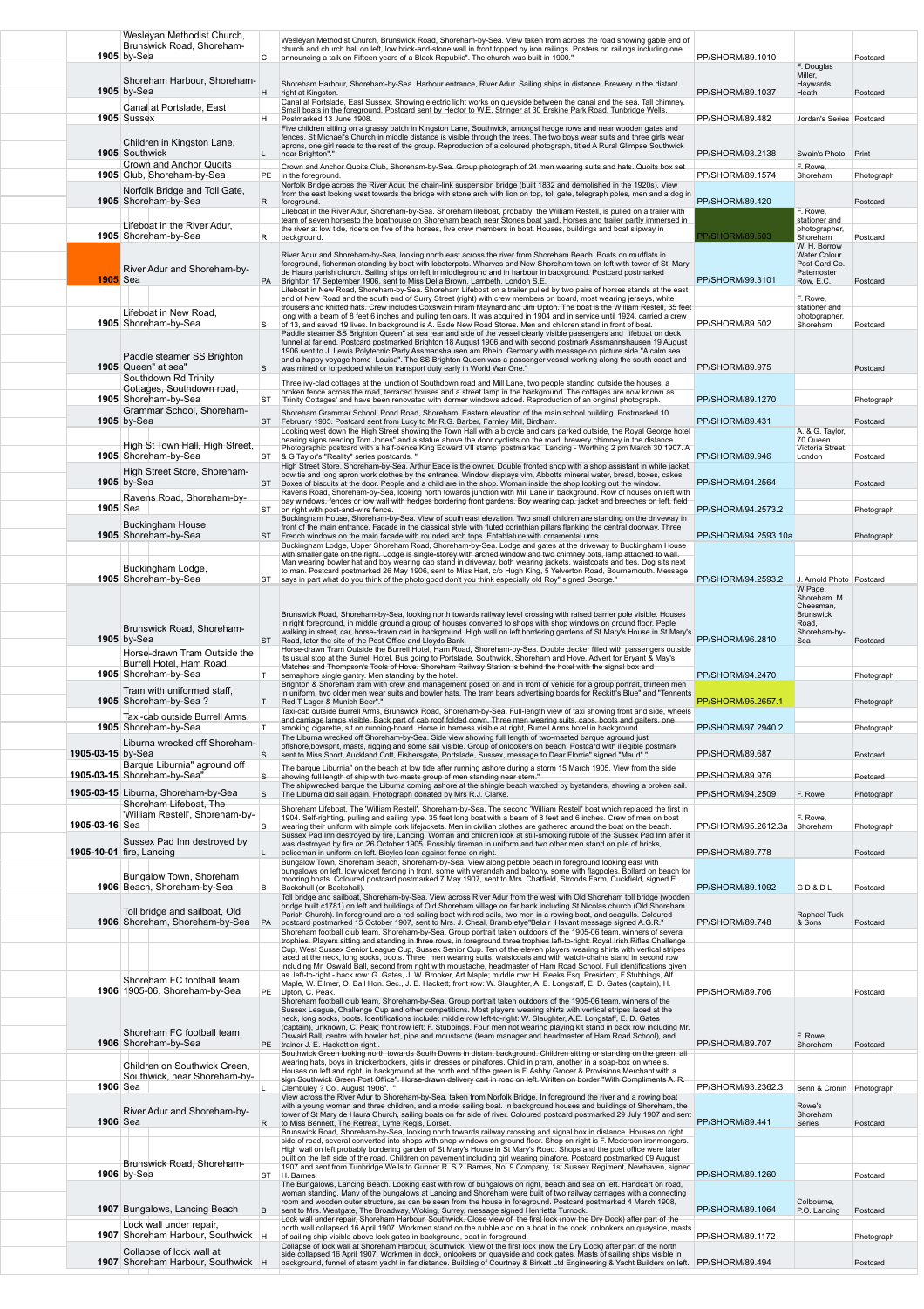|                   | Wesleyan Methodist Church,<br>Brunswick Road, Shoreham-<br>$1905$ by-Sea | C         | Wesleyan Methodist Church, Brunswick Road, Shoreham-by-Sea. View taken from across the road showing gable end of<br>church and church hall on left, low brick-and-stone wall in front topped by iron railings. Posters on railings including one<br>announcing a talk on Fifteen years of a Black Republic". The church was built in 1900." | PP/SHORM/89.1010        |                                       | Postcard   |
|-------------------|--------------------------------------------------------------------------|-----------|---------------------------------------------------------------------------------------------------------------------------------------------------------------------------------------------------------------------------------------------------------------------------------------------------------------------------------------------|-------------------------|---------------------------------------|------------|
|                   |                                                                          |           |                                                                                                                                                                                                                                                                                                                                             |                         | F. Douglas<br>Miller,                 |            |
|                   | Shoreham Harbour, Shoreham-<br>1905 by-Sea                               | H         | Shoreham Harbour, Shoreham-by-Sea. Harbour entrance, River Adur. Sailing ships in distance. Brewery in the distant<br>right at Kingston.                                                                                                                                                                                                    | PP/SHORM/89.1037        | Haywards<br>Heath                     | Postcard   |
|                   | Canal at Portslade, East                                                 |           | Canal at Portslade, East Sussex. Showing electric light works on queyside between the canal and the sea. Tall chimney.                                                                                                                                                                                                                      |                         |                                       |            |
|                   | 1905 Sussex                                                              | H         | Small boats in the foreground. Postcard sent by Hector to W.E. Stringer at 30 Erskine Park Road, Tunbridge Wells.<br>Postmarked 13 June 1908.                                                                                                                                                                                               | PP/SHORM/89.482         | Jordan's Series   Postcard            |            |
|                   |                                                                          |           | Five children sitting on a grassy patch in Kingston Lane, Southwick, amongst hedge rows and near wooden gates and<br>fences. St Michael's Church in middle distance is visible through the trees. The two boys wear suits and three girls wear                                                                                              |                         |                                       |            |
|                   | Children in Kingston Lane,<br>1905 Southwick                             | L.        | aprons, one girl reads to the rest of the group. Reproduction of a coloured photograph, titled A Rural Glimpse Southwick<br>near Brighton"."                                                                                                                                                                                                | PP/SHORM/93.2138        | Swain's Photo Print                   |            |
|                   | Crown and Anchor Quoits                                                  |           | Crown and Anchor Quoits Club, Shoreham-by-Sea. Group photograph of 24 men wearing suits and hats. Quoits box set                                                                                                                                                                                                                            |                         | F. Rowe.                              |            |
|                   | 1905 Club, Shoreham-by-Sea                                               |           | $PE$ in the foreground.<br>Norfolk Bridge across the River Adur, the chain-link suspension bridge (built 1832 and demolished in the 1920s). View                                                                                                                                                                                            | PP/SHORM/89.1574        | Shoreham                              | Photograph |
|                   | Norfolk Bridge and Toll Gate,<br>1905 Shoreham-by-Sea                    | R         | from the east looking west towards the bridge with stone arch with lion on top, toll gate, telegraph poles, men and a dog in<br>foreground.                                                                                                                                                                                                 | PP/SHORM/89.420         |                                       | Postcard   |
|                   |                                                                          |           | Lifeboat in the River Adur, Shoreham-by-Sea. Shoreham lifeboat, probably the William Restell, is pulled on a trailer with<br>team of seven horsesto the boathouse on Shoreham beach near Stones boat yard. Horses and trailer partly immersed in                                                                                            |                         | F. Rowe.<br>stationer and             |            |
|                   | Lifeboat in the River Adur,<br>1905 Shoreham-by-Sea                      | R         | the river at low tide, riders on five of the horses, five crew members in boat. Houses, buildings and boat slipway in<br>background.                                                                                                                                                                                                        | P/SHORM/89.503          | photographer,<br>Shoreham             | Postcard   |
|                   |                                                                          |           |                                                                                                                                                                                                                                                                                                                                             |                         | W. H. Borrow                          |            |
|                   | River Adur and Shoreham-by-                                              |           | River Adur and Shoreham-by-Sea, looking north east across the river from Shoreham Beach. Boats on mudflats in<br>foreground, fisherman standing by boat with lobsterpots. Wharves and New Shoreham town on left with tower of St. Mary                                                                                                      |                         | <b>Water Colour</b><br>Post Card Co., |            |
|                   | <b>1905</b> Sea                                                          | <b>PA</b> | de Haura parish church. Sailing ships on left in middleground and in harbour in background. Postcard postmarked<br>Brighton 17 September 1906, sent to Miss Della Brown, Lambeth, London S.E.                                                                                                                                               | PP/SHORM/99.3101        | Paternoster<br>Row, E.C.              | Postcard   |
|                   |                                                                          |           | Lifeboat in New Road, Shoreham-by-Sea. Shoreham Lifeboat on a trailer pulled by two pairs of horses stands at the east<br>end of New Road and the south end of Surry Street (right) with crew members on board, most wearing jerseys, white                                                                                                 |                         | F. Rowe,                              |            |
|                   | Lifeboat in New Road,                                                    |           | trousers and knitted hats. Crew includes Coxswain Hiram Maynard and Jim Upton. The boat is the William Restell, 35 feet<br>long with a beam of 8 feet 6 inches and pulling ten oars. It was acquired in 1904 and in service until 1924, carried a crew                                                                                      |                         | stationer and<br>photographer,        |            |
|                   | 1905 Shoreham-by-Sea                                                     | S         | of 13, and saved 19 lives. In background is A. Eade New Road Stores. Men and children stand in front of boat.                                                                                                                                                                                                                               | PP/SHORM/89.502         | Shoreham                              | Postcard   |
|                   |                                                                          |           | Paddle steamer SS Brighton Queen" at sea rear and side of the vessel clearly visible passengers and lifeboat on deck<br>funnel at far end. Postcard postmarked Brighton 18 August 1906 and with second postmark Assmannshausen 19 August                                                                                                    |                         |                                       |            |
|                   | Paddle steamer SS Brighton                                               |           | 1906 sent to J. Lewis Polytecnic Party Assmanshausen am Rhein Germany with message on picture side "A calm sea<br>and a happy voyage home Louisa". The SS Brighton Queen was a passenger vessel working along the south coast and                                                                                                           |                         |                                       |            |
|                   | 1905 Queen" at sea"<br>Southdown Rd Trinity                              | S         | was mined or torpedoed while on transport duty early in World War One."                                                                                                                                                                                                                                                                     | PP/SHORM/89.975         |                                       | Postcard   |
|                   | Cottages, Southdown road,                                                |           | Three ivy-clad cottages at the junction of Southdown road and Mill Lane, two people standing outside the houses, a<br>broken fence across the road, terraced houses and a street lamp in the background. The cottages are now known as                                                                                                      |                         |                                       |            |
|                   | 1905 Shoreham-by-Sea<br>Grammar School, Shoreham-                        | ST        | Trinity Cottages' and have been renovated with dormer windows added. Reproduction of an original photograph.                                                                                                                                                                                                                                | PP/SHORM/89.1270        |                                       | Photograph |
|                   | 1905 by-Sea                                                              | ST        | Shoreham Grammar School, Pond Road, Shoreham. Eastern elevation of the main school building. Postmarked 10<br>February 1905. Postcard sent from Lucy to Mr R.G. Barber, Farnley Mill, Birdham.                                                                                                                                              | PP/SHORM/89.431         |                                       | Postcard   |
|                   |                                                                          |           | Looking west down the High Street showing the Town Hall with a bicycle and cars parked outside, the Royal George hotel<br>bearing signs reading Tom Jones" and a statue above the door cyclists on the road brewery chimney in the distance.                                                                                                |                         | A. & G. Taylor,<br>70 Queen           |            |
|                   | High St Town Hall, High Street,<br>1905 Shoreham-by-Sea                  | <b>ST</b> | Photographic postcard with a half-pence King Edward VII stamp postmarked Lancing - Worthing 2 pm March 30 1907. A<br>& G Taylor's "Reality" series postcards. "                                                                                                                                                                             | PP/SHORM/89.946         | Victoria Street.<br>London            | Postcard   |
|                   | High Street Store, Shoreham-                                             |           | High Street Store, Shoreham-by-Sea. Arthur Eade is the owner. Double fronted shop with a shop assistant in white jacket,<br>bow tie and long apron work clothes by the entrance. Window displays vim, Abbotts mineral water, bread, boxes, cakes.                                                                                           |                         |                                       |            |
|                   | 1905 by-Sea                                                              | ST        | Boxes of biscuits at the door. People and a child are in the shop. Woman inside the shop looking out the window.                                                                                                                                                                                                                            | PP/SHORM/94.2564        |                                       | Postcard   |
|                   | Ravens Road, Shoreham-by-<br><b>1905</b> Sea                             |           | Ravens Road, Shoreham-by-Sea, looking north towards junction with Mill Lane in background. Row of houses on left with<br>bay windows, fences or low wall with hedges bordering front gardens. Boy wearing cap, jacket and breeches on left, field                                                                                           |                         |                                       |            |
|                   |                                                                          | <b>ST</b> | on right with post-and-wire fence.<br>Buckingham House, Shoreham-by-Sea. View of south east elevation. Two small children are standing on the driveway in                                                                                                                                                                                   | PP/SHORM/94.2573.2      |                                       | Photograph |
|                   | Buckingham House,<br>1905 Shoreham-by-Sea                                | ST        | front of the main entrance. Facade in the classical style with fluted corinthian pillars flanking the central doorway. Three<br>French windows on the main facade with rounded arch tops. Entablature with ornamental urns.                                                                                                                 | PP/SHORM/94.2593.10a    |                                       | Photograph |
|                   |                                                                          |           | Buckingham Lodge, Upper Shoreham Road, Shoreham-by-Sea. Lodge and gates at the driveway to Buckingham House<br>with smaller gate on the right. Lodge is single-storey with arched window and two chimney pots, lamp attached to wall.                                                                                                       |                         |                                       |            |
|                   | Buckingham Lodge,                                                        |           | Man wearing bowler hat and boy wearing cap stand in driveway, both wearing jackets, waistcoats and ties. Dog sits next<br>to man. Postcard postmarked 26 May 1906, sent to Miss Hart, c/o Hugh King, 5 Yelverton Road, Bournemouth. Message                                                                                                 |                         |                                       |            |
|                   | 1905 Shoreham-by-Sea                                                     | ST        | says in part what do you think of the photo good don't you think especially old Roy" signed George."                                                                                                                                                                                                                                        | PP/SHORM/94.2593.2      | J. Arnold Photo Postcard              |            |
|                   |                                                                          |           |                                                                                                                                                                                                                                                                                                                                             |                         | W Page,<br>Shoreham M.                |            |
|                   |                                                                          |           | Brunswick Road, Shoreham-by-Sea, looking north towards railway level crossing with raised barrier pole visible. Houses                                                                                                                                                                                                                      |                         | Cheesman,<br><b>Brunswick</b>         |            |
|                   | Brunswick Road, Shoreham-                                                |           | in right foreground, in middle ground a group of houses converted to shops with shop windows on ground floor. Peple<br>walking in street, car, horse-drawn cart in background. High wall on left bordering gardens of St Mary's House in St Mary's                                                                                          |                         | Road,<br>Shoreham-by-                 |            |
|                   | 1905 by-Sea                                                              | ST        | Road, later the site of the Post Office and Lloyds Bank.<br>Horse-drawn Tram Outside the Burrell Hotel, Ham Road, Shoreham-by-Sea. Double decker filled with passengers outside                                                                                                                                                             | PP/SHORM/96.2810        | Sea                                   | Postcard   |
|                   | Horse-drawn Tram Outside the<br>Burrell Hotel, Ham Road,                 |           | its usual stop at the Burrell Hotel. Bus going to Portslade, Southwick, Shoreham and Hove. Advert for Bryant & May's                                                                                                                                                                                                                        |                         |                                       |            |
|                   | 1905 Shoreham-by-Sea                                                     | T.        | Matches and Thompson's Tools of Hove. Shoreham Railway Station is behind the hotel with the signal box and<br>semaphore single gantry. Men standing by the hotel.                                                                                                                                                                           | <b>PP/SHORM/94.2470</b> |                                       | Photograph |
|                   | Tram with uniformed staff,                                               |           | Brighton & Shoreham tram with crew and management posed on and in front of vehicle for a group portrait, thirteen men<br>in uniform, two older men wear suits and bowler hats. The tram bears advertising boards for Reckitt's Blue" and "Tennents                                                                                          |                         |                                       |            |
|                   | 1905 Shoreham-by-Sea?                                                    | T.        | Red T Lager & Munich Beer"."<br>Taxi-cab outside Burrell Arms, Brunswick Road, Shoreham-by-Sea. Full-length view of taxi showing front and side, wheels                                                                                                                                                                                     | PP/SHORM/95.2657.1      |                                       | Photograph |
|                   | Taxi-cab outside Burrell Arms,<br>1905 Shoreham-by-Sea                   | T.        | and carriage lamps visible. Back part of cab roof folded down. Three men wearing suits, caps, boots and gaiters, one<br>smoking cigarette, sit on running-board. Horse in harness visible at right, Burrell Arms hotel in background.                                                                                                       | PP/SHORM/97.2940.2      |                                       | Photograph |
|                   | Liburna wrecked off Shoreham-                                            |           | The Liburna wrecked off Shoreham-by-Sea. Side view showing full length of two-masted barque aground just                                                                                                                                                                                                                                    |                         |                                       |            |
| 1905-03-15 by-Sea |                                                                          | S         | offshore, bowsprit, masts, rigging and some sail visible. Group of onlookers on beach. Postcard with illegible postmark<br>sent to Miss Short, Auckland Cott, Fishersgate, Portslade, Sussex, message to Dear Florrie" signed "Maud"."                                                                                                      | PP/SHORM/89.687         |                                       | Postcard   |
|                   | Barque Liburnia" aground off<br>1905-03-15 Shoreham-by-Sea"              | S         | The barque Liburnia" on the beach at low tide after running ashore during a storm 15 March 1905. View from the side<br>showing full length of ship with two masts group of men standing near stern."                                                                                                                                        | PP/SHORM/89.976         |                                       | Postcard   |
|                   | 1905-03-15 Liburna, Shoreham-by-Sea                                      | S         | The shipwrecked barque the Liburna coming ashore at the shingle beach watched by bystanders, showing a broken sail.<br>The Liburna did sail again. Photograph donated by Mrs R.J. Clarke.                                                                                                                                                   | PP/SHORM/94.2509        | F. Rowe                               | Photograph |
|                   | Shoreham Lifeboat, The                                                   |           | Shoreham Lifeboat, The 'William Restell', Shoreham-by-Sea. The second 'William Restell' boat which replaced the first in                                                                                                                                                                                                                    |                         |                                       |            |
| 1905-03-16 Sea    | 'William Restell', Shoreham-by-                                          | S         | 1904. Self-righting, pulling and sailing type. 35 feet long boat with a beam of 8 feet and 6 inches. Crew of men on boat                                                                                                                                                                                                                    | PP/SHORM/95.2612.3a     | F. Rowe.                              |            |
|                   | Sussex Pad Inn destroyed by                                              |           | wearing their uniform with simple cork lifejackets. Men in civilian clothes are gathered around the boat on the beach.<br>Sussex Pad Inn destroyed by fire, Lancing. Woman and children look at still-smoking rubble of the Sussex Pad Inn after it                                                                                         |                         | Shoreham                              | Photograph |
|                   | 1905-10-01 fire, Lancing                                                 |           | was destroyed by fire on 26 October 1905. Possibly fireman in uniform and two other men stand on pile of bricks,<br>policeman in uniform on left. Bicyles lean against fence on right.                                                                                                                                                      | PP/SHORM/89.778         |                                       | Postcard   |
|                   |                                                                          |           | Bungalow Town, Shoreham Beach, Shoreham-by-Sea. View along pebble beach in foreground looking east with<br>bungalows on left, low wicket fencing in front, some with verandah and balcony, some with flagpoles. Bollard on beach for                                                                                                        |                         |                                       |            |
|                   | Bungalow Town, Shoreham<br>1906 Beach, Shoreham-by-Sea                   |           | mooring boats. Coloured postcard postmarked 7 May 1907, sent to Mrs. Chatfield, Stroods Farm, Cuckfield, signed E.<br>Backshull (or Backshall).                                                                                                                                                                                             | PP/SHORM/89.1092        | GD&DL                                 | Postcard   |
|                   |                                                                          |           | Toll bridge and sailboat, Shoreham-by-Sea. View across River Adur from the west with Old Shoreham toll bridge (wooden                                                                                                                                                                                                                       |                         |                                       |            |
|                   | Toll bridge and sailboat, Old<br>1906 Shoreham, Shoreham-by-Sea          |           | bridge built c1781) on left and buildings of Old Shoreham village on far bank including St Nicolas church (Old Shoreham<br>Parish Church). In foreground are a red sailing boat with red sails, two men in a rowing boat, and seagulls. Coloured                                                                                            |                         | Raphael Tuck                          |            |
|                   |                                                                          | PA        | postcard postmarked 15 October 1907, sent to Mrs. J. Cheal, Brambletye"Belair Havant message signed A.G.R."<br>Shoreham football club team, Shoreham-by-Sea. Group portrait taken outdoors of the 1905-06 team, winners of several                                                                                                          | PP/SHORM/89.748         | & Sons                                | Postcard   |
|                   |                                                                          |           | trophies. Players sitting and standing in three rows, in foreground three trophies left-to-right: Royal Irish Rifles Challenge.<br>Cup, West Sussex Senior League Cup, Sussex Senior Cup. Ten of the eleven players wearing shirts with vertical stripes                                                                                    |                         |                                       |            |
|                   |                                                                          |           | laced at the neck, long socks, boots. Three men wearing suits, waistcoats and with watch-chains stand in second row<br>including Mr. Oswald Ball, second from right with moustache, headmaster of Ham Road School. Full identifications given                                                                                               |                         |                                       |            |
|                   | Shoreham FC football team,                                               |           | as left-to-right - back row: G. Gates, J. W. Brooker, Art Maple; middle row: H. Reeks Esq. President, F.Stubbings, Alf<br>Maple, W. Ellmer, O. Ball Hon. Sec., J. E. Hackett; front row: W. Slaughter, A. E. Longstaff, E. D. Gates (captain), H.                                                                                           |                         |                                       |            |
|                   | 1906 1905-06, Shoreham-by-Sea                                            |           | PE Upton, C. Peak.<br>Shoreham football club team, Shoreham-by-Sea. Group portrait taken outdoors of the 1905-06 team, winners of the                                                                                                                                                                                                       | PP/SHORM/89.706         |                                       | Postcard   |
|                   |                                                                          |           | Sussex League, Challenge Cup and other competitions. Most players wearing shirts with vertical stripes laced at the                                                                                                                                                                                                                         |                         |                                       |            |
|                   | Shoreham FC football team,                                               |           | neck, long socks, boots. Identifications include: middle row left-to-right: W. Slaughter, A.E. Longstaff, E. D. Gates<br>(captain), unknown, C. Peak; front row left: F. Stubbings. Four men not wearing playing kit stand in back row including Mr.                                                                                        |                         |                                       |            |
|                   | 1906 Shoreham-by-Sea                                                     | PE        | Oswald Ball, centre with bowler hat, pipe and moustache (team manager and headmaster of Ham Road School), and<br>trainer J. E. Hackett on right                                                                                                                                                                                             | PP/SHORM/89.707         | F. Rowe,<br>Shoreham                  | Postcard   |
|                   |                                                                          |           | Southwick Green looking north towards South Downs in distant background. Children sitting or standing on the green, all<br>wearing hats, boys in knickerbockers, girls in dresses or pinafores. Child in pram, another in a soap-box on wheels.                                                                                             |                         |                                       |            |
|                   | Children on Southwick Green,<br>Southwick, near Shoreham-by-             |           | Houses on left and right, in background at the north end of the green is F. Ashby Grocer & Provisions Merchant with a<br>sign Southwick Green Post Office". Horse-drawn delivery cart in road on left. Written on border "With Compliments A. R.                                                                                            |                         |                                       |            |
|                   | 1906 Sea                                                                 |           | Clembuley ? Col. August 1906".                                                                                                                                                                                                                                                                                                              | PP/SHORM/93.2362.3      | Benn & Cronin Photograph              |            |
|                   | River Adur and Shoreham-by-                                              |           | View across the River Adur to Shoreham-by-Sea, taken from Norfolk Bridge. In foreground the river and a rowing boat<br>with a young woman and three children, and a model sailing boat. In background houses and buildings of Shoreham, the                                                                                                 |                         | Rowe's                                |            |
|                   | <b>1906</b> Sea                                                          | R         | tower of St Mary de Haura Church, sailing boats on far side of river. Coloured postcard postmarked 29 July 1907 and sent<br>to Miss Bennett, The Retreat, Lyme Regis, Dorset.                                                                                                                                                               | PP/SHORM/89.441         | Shoreham<br>Series                    | Postcard   |
|                   |                                                                          |           | Brunswick Road, Shoreham-by-Sea, looking north towards railway crossing and signal box in distance. Houses on right<br>side of road, several converted into shops with shop windows on ground floor. Shop on right is F. Mederson ironmongers.                                                                                              |                         |                                       |            |
|                   |                                                                          |           | High wall on left probably bordering garden of St Mary's House in St Mary's Road. Shops and the post office were later<br>built on the left side of the road. Children on pavement including girl wearing pinafore. Postcard postmarked 09 August                                                                                           |                         |                                       |            |
|                   | Brunswick Road, Shoreham-<br>$1906$ by-Sea                               | <b>ST</b> | 1907 and sent from Tunbridge Wells to Gunner R. S.? Barnes, No. 9 Company, 1st Sussex Regiment, Newhaven, signed<br>H. Barnes.                                                                                                                                                                                                              | PP/SHORM/89.1260        |                                       | Postcard   |
|                   |                                                                          |           | The Bungalows, Lancing Beach. Looking east with row of bungalows on right, beach and sea on left. Handcart on road,                                                                                                                                                                                                                         |                         |                                       |            |
|                   |                                                                          |           | woman standing. Many of the bungalows at Lancing and Shoreham were built of two railway carriages with a connecting<br>room and wooden outer structure, as can be seen from the house in foreground. Postcard postmarked 4 March 1908,                                                                                                      |                         | Colbourne,                            |            |
|                   | <b>1907</b> Bungalows, Lancing Beach                                     | B         | sent to Mrs. Westgate, The Broadway, Woking, Surrey, message signed Henrietta Turnock.<br>Lock wall under repair, Shoreham Harbour, Southwick. Close view of the first lock (now the Dry Dock) after part of the                                                                                                                            | PP/SHORM/89.1064        | P.O. Lancing                          | Postcard   |
|                   | Lock wall under repair,<br>1907 Shoreham Harbour, Southwick   H          |           | north wall collapsed 16 April 1907. Workmen stand on the rubble and on a boat in the dock, onlookers on quayside, masts<br>of sailing ship visible above lock gates in background, boat in foreground.                                                                                                                                      | PP/SHORM/89.1172        |                                       | Photograph |
|                   |                                                                          |           | Collapse of lock wall at Shoreham Harbour, Southwick. View of the first lock (now the Dry Dock) after part of the north                                                                                                                                                                                                                     |                         |                                       |            |
|                   | Collapse of lock wall at<br>1907 Shoreham Harbour, Southwick H           |           | side collapsed 16 April 1907. Workmen in dock, onlookers on quayside and dock gates. Masts of sailing ships visible in                                                                                                                                                                                                                      |                         |                                       |            |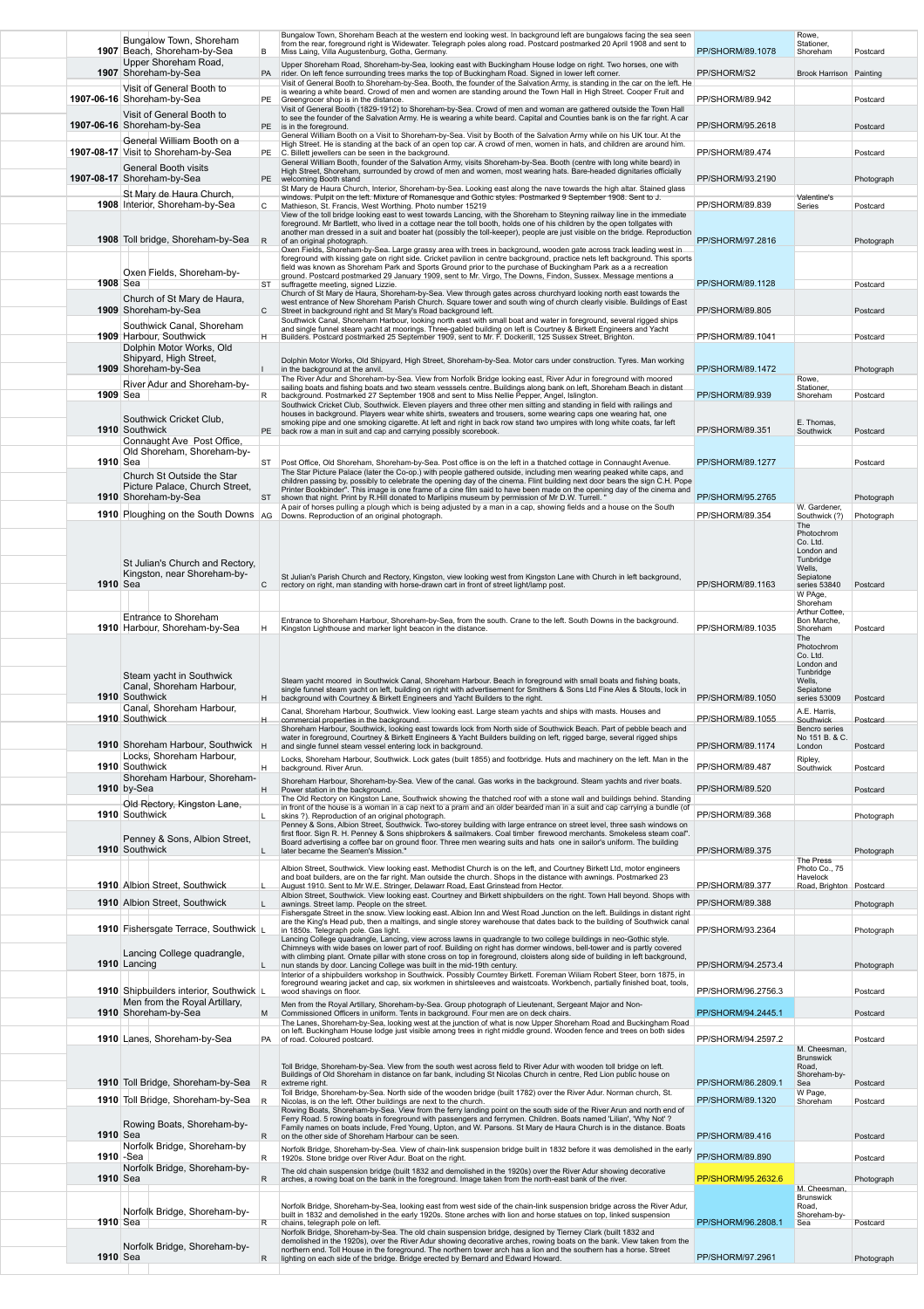|                 | Bungalow Town, Shoreham                                           |              | Bungalow Town, Shoreham Beach at the western end looking west. In background left are bungalows facing the sea seen                                                                                                                                       |                    | Rowe,                            |            |
|-----------------|-------------------------------------------------------------------|--------------|-----------------------------------------------------------------------------------------------------------------------------------------------------------------------------------------------------------------------------------------------------------|--------------------|----------------------------------|------------|
|                 | 1907 Beach, Shoreham-by-Sea                                       | B            | from the rear, foreground right is Widewater. Telegraph poles along road. Postcard postmarked 20 April 1908 and sent to<br>Miss Laing, Villa Augustenburg, Gotha, Germany.                                                                                | PP/SHORM/89.1078   | Stationer,<br>Shoreham           | Postcard   |
|                 | Upper Shoreham Road,<br>1907 Shoreham-by-Sea                      | <b>PA</b>    | Upper Shoreham Road, Shoreham-by-Sea, looking east with Buckingham House lodge on right. Two horses, one with<br>rider. On left fence surrounding trees marks the top of Buckingham Road. Signed in lower left corner.                                    | PP/SHORM/S2        | Brook Harrison Painting          |            |
|                 | Visit of General Booth to                                         |              | Visit of General Booth to Shoreham-by-Sea. Booth, the founder of the Salvation Army, is standing in the car on the left. He                                                                                                                               |                    |                                  |            |
|                 | 1907-06-16 Shoreham-by-Sea                                        | PE           | is wearing a white beard. Crowd of men and women are standing around the Town Hall in High Street. Cooper Fruit and<br>Greengrocer shop is in the distance.                                                                                               | PP/SHORM/89.942    |                                  | Postcard   |
|                 | Visit of General Booth to                                         |              | Visit of General Booth (1829-1912) to Shoreham-by-Sea. Crowd of men and woman are gathered outside the Town Hall<br>to see the founder of the Salvation Army. He is wearing a white beard. Capital and Counties bank is on the far right. A car           |                    |                                  |            |
|                 | 1907-06-16 Shoreham-by-Sea                                        |              | $PE$ is in the foreground.<br>General William Booth on a Visit to Shoreham-by-Sea. Visit by Booth of the Salvation Army while on his UK tour. At the                                                                                                      | PP/SHORM/95.2618   |                                  | Postcard   |
|                 | General William Booth on a<br>1907-08-17 Visit to Shoreham-by-Sea |              | High Street. He is standing at the back of an open top car. A crowd of men, women in hats, and children are around him.<br>PE C. Billett jewellers can be seen in the background.                                                                         | PP/SHORM/89.474    |                                  | Postcard   |
|                 | <b>General Booth visits</b>                                       |              | General William Booth, founder of the Salvation Army, visits Shoreham-by-Sea. Booth (centre with long white beard) in<br>High Street, Shoreham, surrounded by crowd of men and women, most wearing hats. Bare-headed dignitaries officially               |                    |                                  |            |
|                 | 1907-08-17 Shoreham-by-Sea                                        |              | PE   welcoming Booth stand                                                                                                                                                                                                                                | PP/SHORM/93.2190   |                                  | Photograph |
|                 | St Mary de Haura Church,                                          |              | St Mary de Haura Church, Interior, Shoreham-by-Sea. Looking east along the nave towards the high altar. Stained glass<br>windows. Pulpit on the left. Mixture of Romanesque and Gothic styles. Postmarked 9 September 1908. Sent to J.                    |                    | Valentine's                      |            |
|                 | 1908 Interior, Shoreham-by-Sea                                    | C.           | Mathieson, St. Francis, West Worthing. Photo number 15219<br>View of the toll bridge looking east to west towards Lancing, with the Shoreham to Steyning railway line in the immediate                                                                    | PP/SHORM/89.839    | Series                           | Postcard   |
|                 |                                                                   |              | foreground. Mr Bartlett, who lived in a cottage near the toll booth, holds one of his children by the open tollgates with<br>another man dressed in a suit and boater hat (possibly the toll-keeper), people are just visible on the bridge. Reproduction |                    |                                  |            |
|                 | 1908 Toll bridge, Shoreham-by-Sea                                 | R.           | of an original photograph.<br>Oxen Fields, Shoreham-by-Sea. Large grassy area with trees in background, wooden gate across track leading west in                                                                                                          | PP/SHORM/97.2816   |                                  | Photograph |
|                 |                                                                   |              | foreground with kissing gate on right side. Cricket pavilion in centre background, practice nets left background. This sports<br>field was known as Shoreham Park and Sports Ground prior to the purchase of Buckingham Park as a a recreation            |                    |                                  |            |
| <b>1908</b> Sea | Oxen Fields, Shoreham-by-                                         | <b>ST</b>    | ground. Postcard postmarked 29 January 1909, sent to Mr. Virgo, The Downs, Findon, Sussex. Message mentions a                                                                                                                                             | PP/SHORM/89.1128   |                                  |            |
|                 | Church of St Mary de Haura,                                       |              | suffragette meeting, signed Lizzie.<br>Church of St Mary de Haura, Shoreham-by-Sea. View through gates across churchyard looking north east towards the                                                                                                   |                    |                                  | Postcard   |
|                 | 1909 Shoreham-by-Sea                                              | $\mathsf{C}$ | west entrance of New Shoreham Parish Church. Square tower and south wing of church clearly visible. Buildings of East<br>Street in background right and St Mary's Road background left.                                                                   | PP/SHORM/89.805    |                                  | Postcard   |
|                 | Southwick Canal, Shoreham                                         |              | Southwick Canal, Shoreham Harbour, looking north east with small boat and water in foreground, several rigged ships<br>and single funnel steam yacht at moorings. Three-gabled building on left is Courtney & Birkett Engineers and Yacht                 |                    |                                  |            |
|                 | 1909 Harbour, Southwick<br>Dolphin Motor Works, Old               |              | Builders. Postcard postmarked 25 September 1909, sent to Mr. F. Dockerill, 125 Sussex Street, Brighton.                                                                                                                                                   | PP/SHORM/89.1041   |                                  | Postcard   |
|                 | Shipyard, High Street,                                            |              | Dolphin Motor Works, Old Shipyard, High Street, Shoreham-by-Sea. Motor cars under construction. Tyres. Man working                                                                                                                                        |                    |                                  |            |
|                 | 1909 Shoreham-by-Sea                                              |              | in the background at the anvil.<br>The River Adur and Shoreham-by-Sea. View from Norfolk Bridge looking east, River Adur in foreground with moored                                                                                                        | PP/SHORM/89.1472   | Rowe,                            | Photograph |
| <b>1909</b> Sea | River Adur and Shoreham-by-                                       |              | sailing boats and fishing boats and two steam vesssels centre. Buildings along bank on left, Shoreham Beach in distant<br>background. Postmarked 27 September 1908 and sent to Miss Nellie Pepper, Angel, Islington.                                      | PP/SHORM/89.939    | Stationer,<br>Shoreham           | Postcard   |
|                 |                                                                   |              | Southwick Cricket Club, Southwick. Eleven players and three other men sitting and standing in field with railings and<br>houses in background. Players wear white shirts, sweaters and trousers, some wearing caps one wearing hat, one                   |                    |                                  |            |
|                 | Southwick Cricket Club,<br>1910 Southwick                         |              | smoking pipe and one smoking cigarette. At left and right in back row stand two umpires with long white coats, far left                                                                                                                                   |                    | E. Thomas,                       |            |
|                 | Connaught Ave Post Office,                                        |              | PE back row a man in suit and cap and carrying possibly scorebook.                                                                                                                                                                                        | PP/SHORM/89.351    | Southwick                        | Postcard   |
| 1910 Sea        | Old Shoreham, Shoreham-by-                                        |              |                                                                                                                                                                                                                                                           |                    |                                  |            |
|                 | Church St Outside the Star                                        | <b>ST</b>    | Post Office, Old Shoreham, Shoreham-by-Sea. Post office is on the left in a thatched cottage in Connaught Avenue.<br>The Star Picture Palace (later the Co-op.) with people gathered outside, including men wearing peaked white caps, and                | PP/SHORM/89.1277   |                                  | Postcard   |
|                 | Picture Palace, Church Street,                                    |              | children passing by, possibly to celebrate the opening day of the cinema. Flint building next door bears the sign C.H. Pope<br>Printer Bookbinder". This image is one frame of a cine film said to have been made on the opening day of the cinema and    |                    |                                  |            |
|                 | 1910 Shoreham-by-Sea                                              | <b>ST</b>    | shown that night. Print by R.Hill donated to Marlipins museum by permission of Mr D.W. Turrell. "<br>A pair of horses pulling a plough which is being adjusted by a man in a cap, showing fields and a house on the South                                 | PP/SHORM/95.2765   | W. Gardener,                     | Photograph |
|                 | <b>1910</b> Ploughing on the South Downs AG                       |              | Downs. Reproduction of an original photograph.                                                                                                                                                                                                            | PP/SHORM/89.354    | Southwick (?)<br>The             | Photograph |
|                 |                                                                   |              |                                                                                                                                                                                                                                                           |                    | Photochrom<br>Co. Ltd.           |            |
|                 |                                                                   |              |                                                                                                                                                                                                                                                           |                    | London and                       |            |
|                 | St Julian's Church and Rectory,<br>Kingston, near Shoreham-by-    |              |                                                                                                                                                                                                                                                           |                    | Tunbridge<br>Wells,              |            |
| <b>1910</b> Sea |                                                                   | C            | St Julian's Parish Church and Rectory, Kingston, view looking west from Kingston Lane with Church in left background,<br>rectory on right, man standing with horse-drawn cart in front of street light/lamp post.                                         | PP/SHORM/89.1163   | Sepiatone<br>series 53840        | Postcard   |
|                 |                                                                   |              |                                                                                                                                                                                                                                                           |                    | W PAge,<br>Shoreham              |            |
|                 | Entrance to Shoreham                                              |              | Entrance to Shoreham Harbour, Shoreham-by-Sea, from the south. Crane to the left. South Downs in the background.                                                                                                                                          |                    | Arthur Cottee,<br>Bon Marche,    |            |
|                 | 1910 Harbour, Shoreham-by-Sea                                     | H            | Kingston Lighthouse and marker light beacon in the distance.                                                                                                                                                                                              | PP/SHORM/89.1035   | Shoreham<br>The                  | Postcard   |
|                 |                                                                   |              |                                                                                                                                                                                                                                                           |                    | Photochrom                       |            |
|                 |                                                                   |              |                                                                                                                                                                                                                                                           |                    | Co. Ltd.<br>London and           |            |
|                 | Steam yacht in Southwick                                          |              | Steam yacht moored in Southwick Canal, Shoreham Harbour. Beach in foreground with small boats and fishing boats,                                                                                                                                          |                    | Tunbridge<br>Wells,              |            |
|                 | Canal, Shoreham Harbour,<br>1910 Southwick                        | H            | single funnel steam yacht on left, building on right with advertisement for Smithers & Sons Ltd Fine Ales & Stouts, lock in<br>background with Courtney & Birkett Engineers and Yacht Builders to the right.                                              | PP/SHORM/89.1050   | Sepiatone<br>series 53009        | Postcard   |
|                 | Canal, Shoreham Harbour,                                          |              | Canal, Shoreham Harbour, Southwick. View looking east. Large steam yachts and ships with masts. Houses and                                                                                                                                                |                    | A.E. Harris,                     |            |
|                 | 1910 Southwick                                                    |              | commercial properties in the background.<br>Shoreham Harbour, Southwick, looking east towards lock from North side of Southwick Beach. Part of pebble beach and                                                                                           | PP/SHORM/89.1055   | Southwick<br>Bencro series       | Postcard   |
|                 | 1910 Shoreham Harbour, Southwick   H                              |              | water in foreground, Courtney & Birkett Engineers & Yacht Builders building on left, rigged barge, several rigged ships<br>and single funnel steam vessel entering lock in background.                                                                    | PP/SHORM/89.1174   | No 151 B. & C.<br>London         | Postcard   |
|                 | Locks, Shoreham Harbour,<br>1910 Southwick                        |              | Locks, Shoreham Harbour, Southwick. Lock gates (built 1855) and footbridge. Huts and machinery on the left. Man in the                                                                                                                                    |                    | Ripley,                          |            |
|                 | Shoreham Harbour, Shoreham-                                       | H            | background. River Arun.<br>Shoreham Harbour, Shoreham-by-Sea. View of the canal. Gas works in the background. Steam yachts and river boats.                                                                                                               | PP/SHORM/89.487    | Southwick                        | Postcard   |
|                 | 1910 by-Sea                                                       | H            | Power station in the background.                                                                                                                                                                                                                          | PP/SHORM/89.520    |                                  | Postcard   |
|                 | Old Rectory, Kingston Lane,<br>1910 Southwick                     |              | The Old Rectory on Kingston Lane, Southwick showing the thatched roof with a stone wall and buildings behind. Standing<br>in front of the house is a woman in a cap next to a pram and an older bearded man in a suit and cap carrying a bundle (of       | PP/SHORM/89.368    |                                  |            |
|                 |                                                                   |              | skins ?). Reproduction of an original photograph.<br>Penney & Sons, Albion Street, Southwick. Two-storey building with large entrance on street level, three sash windows on                                                                              |                    |                                  | Photograph |
|                 | Penney & Sons, Albion Street,                                     |              | first floor. Sign R. H. Penney & Sons shipbrokers & sailmakers. Coal timber firewood merchants. Smokeless steam coal".<br>Board advertising a coffee bar on ground floor. Three men wearing suits and hats one in sailor's uniform. The building          |                    |                                  |            |
|                 | 1910 Southwick                                                    |              | later became the Seamen's Mission."                                                                                                                                                                                                                       | PP/SHORM/89.375    | The Press                        | Photograph |
|                 |                                                                   |              | Albion Street, Southwick. View looking east. Methodist Church is on the left, and Courtney Birkett Ltd, motor engineers<br>and boat builders, are on the far right. Man outside the church. Shops in the distance with awnings. Postmarked 23             |                    | Photo Co., 75<br>Havelock        |            |
|                 | 1910 Albion Street, Southwick                                     |              | August 1910. Sent to Mr W.E. Stringer, Delawarr Road, East Grinstead from Hector.<br>Albion Street, Southwick. View looking east. Courtney and Birkett shipbuilders on the right. Town Hall beyond. Shops with                                            | PP/SHORM/89.377    | Road, Brighton   Postcard        |            |
|                 | 1910 Albion Street, Southwick                                     |              | awnings. Street lamp. People on the street.<br>Fishersgate Street in the snow. View looking east. Albion Inn and West Road Junction on the left. Buildings in distant right                                                                               | PP/SHORM/89.388    |                                  | Photograph |
|                 | 1910 Fishersgate Terrace, Southwick L                             |              | are the King's Head pub, then a maltings, and single storey warehouse that dates back to the building of Southwick canal                                                                                                                                  | PP/SHORM/93.2364   |                                  |            |
|                 |                                                                   |              | in 1850s. Telegraph pole. Gas light.<br>Lancing College quadrangle, Lancing, view across lawns in quadrangle to two college buildings in neo-Gothic style.                                                                                                |                    |                                  | Photograph |
|                 | Lancing College quadrangle,                                       |              | Chimneys with wide bases on lower part of roof. Building on right has dormer windows, bell-tower and is partly covered<br>with climbing plant. Ornate pillar with stone cross on top in foreground, cloisters along side of building in left background,  |                    |                                  |            |
|                 | 1910 Lancing                                                      |              | nun stands by door. Lancing College was built in the mid-19th century.<br>Interior of a shipbuilders workshop in Southwick. Possibly Courntey Birkett. Foreman William Robert Steer, born 1875, in                                                        | PP/SHORM/94.2573.4 |                                  | Photograph |
|                 | 1910 Shipbuilders interior, Southwick L                           |              | foreground wearing jacket and cap, six workmen in shirtsleeves and waistcoats. Workbench, partially finished boat, tools,<br>wood shavings on floor.                                                                                                      | PP/SHORM/96.2756.3 |                                  | Postcard   |
|                 | Men from the Royal Artillary,                                     |              | Men from the Royal Artillary, Shoreham-by-Sea. Group photograph of Lieutenant, Sergeant Major and Non-                                                                                                                                                    |                    |                                  |            |
|                 | 1910 Shoreham-by-Sea                                              | M            | Commissioned Officers in uniform. Tents in background. Four men are on deck chairs.<br>The Lanes, Shoreham-by-Sea, looking west at the junction of what is now Upper Shoreham Road and Buckingham Road                                                    | PP/SHORM/94.2445.1 |                                  | Postcard   |
|                 | 1910 Lanes, Shoreham-by-Sea                                       | PA           | on left. Buckingham House lodge just visible among trees in right middle ground. Wooden fence and trees on both sides<br>of road. Coloured postcard.                                                                                                      | PP/SHORM/94.2597.2 |                                  | Postcard   |
|                 |                                                                   |              |                                                                                                                                                                                                                                                           |                    | M. Cheesman,<br><b>Brunswick</b> |            |
|                 |                                                                   |              | Toll Bridge, Shoreham-by-Sea. View from the south west across field to River Adur with wooden toll bridge on left.<br>Buildings of Old Shoreham in distance on far bank, including St Nicolas Church in centre, Red Lion public house on                  |                    | Road,<br>Shoreham-by-            |            |
|                 | 1910 Toll Bridge, Shoreham-by-Sea                                 | R.           | extreme right.                                                                                                                                                                                                                                            | PP/SHORM/86.2809.1 | Sea                              | Postcard   |
|                 | 1910 Toll Bridge, Shoreham-by-Sea                                 | R            | Toll Bridge, Shoreham-by-Sea. North side of the wooden bridge (built 1782) over the River Adur. Norman church, St.<br>Nicolas, is on the left. Other buildings are next to the church.                                                                    | PP/SHORM/89.1320   | W Page,<br>Shoreham              | Postcard   |
|                 |                                                                   |              | Rowing Boats, Shoreham-by-Sea. View from the ferry landing point on the south side of the River Arun and north end of<br>Ferry Road. 5 rowing boats in foreground with passengers and ferrymen. Children. Boats named 'Lilian', 'Why Not'?                |                    |                                  |            |
| 1910 Sea        | Rowing Boats, Shoreham-by-                                        | R            | Family names on boats include, Fred Young, Upton, and W. Parsons. St Mary de Haura Church is in the distance. Boats<br>on the other side of Shoreham Harbour can be seen.                                                                                 | PP/SHORM/89.416    |                                  | Postcard   |
|                 | Norfolk Bridge, Shoreham-by                                       |              | Norfolk Bridge, Shoreham-by-Sea. View of chain-link suspension bridge built in 1832 before it was demolished in the early                                                                                                                                 |                    |                                  |            |
| 1910 - Sea      | Norfolk Bridge, Shoreham-by-                                      | R.           | 1920s. Stone bridge over River Adur. Boat on the right.<br>The old chain suspension bridge (built 1832 and demolished in the 1920s) over the River Adur showing decorative                                                                                | PP/SHORM/89.890    |                                  | Postcard   |
| 1910 Sea        |                                                                   | R            | arches, a rowing boat on the bank in the foreground. Image taken from the north-east bank of the river.                                                                                                                                                   | PP/SHORM/95.2632.6 |                                  | Photograph |
|                 |                                                                   |              |                                                                                                                                                                                                                                                           |                    | M. Cheesman,<br><b>Brunswick</b> |            |
|                 | Norfolk Bridge, Shoreham-by-                                      |              | Norfolk Bridge, Shoreham-by-Sea, looking east from west side of the chain-link suspension bridge across the River Adur,<br>built in 1832 and demolished in the early 1920s. Stone arches with lion and horse statues on top, linked suspension            |                    | Road,<br>Shoreham-by-            |            |
| <b>1910</b> Sea |                                                                   | R            | chains, telegraph pole on left.<br>Norfolk Bridge, Shoreham-by-Sea. The old chain suspension bridge, designed by Tierney Clark (built 1832 and                                                                                                            | PP/SHORM/96.2808.1 | Sea                              | Postcard   |
|                 | Norfolk Bridge, Shoreham-by-                                      |              | demolished in the 1920s), over the River Adur showing decorative arches, rowing boats on the bank. View taken from the<br>northern end. Toll House in the foreground. The northern tower arch has a lion and the southern has a horse. Street             |                    |                                  |            |
| 1910 Sea        |                                                                   | R            | lighting on each side of the bridge. Bridge erected by Bernard and Edward Howard.                                                                                                                                                                         | PP/SHORM/97.2961   |                                  | Photograph |
|                 |                                                                   |              |                                                                                                                                                                                                                                                           |                    |                                  |            |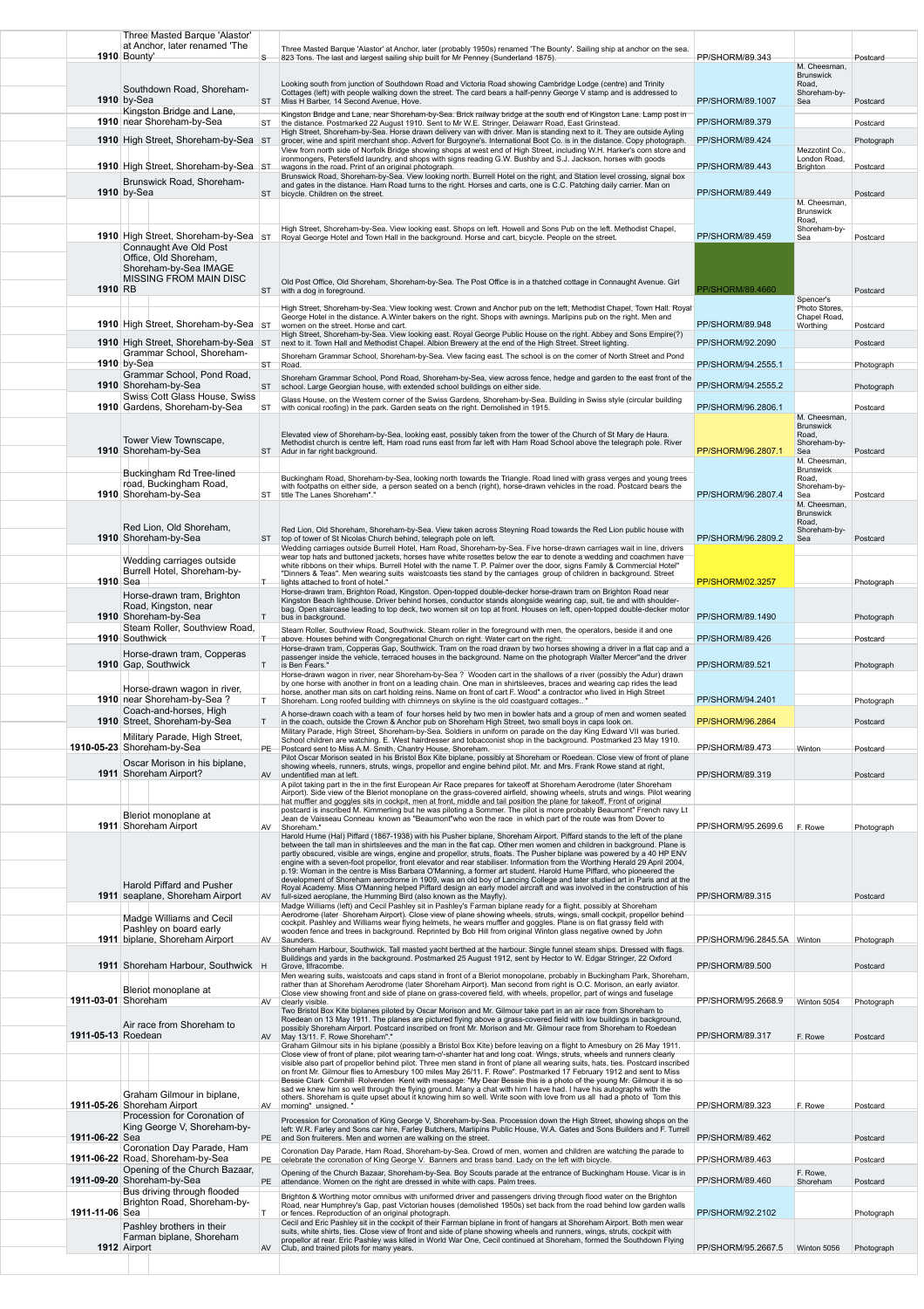|                     | Three Masted Barque 'Alastor'<br>at Anchor, later renamed 'The<br>1910 Bounty' | S.        | Three Masted Barque 'Alastor' at Anchor, later (probably 1950s) renamed 'The Bounty'. Sailing ship at anchor on the sea.<br>823 Tons. The last and largest sailing ship built for Mr Penney (Sunderland 1875).                                                                | PP/SHORM/89.343            |                                  | Postcard   |
|---------------------|--------------------------------------------------------------------------------|-----------|-------------------------------------------------------------------------------------------------------------------------------------------------------------------------------------------------------------------------------------------------------------------------------|----------------------------|----------------------------------|------------|
|                     |                                                                                |           |                                                                                                                                                                                                                                                                               |                            | M. Cheesman,<br><b>Brunswick</b> |            |
|                     | Southdown Road, Shoreham-<br>1910 by-Sea                                       | ST.       | Looking south from junction of Southdown Road and Victoria Road showing Cambridge Lodge (centre) and Trinity<br>Cottages (left) with people walking down the street. The card bears a half-penny George V stamp and is addressed to<br>Miss H Barber, 14 Second Avenue, Hove. | PP/SHORM/89.1007           | Road,<br>Shoreham-by-<br>Sea     | Postcard   |
|                     | Kingston Bridge and Lane,<br>1910 near Shoreham-by-Sea                         |           | Kingston Bridge and Lane, near Shoreham-by-Sea. Brick railway bridge at the south end of Kingston Lane. Lamp post in                                                                                                                                                          | PP/SHORM/89.379            |                                  |            |
|                     |                                                                                | ST        | the distance. Postmarked 22 August 1910. Sent to Mr W.E. Stringer, Delawarr Road, East Grinstead.<br>High Street, Shoreham-by-Sea. Horse drawn delivery van with driver. Man is standing next to it. They are outside Ayling                                                  |                            |                                  | Postcard   |
|                     | 1910 High Street, Shoreham-by-Sea ST                                           |           | grocer, wine and spirit merchant shop. Advert for Burgoyne's. International Boot Co. is in the distance. Copy photograph.<br>View from north side of Norfolk Bridge showing shops at west end of High Street, including W.H. Harker's corn store and                          | PP/SHORM/89.424            | Mezzotint Co.,                   | Photograph |
|                     | 1910 High Street, Shoreham-by-Sea ST                                           |           | ironmongers, Petersfield laundry, and shops with signs reading G.W. Bushby and S.J. Jackson, horses with goods<br>wagons in the road. Print of an original photograph.                                                                                                        | PP/SHORM/89.443            | London Road,<br><b>Brighton</b>  | Postcard   |
|                     | Brunswick Road, Shoreham-                                                      |           | Brunswick Road, Shoreham-by-Sea. View looking north. Burrell Hotel on the right, and Station level crossing, signal box<br>and gates in the distance. Ham Road turns to the right. Horses and carts, one is C.C. Patching daily carrier. Man on                               |                            |                                  |            |
|                     | <b>1910</b> by-Sea                                                             | ST        | bicycle. Children on the street.                                                                                                                                                                                                                                              | PP/SHORM/89.449            | M. Cheesman,                     | Postcard   |
|                     |                                                                                |           |                                                                                                                                                                                                                                                                               |                            | <b>Brunswick</b><br>Road,        |            |
|                     | 1910 High Street, Shoreham-by-Sea                                              | <b>ST</b> | High Street, Shoreham-by-Sea. View looking east. Shops on left. Howell and Sons Pub on the left. Methodist Chapel,<br>Royal George Hotel and Town Hall in the background. Horse and cart, bicycle. People on the street.                                                      | PP/SHORM/89.459            | Shoreham-by-<br>Sea              | Postcard   |
|                     | Connaught Ave Old Post<br>Office, Old Shoreham,                                |           |                                                                                                                                                                                                                                                                               |                            |                                  |            |
|                     | Shoreham-by-Sea IMAGE<br><b>MISSING FROM MAIN DISC</b>                         |           |                                                                                                                                                                                                                                                                               |                            |                                  |            |
| 1910 RB             |                                                                                | <b>ST</b> | Old Post Office, Old Shoreham, Shoreham-by-Sea. The Post Office is in a thatched cottage in Connaught Avenue. Girl<br>with a dog in foreground.                                                                                                                               | PP/SHORM/89.4660           |                                  | Postcard   |
|                     |                                                                                |           | High Street, Shoreham-by-Sea. View looking west. Crown and Anchor pub on the left, Methodist Chapel, Town Hall. Royal                                                                                                                                                         |                            | Spencer's<br>Photo Stores,       |            |
|                     | 1910 High Street, Shoreham-by-Sea ST                                           |           | George Hotel in the distance. A. Winter bakers on the right. Shops with awnings. Marlipins pub on the right. Men and<br>women on the street. Horse and cart.                                                                                                                  | PP/SHORM/89.948            | Chapel Road,<br>Worthing         | Postcard   |
|                     | 1910 High Street, Shoreham-by-Sea ST                                           |           | High Street, Shoreham-by-Sea. View looking east. Royal George Public House on the right. Abbey and Sons Empire(?)<br>next to it. Town Hall and Methodist Chapel. Albion Brewery at the end of the High Street. Street lighting.                                               | PP/SHORM/92.2090           |                                  | Postcard   |
|                     | Grammar School, Shoreham-<br>1910 by-Sea                                       |           | Shoreham Grammar School, Shoreham-by-Sea. View facing east. The school is on the corner of North Street and Pond                                                                                                                                                              |                            |                                  |            |
|                     | Grammar School, Pond Road,                                                     | <b>ST</b> | Road.<br>Shoreham Grammar School, Pond Road, Shoreham-by-Sea, view across fence, hedge and garden to the east front of the                                                                                                                                                    | PP/SHORM/94.2555.1         |                                  | Photograph |
|                     | 1910 Shoreham-by-Sea<br>Swiss Cott Glass House, Swiss                          | ST.       | school. Large Georgian house, with extended school buildings on either side.                                                                                                                                                                                                  | PP/SHORM/94.2555.2         |                                  | Photograph |
|                     | 1910 Gardens, Shoreham-by-Sea                                                  | ST        | Glass House, on the Western corner of the Swiss Gardens, Shoreham-by-Sea. Building in Swiss style (circular building<br>with conical roofing) in the park. Garden seats on the right. Demolished in 1915.                                                                     | PP/SHORM/96.2806.1         |                                  | Postcard   |
|                     |                                                                                |           |                                                                                                                                                                                                                                                                               |                            | M. Cheesman,<br><b>Brunswick</b> |            |
|                     | Tower View Townscape,                                                          |           | Elevated view of Shoreham-by-Sea, looking east, possibly taken from the tower of the Church of St Mary de Haura.<br>Methodist church is centre left, Ham road runs east from far left with Ham Road School above the telegraph pole. River                                    |                            | Road,<br>Shoreham-by-            |            |
|                     | 1910 Shoreham-by-Sea                                                           | ST        | Adur in far right background.                                                                                                                                                                                                                                                 | PP/SHORM/96.2807.1         | Sea<br>M. Cheesman,              | Postcard   |
|                     | Buckingham Rd Tree-lined                                                       |           | Buckingham Road, Shoreham-by-Sea, looking north towards the Triangle. Road lined with grass verges and young trees                                                                                                                                                            |                            | Brunswick<br>Road,               |            |
|                     | road, Buckingham Road,<br>1910 Shoreham-by-Sea                                 | ST        | with footpaths on either side, a person seated on a bench (right), horse-drawn vehicles in the road. Postcard bears the<br>title The Lanes Shoreham".                                                                                                                         | PP/SHORM/96.2807.4         | Shoreham-by-<br>Sea              | Postcard   |
|                     |                                                                                |           |                                                                                                                                                                                                                                                                               |                            | M. Cheesman,                     |            |
|                     | Red Lion, Old Shoreham,                                                        |           |                                                                                                                                                                                                                                                                               |                            | <b>Brunswick</b><br>Road,        |            |
|                     | 1910 Shoreham-by-Sea                                                           | ST        | Red Lion, Old Shoreham, Shoreham-by-Sea. View taken across Steyning Road towards the Red Lion public house with<br>top of tower of St Nicolas Church behind, telegraph pole on left.                                                                                          | PP/SHORM/96.2809.2         | Shoreham-by-<br>Sea              | Postcard   |
|                     | Wedding carriages outside                                                      |           | Wedding carriages outside Burrell Hotel, Ham Road, Shoreham-by-Sea. Five horse-drawn carriages wait in line, drivers<br>wear top hats and buttoned jackets, horses have white rosettes below the ear to denote a wedding and coachmen have                                    |                            |                                  |            |
|                     | Burrell Hotel, Shoreham-by-                                                    |           | white ribbons on their whips. Burrell Hotel with the name T. P. Palmer over the door, signs Family & Commercial Hotel"<br>"Dinners & Teas". Men wearing suits waistcoasts ties stand by the carriages group of children in background. Street                                 |                            |                                  |            |
| 1910 Sea            | Horse-drawn tram, Brighton                                                     |           | lights attached to front of hotel."<br>Horse-drawn tram, Brighton Road, Kingston. Open-topped double-decker horse-drawn tram on Brighton Road near                                                                                                                            | PP/SHORM/02.3257           |                                  | Photograph |
|                     | Road, Kingston, near                                                           |           | Kingston Beach lighthouse. Driver behind horses, conductor stands alongside wearing cap, suit, tie and with shoulder-<br>bag. Open staircase leading to top deck, two women sit on top at front. Houses on left, open-topped double-decker motor                              |                            |                                  |            |
|                     | 1910 Shoreham-by-Sea<br>Steam Roller, Southview Road,                          |           | bus in background.                                                                                                                                                                                                                                                            | PP/SHORM/89.1490           |                                  | Photograph |
|                     | 1910 Southwick                                                                 |           | Steam Roller, Southview Road, Southwick. Steam roller in the foreground with men, the operators, beside it and one<br>above. Houses behind with Congregational Church on right. Water cart on the right.                                                                      | PP/SHORM/89.426            |                                  | Postcard   |
|                     | Horse-drawn tram, Copperas                                                     |           | Horse-drawn tram, Copperas Gap, Southwick. Tram on the road drawn by two horses showing a driver in a flat cap and a<br>passenger inside the vehicle, terraced houses in the background. Name on the photograph Walter Mercer"and the driver                                  |                            |                                  |            |
|                     | 1910 Gap, Southwick                                                            |           | is Ben Fears."<br>Horse-drawn wagon in river, near Shoreham-by-Sea? Wooden cart in the shallows of a river (possibly the Adur) drawn                                                                                                                                          | PP/SHORM/89.521            |                                  | Photograph |
|                     | Horse-drawn wagon in river,                                                    |           | by one horse with another in front on a leading chain. One man in shirtsleeves, braces and wearing cap rides the lead<br>horse, another man sits on cart holding reins. Name on front of cart F. Wood" a contractor who lived in High Street                                  |                            |                                  |            |
|                     | 1910 near Shoreham-by-Sea?<br>Coach-and-horses, High                           | l T       | Shoreham. Long roofed building with chimneys on skyline is the old coastguard cottages '                                                                                                                                                                                      | PP/SHORM/94.2401           |                                  | Photograph |
|                     | 1910 Street, Shoreham-by-Sea                                                   |           | A horse-drawn coach with a team of four horses held by two men in bowler hats and a group of men and women seated<br>in the coach, outside the Crown & Anchor pub on Shoreham High Street, two small boys in caps look on.                                                    | PP/SHORM/96.2864           |                                  | Postcard   |
|                     | Military Parade, High Street,                                                  |           | Military Parade, High Street, Shoreham-by-Sea. Soldiers in uniform on parade on the day King Edward VII was buried.<br>School children are watching. E. West hairdresser and tobacconist shop in the background. Postmarked 23 May 1910.                                      |                            |                                  |            |
|                     | 1910-05-23 Shoreham-by-Sea                                                     | PE.       | Postcard sent to Miss A.M. Smith, Chantry House, Shoreham.<br>Pilot Oscar Morison seated in his Bristol Box Kite biplane, possibly at Shoreham or Roedean. Close view of front of plane                                                                                       | PP/SHORM/89.473            | Winton                           | Postcard   |
|                     | Oscar Morison in his biplane,<br>1911 Shoreham Airport?                        | AV        | showing wheels, runners, struts, wings, propellor and engine behind pilot. Mr. and Mrs. Frank Rowe stand at right,<br>undentified man at left.                                                                                                                                | PP/SHORM/89.319            |                                  | Postcard   |
|                     |                                                                                |           | A pilot taking part in the in the first European Air Race prepares for takeoff at Shoreham Aerodrome (later Shoreham<br>Airport). Side view of the Bleriot monoplane on the grass-covered airfield, showing wheels, struts and wings. Pilot wearing                           |                            |                                  |            |
|                     |                                                                                |           | hat muffler and goggles sits in cockpit, men at front, middle and tail position the plane for takeoff. Front of original<br>postcard is inscribed M. Kimmerling but he was piloting a Sommer. The pilot is more probably Beaumont" French navy Lt                             |                            |                                  |            |
|                     | Bleriot monoplane at<br>1911 Shoreham Airport                                  | AV        | Jean de Vaisseau Conneau known as "Beaumont" who won the race in which part of the route was from Dover to<br>Shoreham."                                                                                                                                                      | PP/SHORM/95.2699.6         | F. Rowe                          |            |
|                     |                                                                                |           | Harold Hume (Hal) Piffard (1867-1938) with his Pusher biplane, Shoreham Airport. Piffard stands to the left of the plane                                                                                                                                                      |                            |                                  | Photograph |
|                     |                                                                                |           | between the tall man in shirtsleeves and the man in the flat cap. Other men women and children in background. Plane is<br>partly obscured, visible are wings, engine and propellor, struts, floats. The Pusher biplane was powered by a 40 HP ENV                             |                            |                                  |            |
|                     |                                                                                |           | engine with a seven-foot propellor, front elevator and rear stabiliser. Information from the Worthing Herald 29 April 2004,<br>p.19: Woman in the centre is Miss Barbara O'Manning, a former art student. Harold Hume Piffard, who pioneered the                              |                            |                                  |            |
|                     | <b>Harold Piffard and Pusher</b>                                               |           | development of Shoreham aerodrome in 1909, was an old boy of Lancing College and later studied art in Paris and at the<br>Royal Academy. Miss O'Manning helped Piffard design an early model aircraft and was involved in the construction of his                             |                            |                                  |            |
|                     | 1911 seaplane, Shoreham Airport                                                | <b>AV</b> | full-sized aeroplane, the Humming Bird (also known as the Mayfly).<br>Madge Williams (left) and Cecil Pashley sit in Pashley's Farman biplane ready for a flight, possibly at Shoreham                                                                                        | PP/SHORM/89.315            |                                  | Postcard   |
|                     | Madge Williams and Cecil<br>Pashley on board early                             |           | Aerodrome (later Shoreham Airport). Close view of plane showing wheels, struts, wings, small cockpit, propellor behind<br>cockpit. Pashley and Williams wear flying helmets, he wears muffler and goggles. Plane is on flat grassy field with                                 |                            |                                  |            |
|                     | 1911 biplane, Shoreham Airport                                                 | AV.       | wooden fence and trees in background. Reprinted by Bob Hill from original Winton glass negative owned by John<br>Saunders.                                                                                                                                                    | PP/SHORM/96.2845.5A Winton |                                  | Photograph |
|                     |                                                                                |           | Shoreham Harbour, Southwick. Tall masted yacht berthed at the harbour. Single funnel steam ships. Dressed with flags.<br>Buildings and yards in the background. Postmarked 25 August 1912, sent by Hector to W. Edgar Stringer, 22 Oxford                                     |                            |                                  |            |
|                     | <b>1911</b> Shoreham Harbour, Southwick H                                      |           | Grove, Ilfracombe.<br>Men wearing suits, waistcoats and caps stand in front of a Bleriot monopolane, probably in Buckingham Park, Shoreham                                                                                                                                    | PP/SHORM/89.500            |                                  | Postcard   |
|                     | Bleriot monoplane at                                                           |           | rather than at Shoreham Aerodrome (later Shoreham Airport). Man second from right is O.C. Morison, an early aviator.<br>Close view showing front and side of plane on grass-covered field, with wheels, propellor, part of wings and fuselage                                 |                            |                                  |            |
| 1911-03-01 Shoreham |                                                                                | AV        | clearly visible.<br>Two Bristol Box Kite biplanes piloted by Oscar Morison and Mr. Gilmour take part in an air race from Shoreham to                                                                                                                                          | PP/SHORM/95.2668.9         | Winton 5054                      | Photograph |
|                     | Air race from Shoreham to                                                      |           | Roedean on 13 May 1911. The planes are pictured flying above a grass-covered field with low buildings in background,<br>possibly Shoreham Airport. Postcard inscribed on front Mr. Morison and Mr. Gilmour race from Shoreham to Roedean                                      |                            |                                  |            |
| 1911-05-13 Roedean  |                                                                                | AV .      | May 13/11. F. Rowe Shoreham"."<br>Graham Gilmour sits in his biplane (possibly a Bristol Box Kite) before leaving on a flight to Amesbury on 26 May 1911.                                                                                                                     | PP/SHORM/89.317            | F. Rowe                          | Postcard   |
|                     |                                                                                |           | Close view of front of plane, pilot wearing tam-o'-shanter hat and long coat. Wings, struts, wheels and runners clearly                                                                                                                                                       |                            |                                  |            |
|                     |                                                                                |           | visible also part of propellor behind pilot. Three men stand in front of plane all wearing suits, hats, ties. Postcard inscribed<br>on front Mr. Gilmour flies to Amesbury 100 miles May 26/11. F. Rowe". Postmarked 17 February 1912 and sent to Miss                        |                            |                                  |            |
|                     | Graham Gilmour in biplane,                                                     |           | Bessie Clark Cornhill Rolvenden Kent with message: "My Dear Bessie this is a photo of the young Mr. Gilmour it is so<br>sad we knew him so well through the flying ground. Many a chat with him I have had. I have his autographs with the                                    |                            |                                  |            |
|                     | 1911-05-26 Shoreham Airport                                                    | AV        | others. Shoreham is quite upset about it knowing him so well. Write soon with love from us all had a photo of Tom this<br>morning" unsigned. "                                                                                                                                | PP/SHORM/89.323            | F. Rowe                          | Postcard   |
|                     | Procession for Coronation of<br>King George V, Shoreham-by-                    |           | Procession for Coronation of King George V, Shoreham-by-Sea. Procession down the High Street, showing shops on the                                                                                                                                                            |                            |                                  |            |
| 1911-06-22 Sea      |                                                                                | <b>PE</b> | left: W.R. Farley and Sons car hire, Farley Butchers, Marlipins Public House, W.A. Gates and Sons Builders and F. Turrell<br>and Son fruiterers. Men and women are walking on the street.                                                                                     | PP/SHORM/89.462            |                                  | Postcard   |
|                     | Coronation Day Parade, Ham<br>1911-06-22 Road, Shoreham-by-Sea                 | <b>PE</b> | Coronation Day Parade, Ham Road, Shoreham-by-Sea. Crowd of men, women and children are watching the parade to<br>celebrate the coronation of King George V. Banners and brass band. Lady on the left with bicycle.                                                            | PP/SHORM/89.463            |                                  | Postcard   |
|                     | Opening of the Church Bazaar,                                                  |           | Opening of the Church Bazaar, Shoreham-by-Sea. Boy Scouts parade at the entrance of Buckingham House. Vicar is in                                                                                                                                                             |                            | F. Rowe,                         |            |
|                     | 1911-09-20 Shoreham-by-Sea<br>Bus driving through flooded                      | PE        | attendance. Women on the right are dressed in white with caps. Palm trees.                                                                                                                                                                                                    | PP/SHORM/89.460            | Shoreham                         | Postcard   |
| 1911-11-06 Sea      | Brighton Road, Shoreham-by-                                                    |           | Brighton & Worthing motor omnibus with uniformed driver and passengers driving through flood water on the Brighton<br>Road, near Humphrey's Gap, past Victorian houses (demolished 1950s) set back from the road behind low garden walls                                      | PP/SHORM/92.2102           |                                  |            |
|                     | Pashley brothers in their                                                      |           | or fences. Reproduction of an original photograph.<br>Cecil and Eric Pashley sit in the cockpit of their Farman biplane in front of hangars at Shoreham Airport. Both men wear                                                                                                |                            |                                  | Photograph |
|                     | Farman biplane, Shoreham                                                       |           | suits, white shirts, ties. Close view of front and side of plane showing wheels and runners, wings, struts, cockpit with<br>propellor at rear. Eric Pashley was killed in World War One, Cecil continued at Shoreham, formed the Southdown Flying                             |                            |                                  |            |
|                     | 1912 Airport                                                                   |           | AV Club, and trained pilots for many years.                                                                                                                                                                                                                                   | PP/SHORM/95.2667.5         | Winton 5056                      | Photograph |
|                     |                                                                                |           |                                                                                                                                                                                                                                                                               |                            |                                  |            |

 $\overline{\phantom{a}}$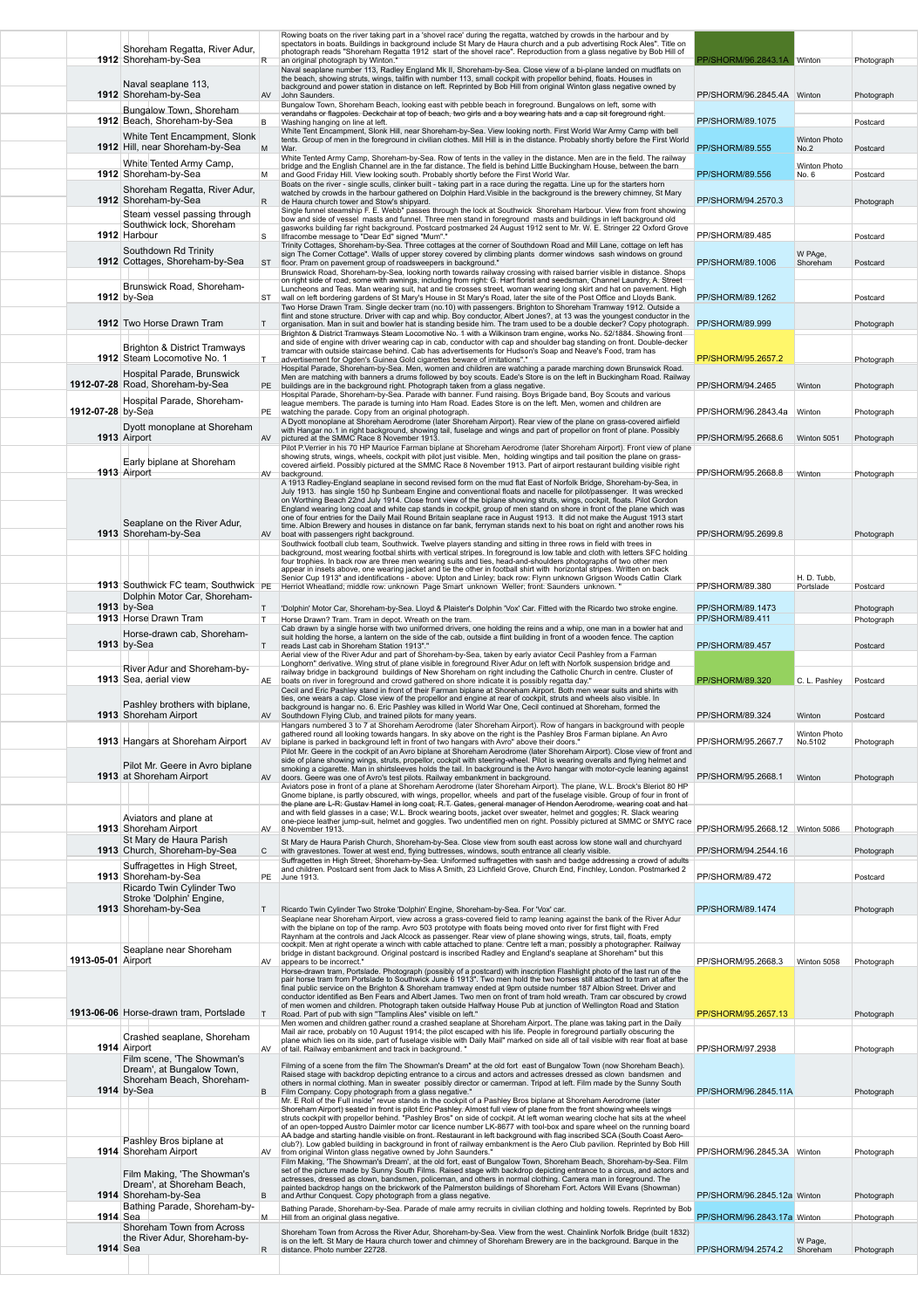|                    | Shoreham Regatta, River Adur,                                               |              | Rowing boats on the river taking part in a 'shovel race' during the regatta, watched by crowds in the harbour and by<br>spectators in boats. Buildings in background include St Mary de Haura church and a pub advertising Rock Ales". Title on<br>photograph reads "Shoreham Regatta 1912 start of the shovel race". Reproduction from a glass negative by Bob Hill of    |                                 |                             |            |
|--------------------|-----------------------------------------------------------------------------|--------------|----------------------------------------------------------------------------------------------------------------------------------------------------------------------------------------------------------------------------------------------------------------------------------------------------------------------------------------------------------------------------|---------------------------------|-----------------------------|------------|
|                    | 1912 Shoreham-by-Sea                                                        | R            | an original photograph by Winton.<br>Naval seaplane number 113, Radley England Mk II, Shoreham-by-Sea. Close view of a bi-plane landed on mudflats on                                                                                                                                                                                                                      | PP/SHORM/96.2843.1A Winton      |                             | Photograph |
|                    | Naval seaplane 113,<br>1912 Shoreham-by-Sea                                 | <b>AV</b>    | the beach, showing struts, wings, tailfin with number 113, small cockpit with propellor behind, floats. Houses in<br>background and power station in distance on left. Reprinted by Bob Hill from original Winton glass negative owned by<br>John Saunders.                                                                                                                | PP/SHORM/96.2845.4A Winton      |                             | Photograph |
|                    | Bungalow Town, Shoreham.                                                    |              | Bungalow Town, Shoreham Beach, looking east with pebble beach in foreground. Bungalows on left, some with<br>verandahs or flagpoles. Deckchair at top of beach, two girls and a boy wearing hats and a cap sit foreground right.                                                                                                                                           |                                 |                             |            |
|                    | 1912 Beach, Shoreham-by-Sea                                                 | B            | Washing hanging on line at left.<br>White Tent Encampment, Slonk Hill, near Shoreham-by-Sea. View looking north. First World War Army Camp with bell                                                                                                                                                                                                                       | PP/SHORM/89.1075                |                             | Postcard   |
|                    | White Tent Encampment, Slonk<br>1912 Hill, near Shoreham-by-Sea             | M            | tents. Group of men in the foreground in civilian clothes. Mill Hill is in the distance. Probably shortly before the First World<br>War.                                                                                                                                                                                                                                   | PP/SHORM/89.555                 | <b>Winton Photo</b><br>No.2 | Postcard   |
|                    | White Tented Army Camp,<br>1912 Shoreham-by-Sea                             | M            | White Tented Army Camp, Shoreham-by-Sea. Row of tents in the valley in the distance. Men are in the field. The railway<br>bridge and the English Channel are in the far distance. The field is behind Little Buckingham House, between the barn                                                                                                                            |                                 | Winton Photo                |            |
|                    | Shoreham Regatta, River Adur,                                               |              | and Good Friday Hill. View looking south. Probably shortly before the First World War.<br>Boats on the river - single sculls, clinker built - taking part in a race during the regatta. Line up for the starters horn<br>watched by crowds in the harbour gathered on Dolphin Hard. Visible in the background is the brewery chimney, St Mary                              | PP/SHORM/89.556                 | No. 6                       | Postcard   |
|                    | 1912 Shoreham-by-Sea                                                        | R.           | de Haura church tower and Stow's shipyard.<br>Single funnel steamship F. E. Webb" passes through the lock at Southwick Shoreham Harbour. View from front showing                                                                                                                                                                                                           | PP/SHORM/94.2570.3              |                             | Photograph |
|                    | Steam vessel passing through<br>Southwick lock, Shoreham                    |              | bow and side of vessel masts and funnel. Three men stand in foreground masts and buildings in left background old<br>gasworks building far right background. Postcard postmarked 24 August 1912 sent to Mr. W. E. Stringer 22 Oxford Grove                                                                                                                                 |                                 |                             |            |
|                    | 1912 Harbour                                                                | S            | llfracombe message to "Dear Ed" signed "Mum"."<br>Trinity Cottages, Shoreham-by-Sea. Three cottages at the corner of Southdown Road and Mill Lane, cottage on left has                                                                                                                                                                                                     | PP/SHORM/89.485                 |                             | Postcard   |
|                    | Southdown Rd Trinity<br>1912 Cottages, Shoreham-by-Sea                      | <b>ST</b>    | sign The Corner Cottage". Walls of upper storey covered by climbing plants dormer windows sash windows on ground<br>floor. Pram on pavement group of roadsweepers in background."                                                                                                                                                                                          | PP/SHORM/89.1006                | W PAge,<br>Shoreham         | Postcard   |
|                    | Brunswick Road, Shoreham-                                                   |              | Brunswick Road, Shoreham-by-Sea, looking north towards railway crossing with raised barrier visible in distance. Shops<br>on right side of road, some with awnings, including from right: G. Hart florist and seedsman, Channel Laundry, A. Street<br>Luncheons and Teas. Man wearing suit, hat and tie crosses street, woman wearing long skirt and hat on pavement. High |                                 |                             |            |
|                    | 1912 by-Sea                                                                 | ST           | wall on left bordering gardens of St Mary's House in St Mary's Road, later the site of the Post Office and Lloyds Bank.<br>Two Horse Drawn Tram. Single decker tram (no.10) with passengers. Brighton to Shoreham Tramway 1912. Outside a                                                                                                                                  | PP/SHORM/89.1262                |                             | Postcard   |
|                    | <b>1912</b> Two Horse Drawn Tram                                            | $\top$       | flint and stone structure. Driver with cap and whip. Boy conductor, Albert Jones?, at 13 was the youngest conductor in the<br>organisation. Man in suit and bowler hat is standing beside him. The tram used to be a double decker? Copy photograph.                                                                                                                       | PP/SHORM/89.999                 |                             | Photograph |
|                    |                                                                             |              | Brighton & District Tramways Steam Locomotive No. 1 with a Wilkinson tram engine, works No. 52/1884. Showing front<br>and side of engine with driver wearing cap in cab, conductor with cap and shoulder bag standing on front. Double-decker                                                                                                                              |                                 |                             |            |
|                    | <b>Brighton &amp; District Tramways</b><br>1912 Steam Locomotive No. 1      |              | tramcar with outside staircase behind. Cab has advertisements for Hudson's Soap and Neave's Food, tram has<br>advertisement for Ogden's Guinea Gold cigarettes beware of imitations"."                                                                                                                                                                                     | PP/SHORM/95.2657.2              |                             | Photograph |
|                    | Hospital Parade, Brunswick<br>1912-07-28 Road, Shoreham-by-Sea              |              | Hospital Parade, Shoreham-by-Sea. Men, women and children are watching a parade marching down Brunswick Road.<br>Men are matching with banners a drums followed by boy scouts. Eade's Store is on the left in Buckingham Road. Railway<br>PE buildings are in the background right. Photograph taken from a glass negative.                                                | PP/SHORM/94.2465                | Winton                      | Photograph |
|                    | Hospital Parade, Shoreham-                                                  |              | Hospital Parade, Shoreham-by-Sea. Parade with banner. Fund raising. Boys Brigade band, Boy Scouts and various<br>league members. The parade is turning into Ham Road. Eades Store is on the left. Men, women and children are                                                                                                                                              |                                 |                             |            |
| 1912-07-28 by-Sea  |                                                                             | PE           | watching the parade. Copy from an original photograph.<br>A Dyott monoplane at Shoreham Aerodrome (later Shoreham Airport). Rear view of the plane on grass-covered airfield                                                                                                                                                                                               | PP/SHORM/96.2843.4a             | Winton                      | Photograph |
|                    | Dyott monoplane at Shoreham<br>1913 Airport                                 | AV           | with Hangar no.1 in right background, showing tail, fuselage and wings and part of propellor on front of plane. Possibly<br>pictured at the SMMC Race 8 November 1913.                                                                                                                                                                                                     | PP/SHORM/95.2668.6              | Winton 5051                 | Photograph |
|                    | Early biplane at Shoreham                                                   |              | Pilot P.Verrier in his 70 HP Maurice Farman biplane at Shoreham Aerodrome (later Shoreham Airport). Front view of plane<br>showing struts, wings, wheels, cockpit with pilot just visible. Men, holding wingtips and tail position the plane on grass-                                                                                                                     |                                 |                             |            |
|                    | 1913 Airport                                                                | AV           | covered airfield. Possibly pictured at the SMMC Race 8 November 1913. Part of airport restaurant building visible right<br>background.                                                                                                                                                                                                                                     | PP/SHORM/95.2668.8              | Winton                      | Photograph |
|                    |                                                                             |              | A 1913 Radley-England seaplane in second revised form on the mud flat East of Norfolk Bridge, Shoreham-by-Sea, in<br>July 1913. has single 150 hp Sunbeam Engine and conventional floats and nacelle for pilot/passenger. It was wrecked<br>on Worthing Beach 22nd July 1914. Close front view of the biplane showing struts, wings, cockpit, floats. Pilot Gordon         |                                 |                             |            |
|                    |                                                                             |              | England wearing long coat and white cap stands in cockpit, group of men stand on shore in front of the plane which was<br>one of four entries for the Daily Mail Round Britain seaplane race in August 1913. It did not make the August 1913 start                                                                                                                         |                                 |                             |            |
|                    | Seaplane on the River Adur,<br>1913 Shoreham-by-Sea                         | AV           | time. Albion Brewery and houses in distance on far bank, ferryman stands next to his boat on right and another rows his<br>boat with passengers right background.                                                                                                                                                                                                          | PP/SHORM/95.2699.8              |                             | Photograph |
|                    |                                                                             |              | Southwick football club team, Southwick. Twelve players standing and sitting in three rows in field with trees in<br>background, most wearing footbal shirts with vertical stripes. In foreground is low table and cloth with letters SFC holding                                                                                                                          |                                 |                             |            |
|                    |                                                                             |              | four trophies. In back row are three men wearing suits and ties, head-and-shoulders photographs of two other men<br>appear in insets above, one wearing jacket and tie the other in football shirt with horizontal stripes. Written on back<br>Senior Cup 1913" and identifications - above: Upton and Linley; back row: Flynn unknown Grigson Woods Catlin Clark          |                                 | H. D. Tubb,                 |            |
|                    | <b>1913</b> Southwick FC team, Southwick PE<br>Dolphin Motor Car, Shoreham- |              | Herriot Wheatland; middle row: unknown Page Smart unknown Weller; front: Saunders unknown."                                                                                                                                                                                                                                                                                | PP/SHORM/89.380                 | Portslade                   | Postcard   |
|                    | 1913 by-Sea<br>1913 Horse Drawn Tram                                        |              | 'Dolphin' Motor Car, Shoreham-by-Sea. Lloyd & Plaister's Dolphin 'Vox' Car. Fitted with the Ricardo two stroke engine.                                                                                                                                                                                                                                                     | PP/SHORM/89.1473                |                             | Photograph |
|                    | Horse-drawn cab, Shoreham-                                                  |              | Horse Drawn? Tram. Tram in depot. Wreath on the tram.<br>Cab drawn by a single horse with two uniformed drivers, one holding the reins and a whip, one man in a bowler hat and<br>suit holding the horse, a lantern on the side of the cab, outside a flint building in front of a wooden fence. The caption                                                               | PP/SHORM/89.411                 |                             | Photograph |
|                    | <b>1913</b> by-Sea                                                          |              | reads Last cab in Shoreham Station 1913"."<br>Aerial view of the River Adur and part of Shoreham-by-Sea, taken by early aviator Cecil Pashley from a Farman                                                                                                                                                                                                                | PP/SHORM/89.457                 |                             | Postcard   |
|                    | River Adur and Shoreham-by-                                                 |              | Longhorn" derivative. Wing strut of plane visible in foreground River Adur on left with Norfolk suspension bridge and<br>railway bridge in background buildings of New Shoreham on right including the Catholic Church in centre. Cluster of                                                                                                                               |                                 |                             |            |
|                    | 1913 Sea, aerial view                                                       | AE           | boats on river in foreground and crowd gathered on shore indicate it is possibly regatta day."<br>Cecil and Eric Pashley stand in front of their Farman biplane at Shoreham Airport. Both men wear suits and shirts with                                                                                                                                                   | PP/SHORM/89.320                 | C. L. Pashley               | Postcard   |
|                    | Pashley brothers with biplane,<br>1913 Shoreham Airport                     | AV.          | ties, one wears a cap. Close view of the propellor and engine at rear of cockpit, struts and wheels also visible. In<br>background is hangar no. 6. Eric Pashley was killed in World War One, Cecil continued at Shoreham, formed the                                                                                                                                      | PP/SHORM/89.324                 | Winton                      |            |
|                    |                                                                             |              | Southdown Flying Club, and trained pilots for many years.<br>Hangars numbered 3 to 7 at Shoreham Aerodrome (later Shoreham Airport). Row of hangars in background with people<br>gathered round all looking towards hangars. In sky above on the right is the Pashley Bros Farman biplane. An Avro                                                                         |                                 | Winton Photo                | Postcard   |
|                    | 1913 Hangars at Shoreham Airport                                            | <b>AV</b>    | biplane is parked in background left in front of two hangars with Avro" above their doors."<br>Pilot Mr. Geere in the cockpit of an Avro biplane at Shoreham Aerodrome (later Shoreham Airport). Close view of front and                                                                                                                                                   | PP/SHORM/95.2667.7              | No.5102                     | Photograph |
|                    | Pilot Mr. Geere in Avro biplane                                             |              | side of plane showing wings, struts, propellor, cockpit with steering-wheel. Pilot is wearing overalls and flying helmet and<br>smoking a cigarette. Man in shirtsleeves holds the tail. In background is the Avro hangar with motor-cycle leaning against                                                                                                                 |                                 |                             |            |
|                    | 1913 at Shoreham Airport                                                    | AV.          | doors. Geere was one of Avro's test pilots. Railway embankment in background.<br>Aviators pose in front of a plane at Shoreham Aerodrome (later Shoreham Airport). The plane, W.L. Brock's Bleriot 80 HP                                                                                                                                                                   | PP/SHORM/95.2668.1              | Winton                      | Photograph |
|                    |                                                                             |              | Gnome biplane, is partly obscured, with wings, propellor, wheels and part of the fuselage visible. Group of four in front of<br>the plane are L-R: Gustav Hamel in long coat; R.T. Gates, general manager of Hendon Aerodrome, wearing coat and hat                                                                                                                        |                                 |                             |            |
|                    | Aviators and plane at<br>1913 Shoreham Airport                              | AV.          | and with field glasses in a case; W.L. Brock wearing boots, jacket over sweater, helmet and goggles; R. Slack wearing<br>one-piece leather jump-suit, helmet and goggles. Two undentified men on right. Possibly pictured at SMMC or SMYC race<br>8 November 1913.                                                                                                         | PP/SHORM/95.2668.12 Winton 5086 |                             | Photograph |
|                    | St Mary de Haura Parish<br>1913 Church, Shoreham-by-Sea                     | $\mathsf{C}$ | St Mary de Haura Parish Church, Shoreham-by-Sea. Close view from south east across low stone wall and churchyard                                                                                                                                                                                                                                                           | PP/SHORM/94.2544.16             |                             |            |
|                    | Suffragettes in High Street,                                                |              | with gravestones. Tower at west end, flying buttresses, windows, south entrance all clearly visible.<br>Suffragettes in High Street, Shoreham-by-Sea. Uniformed suffragettes with sash and badge addressing a crowd of adults<br>and children. Postcard sent from Jack to Miss A Smith, 23 Lichfield Grove, Church End, Finchley, London. Postmarked 2                     |                                 |                             | Photograph |
|                    | 1913 Shoreham-by-Sea<br>Ricardo Twin Cylinder Two                           |              | PE June 1913.                                                                                                                                                                                                                                                                                                                                                              | PP/SHORM/89.472                 |                             | Postcard   |
|                    | Stroke 'Dolphin' Engine,<br>1913 Shoreham-by-Sea                            |              |                                                                                                                                                                                                                                                                                                                                                                            | PP/SHORM/89.1474                |                             |            |
|                    |                                                                             |              | Ricardo Twin Cylinder Two Stroke 'Dolphin' Engine, Shoreham-by-Sea. For 'Vox' car.<br>Seaplane near Shoreham Airport, view across a grass-covered field to ramp leaning against the bank of the River Adur<br>with the biplane on top of the ramp. Avro 503 prototype with floats being moved onto river for first flight with Fred                                        |                                 |                             | Photograph |
|                    |                                                                             |              | Raynham at the controls and Jack Alcock as passenger. Rear view of plane showing wings, struts, tail, floats, empty<br>cockpit. Men at right operate a winch with cable attached to plane. Centre left a man, possibly a photographer. Railway                                                                                                                             |                                 |                             |            |
| 1913-05-01 Airport | Seaplane near Shoreham                                                      | AV           | bridge in distant background. Original postcard is inscribed Radley and England's seaplane at Shoreham" but this<br>appears to be incorrect."                                                                                                                                                                                                                              | PP/SHORM/95.2668.3              | Winton 5058                 | Photograph |
|                    |                                                                             |              | Horse-drawn tram, Portslade. Photograph (possibly of a postcard) with inscription Flashlight photo of the last run of the<br>pair horse tram from Portslade to Southwick June 6 1913". Two men hold the two horses still attached to tram at after the                                                                                                                     |                                 |                             |            |
|                    |                                                                             |              | final public service on the Brighton & Shoreham tramway ended at 9pm outside number 187 Albion Street. Driver and<br>conductor identified as Ben Fears and Albert James. Two men on front of tram hold wreath. Tram car obscured by crowd<br>of men women and children. Photograph taken outside Halfway House Pub at junction of Wellington Road and Station              |                                 |                             |            |
|                    | 1913-06-06 Horse-drawn tram, Portslade                                      |              | Road. Part of pub with sign "Tamplins Ales" visible on left."<br>Men women and children gather round a crashed seaplane at Shoreham Airport. The plane was taking part in the Daily                                                                                                                                                                                        | PP/SHORM/95.2657.13             |                             | Photograph |
|                    | Crashed seaplane, Shoreham                                                  |              | Mail air race, probably on 10 August 1914; the pilot escaped with his life. People in foreground partially obscuring the<br>plane which lies on its side, part of fuselage visible with Daily Mail" marked on side all of tail visible with rear float at base                                                                                                             |                                 |                             |            |
|                    | 1914 Airport<br>Film scene, 'The Showman's                                  | AV           | of tail. Railway embankment and track in background. '                                                                                                                                                                                                                                                                                                                     | PP/SHORM/97.2938                |                             | Photograph |
|                    | Dream', at Bungalow Town,<br>Shoreham Beach, Shoreham-                      |              | Filming of a scene from the film The Showman's Dream" at the old fort east of Bungalow Town (now Shoreham Beach).<br>Raised stage with backdrop depicting entrance to a circus and actors and actresses dressed as clown bandsmen and<br>others in normal clothing. Man in sweater possibly director or camerman. Tripod at left. Film made by the Sunny South             |                                 |                             |            |
|                    | 1914 by-Sea                                                                 | B            | Film Company. Copy photograph from a glass negative."<br>Mr. E Roll of the Full inside" revue stands in the cockpit of a Pashley Bros biplane at Shoreham Aerodrome (later                                                                                                                                                                                                 | PP/SHORM/96.2845.11A            |                             | Photograph |
|                    |                                                                             |              | Shoreham Airport) seated in front is pilot Eric Pashley. Almost full view of plane from the front showing wheels wings<br>struts cockpit with propellor behind. "Pashley Bros" on side of cockpit. At left woman wearing cloche hat sits at the wheel                                                                                                                      |                                 |                             |            |
|                    | Pashley Bros biplane at                                                     |              | of an open-topped Austro Daimler motor car licence number LK-8677 with tool-box and spare wheel on the running board<br>AA badge and starting handle visible on front. Restaurant in left background with flag inscribed SCA (South Coast Aero-                                                                                                                            |                                 |                             |            |
|                    | 1914 Shoreham Airport                                                       | AV           | club?). Low gabled building in background in front of railway embankment is the Aero Club pavilion. Reprinted by Bob Hill<br>from original Winton glass negative owned by John Saunders."<br>Film Making, 'The Showman's Dream', at the old fort, east of Bungalow Town, Shoreham Beach, Shoreham-by-Sea. Film                                                             | PP/SHORM/96.2845.3A Winton      |                             | Photograph |
|                    | Film Making, 'The Showman's                                                 |              | set of the picture made by Sunny South Films. Raised stage with backdrop depicting entrance to a circus, and actors and<br>actresses, dressed as clown, bandsmen, policeman, and others in normal clothing. Camera man in foreground. The                                                                                                                                  |                                 |                             |            |
|                    | Dream', at Shoreham Beach,<br>1914 Shoreham-by-Sea                          | B            | painted backdrop hangs on the brickwork of the Palmerston buildings of Shoreham Fort. Actors Will Evans (Showman)<br>and Arthur Conquest. Copy photograph from a glass negative.                                                                                                                                                                                           | PP/SHORM/96.2845.12a Winton     |                             | Photograph |
| 1914 Sea           | Bathing Parade, Shoreham-by-                                                | M            | Bathing Parade, Shoreham-by-Sea. Parade of male army recruits in civilian clothing and holding towels. Reprinted by Bob<br>Hill from an original glass negative.                                                                                                                                                                                                           | PP/SHORM/96.2843.17a Winton     |                             | Photograph |
|                    | Shoreham Town from Across<br>the River Adur, Shoreham-by-                   |              | Shoreham Town from Across the River Adur, Shoreham-by-Sea. View from the west. Chainlink Norfolk Bridge (built 1832)                                                                                                                                                                                                                                                       |                                 |                             |            |
| <b>1914</b> Sea    |                                                                             | R            | is on the left. St Mary de Haura church tower and chimney of Shoreham Brewery are in the background. Barque in the<br>distance. Photo number 22728.                                                                                                                                                                                                                        | PP/SHORM/94.2574.2              | W Page,<br>Shoreham         | Photograph |
|                    |                                                                             |              |                                                                                                                                                                                                                                                                                                                                                                            |                                 |                             |            |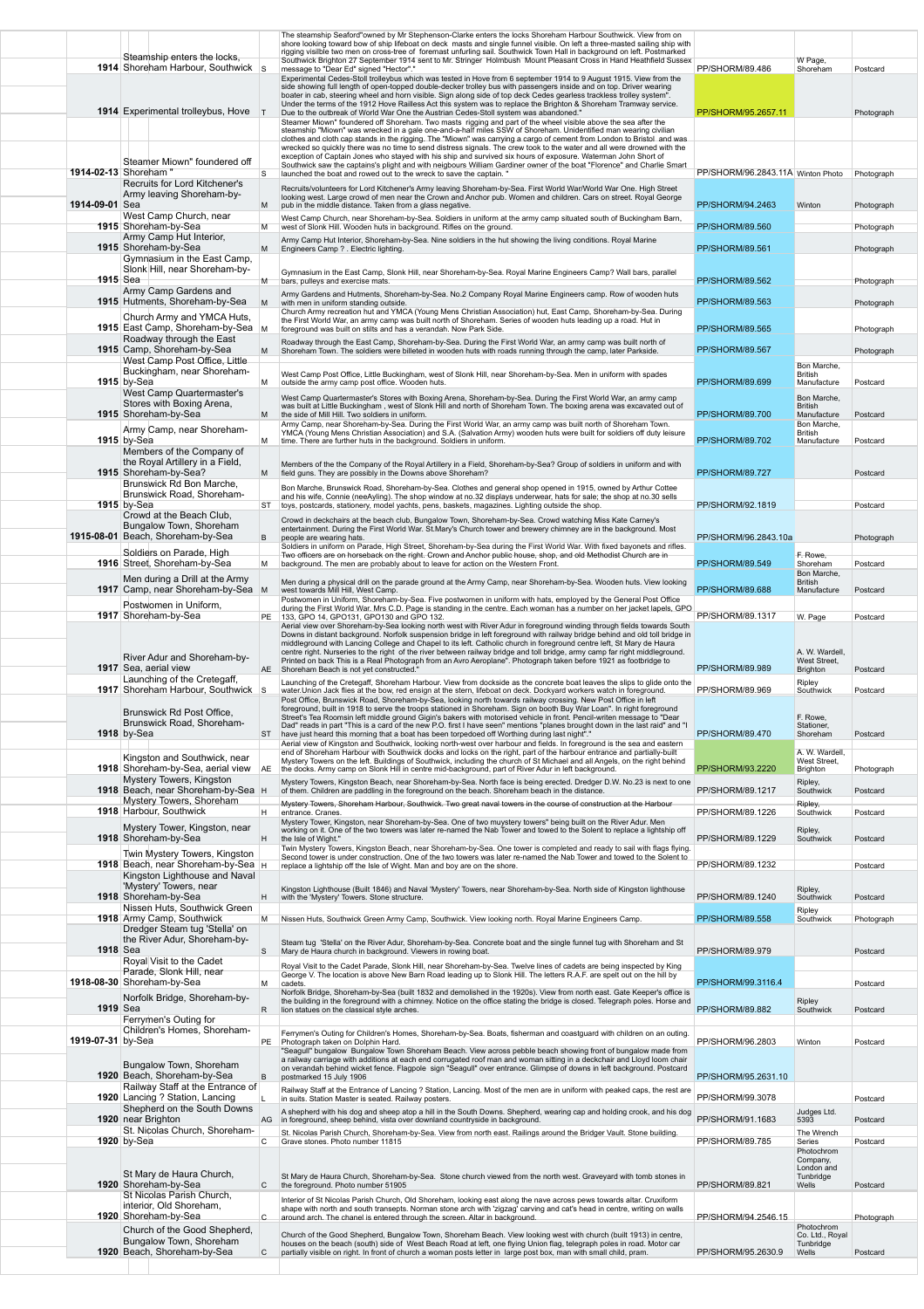|                     |                                                                            |              | The steamship Seaford"owned by Mr Stephenson-Clarke enters the locks Shoreham Harbour Southwick. View from on<br>shore looking toward bow of ship lifeboat on deck masts and single funnel visible. On left a three-masted sailing ship with                                                                                                                                   |                                   |                                              |            |
|---------------------|----------------------------------------------------------------------------|--------------|--------------------------------------------------------------------------------------------------------------------------------------------------------------------------------------------------------------------------------------------------------------------------------------------------------------------------------------------------------------------------------|-----------------------------------|----------------------------------------------|------------|
|                     | Steamship enters the locks,<br><b>1914</b> Shoreham Harbour, Southwick S   |              | rigging visilble two men on cross-tree of foremast unfurling sail. Southwick Town Hall in background on left. Postmarked<br>Southwick Brighton 27 September 1914 sent to Mr. Stringer Holmbush Mount Pleasant Cross in Hand Heathfield Sussex                                                                                                                                  |                                   | W Page,                                      |            |
|                     |                                                                            |              | message to "Dear Ed" signed "Hector"."<br>Experimental Cedes-Stoll trolleybus which was tested in Hove from 6 september 1914 to 9 August 1915. View from the<br>side showing full length of open-topped double-decker trolley bus with passengers inside and on top. Driver wearing                                                                                            | PP/SHORM/89.486                   | Shoreham                                     | Postcard   |
|                     |                                                                            |              | boater in cab, steering wheel and horn visible. Sign along side of top deck Cedes gearless trackless trolley system".<br>Under the terms of the 1912 Hove Railless Act this system was to replace the Brighton & Shoreham Tramway service.                                                                                                                                     |                                   |                                              |            |
|                     | 1914 Experimental trolleybus, Hove                                         |              | Due to the outbreak of World War One the Austrian Cedes-Stoll system was abandoned."<br>Steamer Miown" foundered off Shoreham. Two masts rigging and part of the wheel visible above the sea after the                                                                                                                                                                         | PP/SHORM/95.2657.11               |                                              | Photograph |
|                     |                                                                            |              | steamship "Miown" was wrecked in a gale one-and-a-half miles SSW of Shoreham. Unidentified man wearing civilian<br>clothes and cloth cap stands in the rigging. The "Miown" was carrying a cargo of cement from London to Bristol and was                                                                                                                                      |                                   |                                              |            |
|                     | Steamer Miown" foundered off                                               |              | wrecked so quickly there was no time to send distress signals. The crew took to the water and all were drowned with the<br>exception of Captain Jones who stayed with his ship and survived six hours of exposure. Waterman John Short of<br>Southwick saw the captains's plight and with neigbours William Gardiner owner of the boat "Florence" and Charlie Smart            |                                   |                                              |            |
| 1914-02-13 Shoreham | Recruits for Lord Kitchener's                                              | $\mathsf{S}$ | launched the boat and rowed out to the wreck to save the captain.                                                                                                                                                                                                                                                                                                              | PP/SHORM/96.2843.11A Winton Photo |                                              | Photograph |
| 1914-09-01 Sea      | Army leaving Shoreham-by-                                                  |              | Recruits/volunteers for Lord Kitchener's Army leaving Shoreham-by-Sea. First World War/World War One. High Street<br>looking west. Large crowd of men near the Crown and Anchor pub. Women and children. Cars on street. Royal George                                                                                                                                          |                                   |                                              |            |
|                     | West Camp Church, near                                                     | M            | pub in the middle distance. Taken from a glass negative.<br>West Camp Church, near Shoreham-by-Sea. Soldiers in uniform at the army camp situated south of Buckingham Barn,                                                                                                                                                                                                    | PP/SHORM/94.2463                  | Winton                                       | Photograph |
|                     | 1915 Shoreham-by-Sea<br>Army Camp Hut Interior,                            | M            | west of Slonk Hill. Wooden huts in background. Rifles on the ground.<br>Army Camp Hut Interior, Shoreham-by-Sea. Nine soldiers in the hut showing the living conditions. Royal Marine                                                                                                                                                                                          | PP/SHORM/89.560                   |                                              | Photograph |
|                     | 1915 Shoreham-by-Sea<br>Gymnasium in the East Camp,                        | M            | Engineers Camp ? . Electric lighting.                                                                                                                                                                                                                                                                                                                                          | PP/SHORM/89.561                   |                                              | Photograph |
| <b>1915</b> Sea     | Slonk Hill, near Shoreham-by-                                              | M            | Gymnasium in the East Camp, Slonk Hill, near Shoreham-by-Sea. Royal Marine Engineers Camp? Wall bars, parallel<br>bars, pulleys and exercise mats.                                                                                                                                                                                                                             | PP/SHORM/89.562                   |                                              | Photograph |
|                     | Army Camp Gardens and<br>1915 Hutments, Shoreham-by-Sea                    | M            | Army Gardens and Hutments, Shoreham-by-Sea. No.2 Company Royal Marine Engineers camp. Row of wooden huts<br>with men in uniform standing outside.                                                                                                                                                                                                                              | PP/SHORM/89.563                   |                                              | Photograph |
|                     | Church Army and YMCA Huts,                                                 |              | Church Army recreation hut and YMCA (Young Mens Christian Association) hut, East Camp, Shoreham-by-Sea. During<br>the First World War, an army camp was built north of Shoreham. Series of wooden huts leading up a road. Hut in                                                                                                                                               |                                   |                                              |            |
|                     | 1915 East Camp, Shoreham-by-Sea M<br>Roadway through the East              |              | foreground was built on stilts and has a verandah. Now Park Side.<br>Roadway through the East Camp, Shoreham-by-Sea. During the First World War, an army camp was built north of                                                                                                                                                                                               | PP/SHORM/89.565                   |                                              | Photograph |
|                     | 1915 Camp, Shoreham-by-Sea<br>West Camp Post Office, Little                | M            | Shoreham Town. The soldiers were billeted in wooden huts with roads running through the camp, later Parkside.                                                                                                                                                                                                                                                                  | PP/SHORM/89.567                   |                                              | Photograph |
|                     | Buckingham, near Shoreham-<br>1915 by-Sea                                  | M            | West Camp Post Office, Little Buckingham, west of Slonk Hill, near Shoreham-by-Sea. Men in uniform with spades<br>outside the army camp post office. Wooden huts.                                                                                                                                                                                                              | <b>PP/SHORM/89.699</b>            | Bon Marche,<br><b>British</b><br>Manufacture | Postcard   |
|                     | West Camp Quartermaster's                                                  |              | West Camp Quartermaster's Stores with Boxing Arena, Shoreham-by-Sea. During the First World War, an army camp                                                                                                                                                                                                                                                                  |                                   | Bon Marche,                                  |            |
|                     | Stores with Boxing Arena,<br>1915 Shoreham-by-Sea                          | M            | was built at Little Buckingham, west of Slonk Hill and north of Shoreham Town. The boxing arena was excavated out of<br>the side of Mill Hill. Two soldiers in uniform.                                                                                                                                                                                                        | <b>PP/SHORM/89.700</b>            | <b>British</b><br>Manufacture                | Postcard   |
|                     | Army Camp, near Shoreham-<br>1915 by-Sea                                   | M            | Army Camp, near Shoreham-by-Sea. During the First World War, an army camp was built north of Shoreham Town.<br>YMCA (Young Mens Christian Association) and S.A. (Salvation Army) wooden huts were built for soldiers off duty leisure<br>time. There are further huts in the background. Soldiers in uniform.                                                                  | <b>PP/SHORM/89.702</b>            | Bon Marche,<br><b>British</b><br>Manufacture | Postcard   |
|                     | Members of the Company of<br>the Royal Artillery in a Field,               |              |                                                                                                                                                                                                                                                                                                                                                                                |                                   |                                              |            |
|                     | 1915 Shoreham-by-Sea?                                                      | M            | Members of the the Company of the Royal Artillery in a Field, Shoreham-by-Sea? Group of soldiers in uniform and with<br>field guns. They are possibly in the Downs above Shoreham?                                                                                                                                                                                             | PP/SHORM/89.727                   |                                              | Postcard   |
|                     | Brunswick Rd Bon Marche,<br>Brunswick Road, Shoreham-                      |              | Bon Marche, Brunswick Road, Shoreham-by-Sea. Clothes and general shop opened in 1915, owned by Arthur Cottee<br>and his wife, Connie (neeAyling). The shop window at no.32 displays underwear, hats for sale; the shop at no.30 sells                                                                                                                                          |                                   |                                              |            |
|                     | 1915 by-Sea<br>Crowd at the Beach Club,                                    | <b>ST</b>    | toys, postcards, stationery, model yachts, pens, baskets, magazines. Lighting outside the shop.<br>Crowd in deckchairs at the beach club, Bungalow Town, Shoreham-by-Sea. Crowd watching Miss Kate Carney's                                                                                                                                                                    | PP/SHORM/92.1819                  |                                              | Postcard   |
|                     | Bungalow Town, Shoreham<br>1915-08-01 Beach, Shoreham-by-Sea               | B            | entertainment. During the First World War. St.Mary's Church tower and brewery chimney are in the background. Most<br>people are wearing hats.                                                                                                                                                                                                                                  | PP/SHORM/96.2843.10a              |                                              | Photograph |
|                     | Soldiers on Parade, High                                                   |              | Soldiers in uniform on Parade, High Street, Shoreham-by-Sea during the First World War. With fixed bayonets and rifles.<br>Two officers are on horseback on the right. Crown and Anchor public house, shop, and old Methodist Church are in                                                                                                                                    |                                   | F. Rowe,                                     |            |
|                     | 1916 Street, Shoreham-by-Sea<br>Men during a Drill at the Army             | M            | background. The men are probably about to leave for action on the Western Front.                                                                                                                                                                                                                                                                                               | <b>PP/SHORM/89.549</b>            | Shoreham<br>Bon Marche,                      | Postcard   |
|                     | 1917 Camp, near Shoreham-by-Sea M                                          |              | Men during a physical drill on the parade ground at the Army Camp, near Shoreham-by-Sea. Wooden huts. View looking<br>west towards Mill Hill, West Camp.<br>Postwomen in Uniform, Shoreham-by-Sea. Five postwomen in uniform with hats, employed by the General Post Office                                                                                                    | PP/SHORM/89.688                   | <b>British</b><br>Manufacture                | Postcard   |
|                     | Postwomen in Uniform,<br>1917 Shoreham-by-Sea                              | PE.          | during the First World War. Mrs C.D. Page is standing in the centre. Each woman has a number on her jacket lapels, GPO<br>133, GPO 14, GPO131, GPO130 and GPO 132.                                                                                                                                                                                                             | PP/SHORM/89.1317                  | W. Page                                      | Postcard   |
|                     |                                                                            |              | Aerial view over Shoreham-by-Sea looking north west with River Adur in foreground winding through fields towards South<br>Downs in distant background. Norfolk suspension bridge in left foreground with railway bridge behind and old toll bridge in                                                                                                                          |                                   |                                              |            |
|                     | River Adur and Shoreham-by-                                                |              | middleground with Lancing College and Chapel to its left. Catholic church in foreground centre left, St Mary de Haura<br>centre right. Nurseries to the right of the river between railway bridge and toll bridge, army camp far right middleground.<br>Printed on back This is a Real Photograph from an Avro Aeroplane". Photograph taken before 1921 as footbridge to       |                                   | A. W. Wardell,<br>West Street,               |            |
|                     | 1917 Sea, aerial view<br>Launching of the Cretegaff,                       | AE           | Shoreham Beach is not yet constructed."                                                                                                                                                                                                                                                                                                                                        | PP/SHORM/89.989                   | <b>Brighton</b>                              | Postcard   |
|                     | 1917 Shoreham Harbour, Southwick Is                                        |              | Launching of the Cretegaff, Shoreham Harbour. View from dockside as the concrete boat leaves the slips to glide onto the<br>water. Union Jack flies at the bow, red ensign at the stern, lifeboat on deck. Dockyard workers watch in foreground.<br>Post Office, Brunswick Road, Shoreham-by-Sea, looking north towards railway crossing. New Post Office in left              | PP/SHORM/89.969                   | Ripley<br>Southwick                          | Postcard   |
|                     | Brunswick Rd Post Office,                                                  |              | foreground, built in 1918 to serve the troops stationed in Shoreham. Sign on booth Buy War Loan". In right foreground<br>Street's Tea Roomsin left middle ground Gigin's bakers with motorised vehicle in front. Pencil-writen message to "Dear                                                                                                                                |                                   | F. Rowe,                                     |            |
|                     | Brunswick Road, Shoreham-<br>1918 by-Sea                                   | <b>ST</b>    | Dad" reads in part "This is a card of the new P.O. first I have seen" mentions "planes brought down in the last raid" and "I<br>have just heard this morning that a boat has been torpedoed off Worthing during last night"."                                                                                                                                                  | PP/SHORM/89.470                   | Stationer,<br>Shoreham                       | Postcard   |
|                     | Kingston and Southwick, near                                               |              | Aerial view of Kingston and Southwick, looking north-west over harbour and fields. In foreground is the sea and eastern<br>end of Shoreham Harbour with Southwick docks and locks on the right, part of the harbour entrance and partially-built<br>Mystery Towers on the left. Buildings of Southwick, including the church of St Michael and all Angels, on the right behind |                                   | A. W. Wardell,<br><b>West Street,</b>        |            |
|                     | 1918 Shoreham-by-Sea, aerial view   AE<br>Mystery Towers, Kingston         |              | the docks. Army camp on Slonk Hill in centre mid-background, part of River Adur in left background.                                                                                                                                                                                                                                                                            | PP/SHORM/93.2220                  | Brighton                                     | Photograph |
|                     | 1918 Beach, near Shoreham-by-Sea H                                         |              | Mystery Towers, Kingston Beach, near Shoreham-by-Sea. North face is being erected. Dredger D.W. No.23 is next to one<br>of them. Children are paddling in the foreground on the beach. Shoreham beach in the distance.                                                                                                                                                         | PP/SHORM/89.1217                  | Ripley,<br>Southwick                         | Postcard   |
|                     | Mystery Towers, Shoreham<br>1918 Harbour, Southwick                        | H            | Mystery Towers, Shoreham Harbour, Southwick. Two great naval towers in the course of construction at the Harbour<br>entrance. Cranes.                                                                                                                                                                                                                                          | PP/SHORM/89.1226                  | Ripley,<br>Southwick                         | Postcard   |
|                     | Mystery Tower, Kingston, near<br>1918 Shoreham-by-Sea                      | H            | Mystery Tower, Kingston, near Shoreham-by-Sea. One of two muystery towers" being built on the River Adur. Men<br>working on it. One of the two towers was later re-named the Nab Tower and towed to the Solent to replace a lightship off<br>the Isle of Wight."                                                                                                               | PP/SHORM/89.1229                  | Ripley,<br>Southwick                         | Postcard   |
|                     | Twin Mystery Towers, Kingston                                              |              | Twin Mystery Towers, Kingston Beach, near Shoreham-by-Sea. One tower is completed and ready to sail with flags flying.<br>Second tower is under construction. One of the two towers was later re-named the Nab Tower and towed to the Solent to                                                                                                                                |                                   |                                              |            |
|                     | 1918 Beach, near Shoreham-by-Sea   H<br>Kingston Lighthouse and Naval      |              | replace a lightship off the Isle of Wight. Man and boy are on the shore.                                                                                                                                                                                                                                                                                                       | PP/SHORM/89.1232                  |                                              | Postcard   |
|                     | 'Mystery' Towers, near<br>1918 Shoreham-by-Sea                             | H            | Kingston Lighthouse (Built 1846) and Naval 'Mystery' Towers, near Shoreham-by-Sea. North side of Kingston lighthouse<br>with the 'Mystery' Towers. Stone structure.                                                                                                                                                                                                            | PP/SHORM/89.1240                  | Ripley,<br>Southwick                         | Postcard   |
|                     | Nissen Huts, Southwick Green<br>1918 Army Camp, Southwick                  | M            | Nissen Huts, Southwick Green Army Camp, Southwick. View looking north. Royal Marine Engineers Camp.                                                                                                                                                                                                                                                                            | <b>PP/SHORM/89.558</b>            | Ripley<br>Southwick                          | Photograph |
|                     | Dredger Steam tug 'Stella' on<br>the River Adur, Shoreham-by-              |              |                                                                                                                                                                                                                                                                                                                                                                                |                                   |                                              |            |
| <b>1918</b> Sea     |                                                                            | S            | Steam tug 'Stella' on the River Adur, Shoreham-by-Sea. Concrete boat and the single funnel tug with Shoreham and St<br>Mary de Haura church in background. Viewers in rowing boat.                                                                                                                                                                                             | PP/SHORM/89.979                   |                                              | Postcard   |
|                     | Royal Visit to the Cadet<br>Parade, Slonk Hill, near                       |              | Royal Visit to the Cadet Parade, Slonk Hill, near Shoreham-by-Sea. Twelve lines of cadets are being inspected by King<br>George V. The location is above New Barn Road leading up to Slonk Hill. The letters R.A.F. are spelt out on the hill by                                                                                                                               |                                   |                                              |            |
|                     | 1918-08-30 Shoreham-by-Sea<br>Norfolk Bridge, Shoreham-by-                 | M            | cadets.<br>Norfolk Bridge, Shoreham-by-Sea (built 1832 and demolished in the 1920s). View from north east. Gate Keeper's office is<br>the building in the foreground with a chimney. Notice on the office stating the bridge is closed. Telegraph poles. Horse and                                                                                                             | PP/SHORM/99.3116.4                | Ripley                                       | Postcard   |
| <b>1919</b> Sea     | Ferrymen's Outing for                                                      | R            | lion statues on the classical style arches.                                                                                                                                                                                                                                                                                                                                    | PP/SHORM/89.882                   | Southwick                                    | Postcard   |
| 1919-07-31 by-Sea   | Children's Homes, Shoreham-                                                |              | Ferrymen's Outing for Children's Homes, Shoreham-by-Sea. Boats, fisherman and coastguard with children on an outing.                                                                                                                                                                                                                                                           | PP/SHORM/96.2803                  |                                              |            |
|                     |                                                                            | PE           | Photograph taken on Dolphin Hard.<br>"Seagull" bungalow Bungalow Town Shoreham Beach. View across pebble beach showing front of bungalow made from<br>a railway carriage with additions at each end corrugated roof man and woman sitting in a deckchair and Lloyd loom chair                                                                                                  |                                   | Winton                                       | Postcard   |
|                     | Bungalow Town, Shoreham<br>1920 Beach, Shoreham-by-Sea                     | B            | on verandah behind wicket fence. Flagpole sign "Seagull" over entrance. Glimpse of downs in left background. Postcard<br>postmarked 15 July 1906                                                                                                                                                                                                                               | PP/SHORM/95.2631.10               |                                              |            |
|                     | Railway Staff at the Entrance of<br><b>1920</b> Lancing ? Station, Lancing | L            | Railway Staff at the Entrance of Lancing? Station, Lancing. Most of the men are in uniform with peaked caps, the rest are<br>in suits. Station Master is seated. Railway posters.                                                                                                                                                                                              | PP/SHORM/99.3078                  |                                              | Postcard   |
|                     | Shepherd on the South Downs<br>1920 near Brighton                          | AG           | A shepherd with his dog and sheep atop a hill in the South Downs. Shepherd, wearing cap and holding crook, and his dog<br>in foreground, sheep behind, vista over downland countryside in background.                                                                                                                                                                          | PP/SHORM/91.1683                  | Judges Ltd.<br>5393                          | Postcard   |
|                     | St. Nicolas Church, Shoreham-                                              |              | St. Nicolas Parish Church, Shoreham-by-Sea. View from north east. Railings around the Bridger Vault. Stone building.                                                                                                                                                                                                                                                           |                                   | The Wrench                                   |            |
|                     | $1920$ by-Sea                                                              | C.           | Grave stones. Photo number 11815                                                                                                                                                                                                                                                                                                                                               | PP/SHORM/89.785                   | Series<br>Photochrom<br>Company,             | Postcard   |
|                     | St Mary de Haura Church,                                                   |              | St Mary de Haura Church, Shoreham-by-Sea. Stone church viewed from the north west. Graveyard with tomb stones in                                                                                                                                                                                                                                                               |                                   | London and<br>Tunbridge                      |            |
|                     | 1920 Shoreham-by-Sea<br>St Nicolas Parish Church,                          | $\mathsf{C}$ | the foreground. Photo number 51905<br>Interior of St Nicolas Parish Church, Old Shoreham, looking east along the nave across pews towards altar. Cruxiform                                                                                                                                                                                                                     | PP/SHORM/89.821                   | Wells                                        | Postcard   |
|                     | interior, Old Shoreham,<br>1920 Shoreham-by-Sea                            | $\mathsf{C}$ | shape with north and south transepts. Norman stone arch with 'zigzag' carving and cat's head in centre, writing on walls<br>around arch. The chanel is entered through the screen. Altar in background.                                                                                                                                                                        | PP/SHORM/94.2546.15               |                                              | Photograph |
|                     | Church of the Good Shepherd,                                               |              | Church of the Good Shepherd, Bungalow Town, Shoreham Beach. View looking west with church (built 1913) in centre,                                                                                                                                                                                                                                                              |                                   | Photochrom<br>Co. Ltd., Royal                |            |
|                     | Bungalow Town, Shoreham<br>1920 Beach, Shoreham-by-Sea                     | C            | houses on the beach (south) side of West Beach Road at left, one flying Union flag, telegraph poles in road. Motor car<br>partially visible on right. In front of church a woman posts letter in large post box, man with small child, pram.                                                                                                                                   | PP/SHORM/95.2630.9                | Tunbridge<br>Wells                           | Postcard   |
|                     |                                                                            |              |                                                                                                                                                                                                                                                                                                                                                                                |                                   |                                              |            |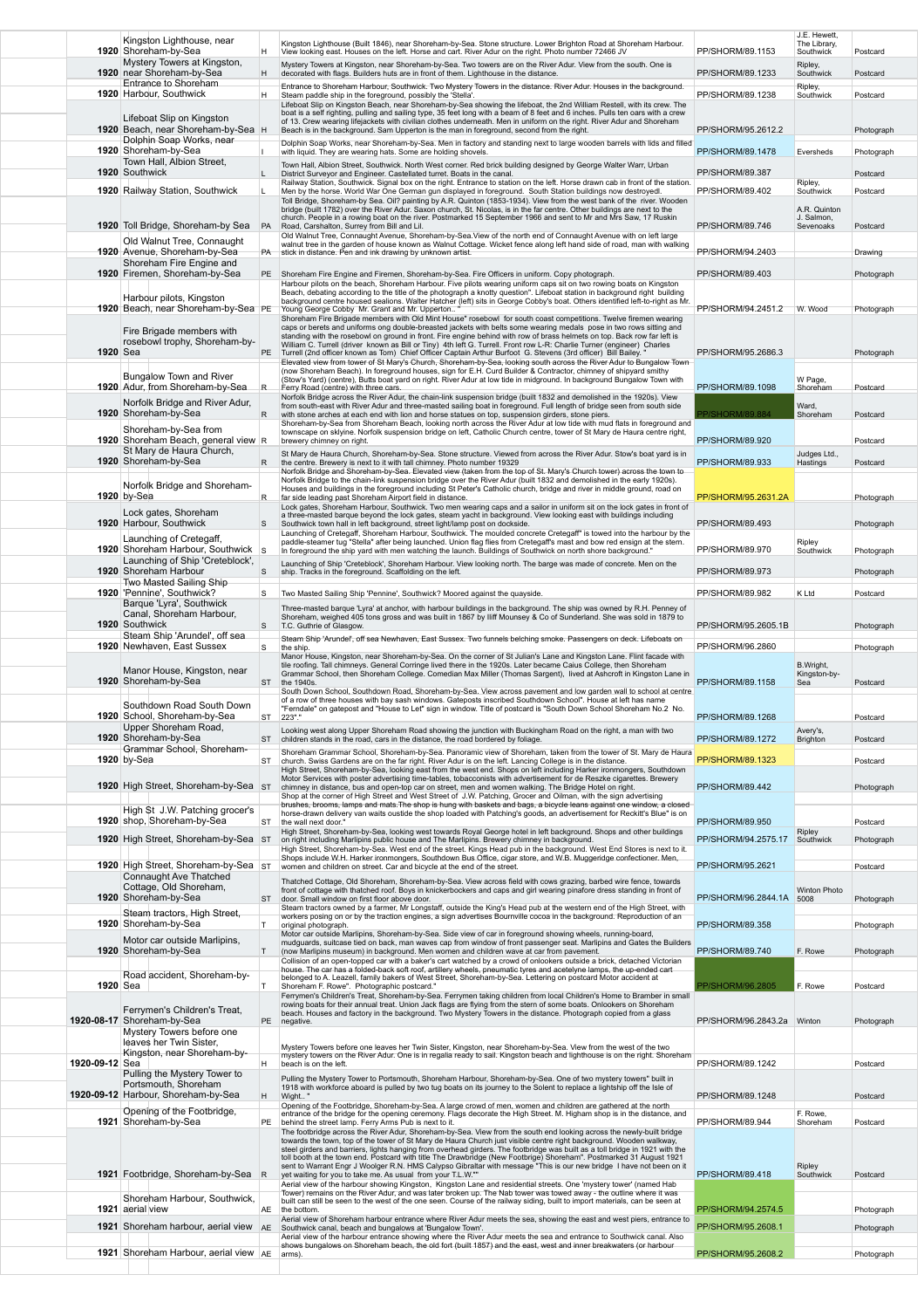|                |                                                                 |           |                                                                                                                                                                                                                                                           |                         | J.E. Hewett,                |            |
|----------------|-----------------------------------------------------------------|-----------|-----------------------------------------------------------------------------------------------------------------------------------------------------------------------------------------------------------------------------------------------------------|-------------------------|-----------------------------|------------|
|                | Kingston Lighthouse, near<br>1920 Shoreham-by-Sea               | H         | Kingston Lighthouse (Built 1846), near Shoreham-by-Sea. Stone structure. Lower Brighton Road at Shoreham Harbour.                                                                                                                                         | PP/SHORM/89.1153        | The Library,                |            |
|                | Mystery Towers at Kingston,                                     |           | View looking east. Houses on the left. Horse and cart. River Adur on the right. Photo number 72466 JV<br>Mystery Towers at Kingston, near Shoreham-by-Sea. Two towers are on the River Adur. View from the south. One is                                  |                         | Southwick<br>Ripley,        | Postcard   |
|                | 1920 near Shoreham-by-Sea                                       | H         | decorated with flags. Builders huts are in front of them. Lighthouse in the distance.                                                                                                                                                                     | PP/SHORM/89.1233        | Southwick                   | Postcard   |
|                | Entrance to Shoreham<br>1920 Harbour, Southwick                 |           | Entrance to Shoreham Harbour, Southwick. Two Mystery Towers in the distance. River Adur. Houses in the background.<br>Steam paddle ship in the foreground, possibly the 'Stella'.                                                                         | PP/SHORM/89.1238        | Ripley,<br>Southwick        | Postcard   |
|                |                                                                 |           | Lifeboat Slip on Kingston Beach, near Shoreham-by-Sea showing the lifeboat, the 2nd William Restell, with its crew. The<br>boat is a self righting, pulling and sailing type, 35 feet long with a beam of 8 feet and 6 inches. Pulls ten oars with a crew |                         |                             |            |
|                | Lifeboat Slip on Kingston                                       |           | of 13. Crew wearing lifejackets with civilian clothes underneath. Men in uniform on the right. River Adur and Shoreham                                                                                                                                    |                         |                             |            |
|                | 1920 Beach, near Shoreham-by-Sea H<br>Dolphin Soap Works, near  |           | Beach is in the background. Sam Upperton is the man in foreground, second from the right.<br>Dolphin Soap Works, near Shoreham-by-Sea. Men in factory and standing next to large wooden barrels with lids and filled                                      | PP/SHORM/95.2612.2      |                             | Photograph |
|                | 1920 Shoreham-by-Sea                                            |           | with liquid. They are wearing hats. Some are holding shovels.                                                                                                                                                                                             | PP/SHORM/89.1478        | Eversheds                   | Photograph |
|                | Town Hall, Albion Street,<br>1920 Southwick                     |           | Town Hall, Albion Street, Southwick. North West corner. Red brick building designed by George Walter Warr, Urban<br>District Surveyor and Engineer. Castellated turret. Boats in the canal.                                                               | PP/SHORM/89.387         |                             | Postcard   |
|                |                                                                 |           | Railway Station, Southwick. Signal box on the right. Entrance to station on the left. Horse drawn cab in front of the station.                                                                                                                            |                         | Ripley,                     |            |
|                | 1920 Railway Station, Southwick                                 |           | Men by the horse. World War One German gun displayed in foreground. South Station buildings now destroyedl.<br>Toll Bridge, Shoreham-by Sea. Oil? painting by A.R. Quinton (1853-1934). View from the west bank of the river. Wooden                      | PP/SHORM/89.402         | Southwick                   | Postcard   |
|                |                                                                 |           | bridge (built 1782) over the River Adur. Saxon church, St. Nicolas, is in the far centre. Other buildings are next to the<br>church. People in a rowing boat on the river. Postmarked 15 September 1966 and sent to Mr and Mrs Saw, 17 Ruskin             |                         | A.R. Quinton<br>J. Salmon,  |            |
|                | 1920 Toll Bridge, Shoreham-by Sea                               | PA        | Road, Carshalton, Surrey from Bill and Lil.                                                                                                                                                                                                               | PP/SHORM/89.746         | Sevenoaks                   | Postcard   |
|                | Old Walnut Tree, Connaught                                      |           | Old Walnut Tree, Connaught Avenue, Shoreham-by-Sea. View of the north end of Connaught Avenue with on left large<br>walnut tree in the garden of house known as Walnut Cottage. Wicket fence along left hand side of road, man with walking               |                         |                             |            |
|                | 1920 Avenue, Shoreham-by-Sea<br>Shoreham Fire Engine and        |           | PA stick in distance. Pen and ink drawing by unknown artist.                                                                                                                                                                                              | PP/SHORM/94.2403        |                             | Drawing    |
|                | 1920 Firemen, Shoreham-by-Sea                                   | PE        | Shoreham Fire Engine and Firemen, Shoreham-by-Sea. Fire Officers in uniform. Copy photograph.                                                                                                                                                             | PP/SHORM/89.403         |                             | Photograph |
|                |                                                                 |           | Harbour pilots on the beach, Shoreham Harbour. Five pilots wearing uniform caps sit on two rowing boats on Kingston<br>Beach, debating according to the title of the photograph a knotty question". Lifeboat station in background right building         |                         |                             |            |
|                | Harbour pilots, Kingston<br>1920 Beach, near Shoreham-by-Sea    |           | background centre housed sealions. Walter Hatcher (left) sits in George Cobby's boat. Others identified left-to-right as Mr.<br>Young George Cobby Mr. Grant and Mr. Upperton                                                                             | PP/SHORM/94.2451.2      | W. Wood                     | Photograph |
|                |                                                                 |           | Shoreham Fire Brigade members with Old Mint House" rosebowl for south coast competitions. Twelve firemen wearing                                                                                                                                          |                         |                             |            |
|                | Fire Brigade members with<br>rosebowl trophy, Shoreham-by-      |           | caps or berets and uniforms ong double-breasted jackets with belts some wearing medals pose in two rows sitting and<br>standing with the rosebowl on ground in front. Fire engine behind with row of brass helmets on top. Back row far left is           |                         |                             |            |
| 1920 Sea       |                                                                 | PE.       | William C. Turrell (driver known as Bill or Tiny) 4th left G. Turrell. Front row L-R: Charlie Turner (engineer) Charles<br>Turrell (2nd officer known as Tom) Chief Officer Captain Arthur Burfoot G. Stevens (3rd officer) Bill Bailey. "                | PP/SHORM/95.2686.3      |                             | Photograph |
|                |                                                                 |           | Elevated view from tower of St Mary's Church, Shoreham-by-Sea, looking south across the River Adur to Bungalow Town<br>(now Shoreham Beach). In foreground houses, sign for E.H. Curd Builder & Contractor, chimney of shipyard smithy                    |                         |                             |            |
|                | <b>Bungalow Town and River</b>                                  |           | (Stow's Yard) (centre), Butts boat yard on right. River Adur at low tide in midground. In background Bungalow Town with                                                                                                                                   |                         | W Page,                     |            |
|                | 1920 Adur, from Shoreham-by-Sea                                 | R.        | Ferry Road (centre) with three cars.<br>Norfolk Bridge across the River Adur, the chain-link suspension bridge (built 1832 and demolished in the 1920s). View                                                                                             | PP/SHORM/89.1098        | Shoreham                    | Postcard   |
|                | Norfolk Bridge and River Adur,<br>1920 Shoreham-by-Sea          | R         | from south-east with River Adur and three-masted sailing boat in foreground. Full length of bridge seen from south side<br>with stone arches at each end with lion and horse statues on top, suspension girders, stone piers.                             | PP/SHORM/89.884         | Ward,<br>Shoreham           | Postcard   |
|                | Shoreham-by-Sea from                                            |           | Shoreham-by-Sea from Shoreham Beach, looking north across the River Adur at low tide with mud flats in foreground and                                                                                                                                     |                         |                             |            |
|                | 1920 Shoreham Beach, general view R                             |           | townscape on sklyine. Norfolk suspension bridge on left, Catholic Church centre, tower of St Mary de Haura centre right,<br>brewery chimney on right.                                                                                                     | PP/SHORM/89.920         |                             | Postcard   |
|                | St Mary de Haura Church,<br>1920 Shoreham-by-Sea                |           | St Mary de Haura Church, Shoreham-by-Sea. Stone structure. Viewed from across the River Adur. Stow's boat yard is in                                                                                                                                      | PP/SHORM/89.933         | Judges Ltd.                 |            |
|                |                                                                 |           | the centre. Brewery is next to it with tall chimney. Photo number 19329<br>Norfolk Bridge and Shoreham-by-Sea. Elevated view (taken from the top of St. Mary's Church tower) across the town to                                                           |                         | Hastings                    | Postcard   |
|                | Norfolk Bridge and Shoreham-                                    |           | Norfolk Bridge to the chain-link suspension bridge over the River Adur (built 1832 and demolished in the early 1920s).<br>Houses and buildings in the foreground including St Peter's Catholic church, bridge and river in middle ground, road on         |                         |                             |            |
|                | $1920$ by-Sea                                                   |           | far side leading past Shoreham Airport field in distance.<br>Lock gates, Shoreham Harbour, Southwick. Two men wearing caps and a sailor in uniform sit on the lock gates in front of                                                                      | PP/SHORM/95.2631.2A     |                             | Photograph |
|                | Lock gates, Shoreham<br>1920 Harbour, Southwick                 |           | a three-masted barque beyond the lock gates, steam yacht in background. View looking east with buildings including                                                                                                                                        |                         |                             |            |
|                |                                                                 | S.        | Southwick town hall in left background, street light/lamp post on dockside.<br>Launching of Cretegaff, Shoreham Harbour, Southwick. The moulded concrete Cretegaff" is towed into the harbour by the                                                      | PP/SHORM/89.493         |                             | Photograph |
|                | Launching of Cretegaff,<br>1920 Shoreham Harbour, Southwick   S |           | paddle-steamer tug "Stella" after being launched. Union flag flies from Cretegaff's mast and bow red ensign at the stern.<br>In foreground the ship yard with men watching the launch. Buildings of Southwick on north shore background."                 | PP/SHORM/89.970         | Ripley<br>Southwick         | Photograph |
|                | Launching of Ship 'Creteblock',                                 |           | Launching of Ship 'Creteblock', Shoreham Harbour. View looking north. The barge was made of concrete. Men on the                                                                                                                                          |                         |                             |            |
|                | <b>1920</b> Shoreham Harbour<br>Two Masted Sailing Ship         | S.        | ship. Tracks in the foreground. Scaffolding on the left.                                                                                                                                                                                                  | PP/SHORM/89.973         |                             | Photograph |
|                | 1920 'Pennine', Southwick?                                      |           | Two Masted Sailing Ship 'Pennine', Southwick? Moored against the quayside.                                                                                                                                                                                | PP/SHORM/89.982         | K Ltd                       | Postcard   |
|                | Barque 'Lyra', Southwick                                        |           | Three-masted barque 'Lyra' at anchor, with harbour buildings in the background. The ship was owned by R.H. Penney of                                                                                                                                      |                         |                             |            |
|                | Canal, Shoreham Harbour,<br>1920 Southwick                      | S.        | Shoreham, weighed 405 tons gross and was built in 1867 by lliff Mounsey & Co of Sunderland. She was sold in 1879 to<br>T.C. Guthrie of Glasgow.                                                                                                           | PP/SHORM/95.2605.1B     |                             | Photograph |
|                | Steam Ship 'Arundel', off sea                                   |           | Steam Ship 'Arundel', off sea Newhaven, East Sussex. Two funnels belching smoke. Passengers on deck. Lifeboats on                                                                                                                                         |                         |                             |            |
|                | 1920 Newhaven, East Sussex                                      | S         | the ship.<br>Manor House, Kingston, near Shoreham-by-Sea. On the corner of St Julian's Lane and Kingston Lane. Flint facade with                                                                                                                          | PP/SHORM/96.2860        |                             | Photograph |
|                | Manor House, Kingston, near                                     |           | tile roofing. Tall chimneys. General Corringe lived there in the 1920s. Later became Caius College, then Shoreham                                                                                                                                         |                         | B. Wright,                  |            |
|                | 1920 Shoreham-by-Sea                                            | <b>ST</b> | Grammar School, then Shoreham College. Comedian Max Miller (Thomas Sargent), lived at Ashcroft in Kingston Lane in<br>the 1940s.                                                                                                                          | PP/SHORM/89.1158        | Kingston-by-<br>Sea         | Postcard   |
|                |                                                                 |           | South Down School, Southdown Road, Shoreham-by-Sea. View across pavement and low garden wall to school at centre<br>of a row of three houses with bay sash windows. Gateposts inscribed Southdown School". House at left has name                         |                         |                             |            |
|                | Southdown Road South Down<br>1920 School, Shoreham-by-Sea       | <b>ST</b> | "Ferndale" on gatepost and "House to Let" sign in window. Title of postcard is "South Down School Shoreham No.2 No.<br>223"."                                                                                                                             | PP/SHORM/89.1268        |                             | Postcard   |
|                | Upper Shoreham Road,                                            |           | Looking west along Upper Shoreham Road showing the junction with Buckingham Road on the right, a man with two                                                                                                                                             |                         | Avery's,                    |            |
|                |                                                                 | ST -      | children stands in the road, cars in the distance, the road bordered by foliage.                                                                                                                                                                          | PP/SHORM/89.1272        |                             | Postcard   |
|                | 1920 Shoreham-by-Sea                                            |           |                                                                                                                                                                                                                                                           |                         | Brighton                    |            |
|                | Grammar School, Shoreham-<br>1920 by-Sea                        | <b>ST</b> | Shoreham Grammar School, Shoreham-by-Sea. Panoramic view of Shoreham, taken from the tower of St. Mary de Haura                                                                                                                                           | <b>PP/SHORM/89.1323</b> |                             | Postcard   |
|                |                                                                 |           | church. Swiss Gardens are on the far right. River Adur is on the left. Lancing College is in the distance.<br>High Street, Shoreham-by-Sea, looking east from the west end. Shops on left including Harker ironmongers, Southdown                         |                         |                             |            |
|                | 1920 High Street, Shoreham-by-Sea ST                            |           | Motor Services with poster advertising time-tables, tobacconists with advertisement for de Reszke cigarettes. Brewery<br>chimney in distance, bus and open-top car on street, men and women walking. The Bridge Hotel on right.                           | PP/SHORM/89.442         |                             | Photograph |
|                |                                                                 |           | Shop at the corner of High Street and West Street of J.W. Patching, Grocer and Oilman, with the sign advertising<br>brushes, brooms, lamps and mats. The shop is hung with baskets and bags, a bicycle leans against one window, a closed                 |                         |                             |            |
|                | High \$t J.W. Patching grocer's<br>1920 shop, Shoreham-by-Sea   | <b>ST</b> | horse-drawn delivery van waits oustide the shop loaded with Patching's goods, an advertisement for Reckitt's Blue" is on<br>the wall next door."                                                                                                          | PP/SHORM/89.950         |                             | Postcard   |
|                |                                                                 |           | High Street, Shoreham-by-Sea, looking west towards Royal George hotel in left background. Shops and other buildings                                                                                                                                       |                         | Ripley                      |            |
|                | <b>1920</b> High Street, Shoreham-by-Sea ST                     |           | on right including Marlipins public house and The Marlipins. Brewery chimney in background.<br>High Street, Shoreham-by-Sea. West end of the street. Kings Head pub in the background. West End Stores is next to it.                                     | PP/SHORM/94.2575.17     | Southwick                   | Photograph |
|                | 1920 High Street, Shoreham-by-Sea ST                            |           | Shops include W.H. Harker ironmongers, Southdown Bus Office, cigar store, and W.B. Muggeridge confectioner. Men,<br>women and children on street. Car and bicycle at the end of the street.                                                               | PP/SHORM/95.2621        |                             | Postcard   |
|                | <b>Connaught Ave Thatched</b>                                   |           | Thatched Cottage, Old Shoreham, Shoreham-by-Sea. View across field with cows grazing, barbed wire fence, towards                                                                                                                                          |                         |                             |            |
|                | Cottage, Old Shoreham,<br>1920 Shoreham-by-Sea                  | ST        | front of cottage with thatched roof. Boys in knickerbockers and caps and girl wearing pinafore dress standing in front of<br>door. Small window on first floor above door.                                                                                | PP/SHORM/96.2844.1A     | <b>Winton Photo</b><br>5008 | Photograph |
|                | Steam tractors, High Street,                                    |           | Steam tractors owned by a farmer, Mr Longstaff, outside the King's Head pub at the western end of the High Street, with                                                                                                                                   |                         |                             |            |
|                | 1920 Shoreham-by-Sea                                            |           | workers posing on or by the traction engines, a sign advertises Bournville cocoa in the background. Reproduction of an<br>original photograph.                                                                                                            | PP/SHORM/89.358         |                             | Photograph |
|                | Motor car outside Marlipins,                                    |           | Motor car outside Marlipins, Shoreham-by-Sea. Side view of car in foreground showing wheels, running-board,<br>mudguards, suitcase tied on back, man waves cap from window of front passenger seat. Marlipins and Gates the Builders                      |                         |                             |            |
|                | 1920 Shoreham-by-Sea                                            |           | (now Marlipins museum) in background. Men women and children wave at car from pavement.<br>Collision of an open-topped car with a baker's cart watched by a crowd of onlookers outside a brick, detached Victorian                                        | PP/SHORM/89.740         | F. Rowe                     | Photograph |
|                | Road accident, Shoreham-by-                                     |           | house. The car has a folded-back soft roof, artillery wheels, pneumatic tyres and acetelyne lamps, the up-ended cart                                                                                                                                      |                         |                             |            |
| 1920 Sea       |                                                                 |           | belonged to A. Leazell, family bakers of West Street, Shoreham-by-Sea. Lettering on postcard Motor accident at<br>Shoreham F. Rowe". Photographic postcard."                                                                                              | PP/SHORM/96.2805        | F. Rowe                     | Postcard   |
|                |                                                                 |           | Ferrymen's Children's Treat, Shoreham-by-Sea. Ferrymen taking children from local Children's Home to Bramber in small<br>rowing boats for their annual treat. Union Jack flags are flying from the stern of some boats. Onlookers on Shoreham             |                         |                             |            |
|                | Ferrymen's Children's Treat,<br>1920-08-17 Shoreham-by-Sea      | PE        | beach. Houses and factory in the background. Two Mystery Towers in the distance. Photograph copied from a glass<br>negative.                                                                                                                              | PP/SHORM/96.2843.2a     | Winton                      | Photograph |
|                | Mystery Towers before one                                       |           |                                                                                                                                                                                                                                                           |                         |                             |            |
|                | leaves her Twin Sister,<br>Kingston, near Shoreham-by-          |           | Mystery Towers before one leaves her Twin Sister, Kingston, near Shoreham-by-Sea. View from the west of the two                                                                                                                                           |                         |                             |            |
| 1920-09-12 Sea |                                                                 | Н         | mystery towers on the River Adur. One is in regalia ready to sail. Kingston beach and lighthouse is on the right. Shoreham<br>beach is on the left.                                                                                                       | PP/SHORM/89.1242        |                             | Postcard   |
|                | Pulling the Mystery Tower to                                    |           | Pulling the Mystery Tower to Portsmouth, Shoreham Harbour, Shoreham-by-Sea. One of two mystery towers" built in                                                                                                                                           |                         |                             |            |
|                | Portsmouth, Shoreham<br>1920-09-12 Harbour, Shoreham-by-Sea     | H         | 1918 with workforce aboard is pulled by two tug boats on its journey to the Solent to replace a lightship off the Isle of<br>Wight                                                                                                                        | PP/SHORM/89.1248        |                             | Postcard   |
|                | Opening of the Footbridge,                                      |           | Opening of the Footbridge, Shoreham-by-Sea. A large crowd of men, women and children are gathered at the north<br>entrance of the bridge for the opening ceremony. Flags decorate the High Street. M. Higham shop is in the distance, and                 |                         | F. Rowe.                    |            |
|                | 1921 Shoreham-by-Sea                                            | PE        | behind the street lamp. Ferry Arms Pub is next to it.                                                                                                                                                                                                     | PP/SHORM/89.944         | Shoreham                    | Postcard   |
|                |                                                                 |           | The footbridge across the River Adur, Shoreham-by-Sea. View from the south end looking across the newly-built bridge<br>towards the town, top of the tower of St Mary de Haura Church just visible centre right background. Wooden walkway,               |                         |                             |            |
|                |                                                                 |           | steel girders and barriers, lights hanging from overhead girders. The footbridge was built as a toll bridge in 1921 with the<br>toll booth at the town end. Postcard with title The Drawbridge (New Footbrige) Shoreham". Postmarked 31 August 1921       |                         |                             |            |
|                | 1921 Footbridge, Shoreham-by-Sea R                              |           | sent to Warrant Engr J Woolger R.N. HMS Calypso Gibraltar with message "This is our new bridge I have not been on it<br>yet waiting for you to take me. As usual from your T.L.W.""                                                                       | PP/SHORM/89.418         | Ripley<br>Southwick         | Postcard   |
|                |                                                                 |           | Aerial view of the harbour showing Kingston, Kingston Lane and residential streets. One 'mystery tower' (named Hab                                                                                                                                        |                         |                             |            |
|                | Shoreham Harbour, Southwick,                                    |           | Tower) remains on the River Adur, and was later broken up. The Nab tower was towed away - the outline where it was<br>built can still be seen to the west of the one seen. Course of the railway siding, built to import materials, can be seen at        |                         |                             |            |
|                | 1921 aerial view                                                | AE        | the bottom.<br>Aerial view of Shoreham harbour entrance where River Adur meets the sea, showing the east and west piers, entrance to                                                                                                                      | PP/SHORM/94.2574.5      |                             | Photograph |
|                | 1921 Shoreham harbour, aerial view AE                           |           | Southwick canal, beach and bungalows at 'Bungalow Town'.<br>Aerial view of the harbour entrance showing where the River Adur meets the sea and entrance to Southwick canal. Also                                                                          | PP/SHORM/95.2608.1      |                             | Photograph |
|                | 1921 Shoreham Harbour, aerial view AE                           |           | shows bungalows on Shoreham beach, the old fort (built 1857) and the east, west and inner breakwaters (or harbour<br>arms).                                                                                                                               | PP/SHORM/95.2608.2      |                             | Photograph |

 $\overline{\phantom{a}}$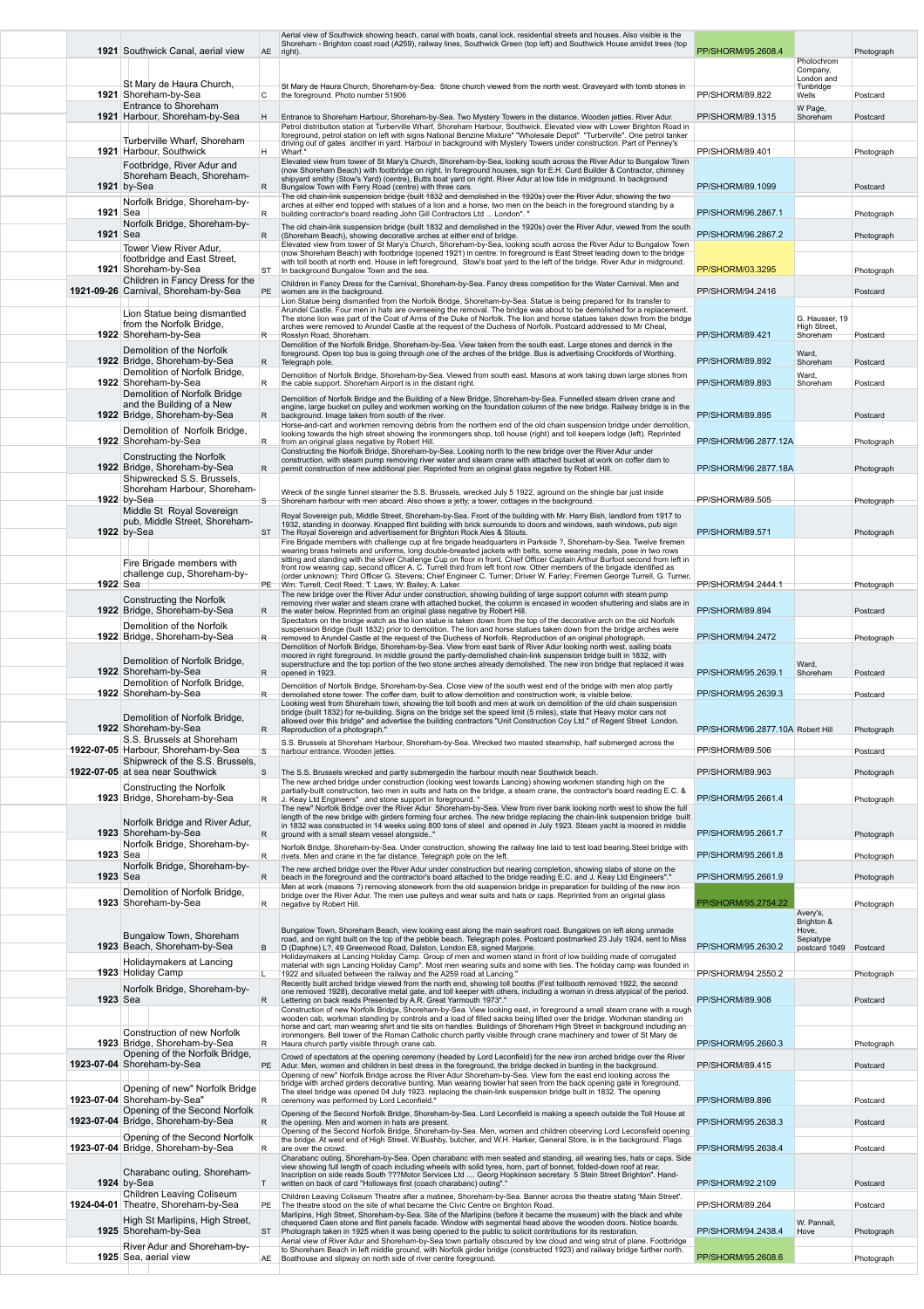|                 |                                                                                           |           | Aerial view of Southwick showing beach, canal with boats, canal lock, residential streets and houses. Also visible is the<br>Shoreham - Brighton coast road (A259), railway lines, Southwick Green (top left) and Southwick House amidst trees (top                                                                                                                                                                                             |                                  |                                            |            |
|-----------------|-------------------------------------------------------------------------------------------|-----------|-------------------------------------------------------------------------------------------------------------------------------------------------------------------------------------------------------------------------------------------------------------------------------------------------------------------------------------------------------------------------------------------------------------------------------------------------|----------------------------------|--------------------------------------------|------------|
|                 | 1921 Southwick Canal, aerial view                                                         |           | AE right).                                                                                                                                                                                                                                                                                                                                                                                                                                      | PP/SHORM/95.2608.4               | Photochrom                                 | Photograph |
|                 | St Mary de Haura Church,                                                                  |           | St Mary de Haura Church, Shoreham-by-Sea. Stone church viewed from the north west. Graveyard with tomb stones in                                                                                                                                                                                                                                                                                                                                |                                  | Company,<br>London and<br>Tunbridge        |            |
|                 | 1921 Shoreham-by-Sea<br><b>Entrance to Shoreham</b>                                       | C.        | the foreground. Photo number 51906                                                                                                                                                                                                                                                                                                                                                                                                              | PP/SHORM/89.822                  | Wells                                      | Postcard   |
|                 | 1921 Harbour, Shoreham-by-Sea<br>Turberville Wharf, Shoreham                              | H.        | Entrance to Shoreham Harbour, Shoreham-by-Sea. Two Mystery Towers in the distance. Wooden jetties. River Adur.<br>Petrol distribution station at Turberville Wharf, Shoreham Harbour, Southwick. Elevated view with Lower Brighton Road in<br>foreground, petrol station on left with signs National Benzine Mixture" "Wholesale Depot" "Turberville". One petrol tanker                                                                        | PP/SHORM/89.1315                 | W Page,<br>Shoreham                        | Postcard   |
|                 | 1921 Harbour, Southwick                                                                   | Н.        | driving out of gates another in yard. Harbour in background with Mystery Towers under construction. Part of Penney's<br>Wharf."                                                                                                                                                                                                                                                                                                                 | PP/SHORM/89.401                  |                                            | Photograph |
|                 | Footbridge, River Adur and<br>Shoreham Beach, Shoreham-<br>1921 by-Sea                    | R         | Elevated view from tower of St Mary's Church, Shoreham-by-Sea, looking south across the River Adur to Bungalow Town<br>(now Shoreham Beach) with footbridge on right. In foreground houses, sign for E.H. Curd Builder & Contractor, chimney<br>shipyard smithy (Stow's Yard) (centre), Butts boat yard on right. River Adur at low tide in midground. In background<br>Bungalow Town with Ferry Road (centre) with three cars.                 | PP/SHORM/89.1099                 |                                            | Postcard   |
|                 | Norfolk Bridge, Shoreham-by-                                                              |           | The old chain-link suspension bridge (built 1832 and demolished in the 1920s) over the River Adur, showing the two<br>arches at either end topped with statues of a lion and a horse, two men on the beach in the foreground standing by a                                                                                                                                                                                                      |                                  |                                            |            |
| <b>1921</b> Sea | Norfolk Bridge, Shoreham-by-                                                              | R         | building contractor's board reading John Gill Contractors Ltd  London". "<br>The old chain-link suspension bridge (built 1832 and demolished in the 1920s) over the River Adur, viewed from the south                                                                                                                                                                                                                                           | PP/SHORM/96.2867.1               |                                            | Photograph |
| <b>1921</b> Sea | Tower View River Adur,<br>footbridge and East Street,                                     | R         | (Shoreham Beach), showing decorative arches at either end of bridge.<br>Elevated view from tower of St Mary's Church, Shoreham-by-Sea, looking south across the River Adur to Bungalow Town<br>(now Shoreham Beach) with footbridge (opened 1921) in centre. In foreground is East Street leading down to the bridge                                                                                                                            | PP/SHORM/96.2867.2               |                                            | Photograph |
|                 | 1921 Shoreham-by-Sea<br>Children in Fancy Dress for the                                   | ST        | with toll booth at north end. House in left foreground, Stow's boat yard to the left of the bridge. River Adur in midground.<br>In background Bungalow Town and the sea.                                                                                                                                                                                                                                                                        | PP/SHORM/03.3295                 |                                            | Photograph |
|                 | 1921-09-26 Carnival, Shoreham-by-Sea                                                      |           | Children in Fancy Dress for the Carnival, Shoreham-by-Sea. Fancy dress competition for the Water Carnival. Men and<br>PE women are in the background.<br>Lion Statue being dismantled from the Norfolk Bridge, Shoreham-by-Sea. Statue is being prepared for its transfer to                                                                                                                                                                    | PP/SHORM/94.2416                 |                                            | Postcard   |
|                 | Lion Statue being dismantled<br>from the Norfolk Bridge,<br>1922 Shoreham-by-Sea          | R         | Arundel Castle. Four men in hats are overseeing the removal. The bridge was about to be demolished for a replacement.<br>The stone lion was part of the Coat of Arms of the Duke of Norfolk. The lion and horse statues taken down from the bridge<br>arches were removed to Arundel Castle at the request of the Duchess of Norfolk. Postcard addressed to Mr Cheal,<br>Rosslyn Road, Shoreham.                                                | PP/SHORM/89.421                  | G. Hausser, 19<br>High Street,<br>Shoreham | Postcard   |
|                 | Demolition of the Norfolk                                                                 |           | Demolition of the Norfolk Bridge, Shoreham-by-Sea. View taken from the south east. Large stones and derrick in the<br>foreground. Open top bus is going through one of the arches of the bridge. Bus is advertising Crockfords of Worthing.                                                                                                                                                                                                     |                                  | Ward,                                      |            |
|                 | 1922 Bridge, Shoreham-by-Sea<br>Demolition of Norfolk Bridge,                             | R         | Telegraph pole.<br>Demolition of Norfolk Bridge, Shoreham-by-Sea. Viewed from south east. Masons at work taking down large stones from                                                                                                                                                                                                                                                                                                          | PP/SHORM/89.892                  | Shoreham<br>Ward,                          | Postcard   |
|                 | 1922 Shoreham-by-Sea<br>Demolition of Norfolk Bridge                                      | R         | the cable support. Shoreham Airport is in the distant right.<br>Demolition of Norfolk Bridge and the Building of a New Bridge, Shoreham-by-Sea. Funnelled steam driven crane and                                                                                                                                                                                                                                                                | PP/SHORM/89.893                  | Shoreham                                   | Postcard   |
|                 | and the Building of a New<br>1922 Bridge, Shoreham-by-Sea                                 | R.        | engine, large bucket on pulley and workmen working on the foundation column of the new bridge. Railway bridge is in the<br>background. Image taken from south of the river.                                                                                                                                                                                                                                                                     | PP/SHORM/89.895                  |                                            | Postcard   |
|                 | Demolition of Norfolk Bridge,<br>1922 Shoreham-by-Sea                                     | R.        | Horse-and-cart and workmen removing debris from the northern end of the old chain suspension bridge under demolition,<br>looking towards the high street showing the ironmongers shop, toll house (right) and toll keepers lodge (left). Reprinted<br>from an original glass negative by Robert Hill.                                                                                                                                           | PP/SHORM/96.2877.12A             |                                            | Photograph |
|                 | <b>Constructing the Norfolk</b>                                                           |           | Constructing the Norfolk Bridge, Shoreham-by-Sea. Looking north to the new bridge over the River Adur under<br>construction, with steam pump removing river water and steam crane with attached bucket at work on coffer dam to                                                                                                                                                                                                                 |                                  |                                            |            |
|                 | 1922 Bridge, Shoreham-by-Sea<br>Shipwrecked S.S. Brussels,<br>Shoreham Harbour, Shoreham- | R         | permit construction of new additional pier. Reprinted from an original glass negative by Robert Hill.<br>Wreck of the single funnel steamer the S.S. Brussels, wrecked July 5 1922, aground on the shingle bar just inside                                                                                                                                                                                                                      | PP/SHORM/96.2877.18A             |                                            | Photograph |
|                 | 1922 by-Sea<br>Middle St Royal Sovereign                                                  | S         | Shoreham harbour with men aboard. Also shows a jetty, a tower, cottages in the background.<br>Royal Sovereign pub, Middle Street, Shoreham-by-Sea. Front of the building with Mr. Harry Bish, landlord from 1917 to                                                                                                                                                                                                                             | PP/SHORM/89.505                  |                                            | Photograph |
|                 | pub, Middle Street, Shoreham-<br>1922 by-Sea                                              | ST        | 1932, standing in doorway. Knapped flint building with brick surrounds to doors and windows, sash windows, pub sign<br>The Royal Sovereign and advertisement for Brighton Rock Ales & Stouts.                                                                                                                                                                                                                                                   | PP/SHORM/89.571                  |                                            | Photograph |
|                 |                                                                                           |           | Fire Brigade members with challenge cup at fire brigade headquarters in Parkside ?, Shoreham-by-Sea. Twelve firemen<br>wearing brass helmets and uniforms, long double-breasted jackets with belts, some wearing medals, pose in two rows                                                                                                                                                                                                       |                                  |                                            |            |
|                 | Fire Brigade members with<br>challenge cup, Shoreham-by-                                  |           | sitting and standing with the silver Challenge Cup on floor in front. Chief Officer Captain Arthur Burfoot second from left in<br>front row wearing cap, second officer A. C. Turrell third from left front row. Other members of the brigade identified as<br>(order unknown): Third Officer G. Stevens; Chief Engineer C. Turner; Driver W. Farley; Firemen George Turrell, G. Turner,                                                        |                                  |                                            |            |
| <b>1922</b> Sea | <b>Constructing the Norfolk</b>                                                           |           | PE   Wm. Turrell, Cecil Reed, T. Laws, W. Bailey, A. Laker.<br>The new bridge over the River Adur under construction, showing building of large support column with steam pump                                                                                                                                                                                                                                                                  | PP/SHORM/94.2444.1               |                                            | Photograph |
|                 | 1922 Bridge, Shoreham-by-Sea<br>Demolition of the Norfolk                                 | R.        | removing river water and steam crane with attached bucket, the column is encased in wooden shuttering and slabs are in<br>the water below. Reprinted from an original glass negative by Robert Hill.<br>Spectators on the bridge watch as the lion statue is taken down from the top of the decorative arch on the old Norfolk                                                                                                                  | PP/SHORM/89.894                  |                                            | Postcard   |
|                 | 1922 Bridge, Shoreham-by-Sea                                                              | R.        | suspension Bridge (built 1832) prior to demolition. The lion and horse statues taken down from the bridge arches were<br>removed to Arundel Castle at the request of the Duchess of Norfolk. Reproduction of an original photograph.<br>Demolition of Norfolk Bridge, Shoreham-by-Sea. View from east bank of River Adur looking north west, sailing boats                                                                                      | PP/SHORM/94.2472                 |                                            | Photograph |
|                 | Demolition of Norfolk Bridge,<br>1922 Shoreham-by-Sea                                     | R         | moored in right foreground. In middle ground the partly-demolished chain-link suspension bridge built in 1832, with<br>superstructure and the top portion of the two stone arches already demolished. The new iron bridge that replaced it was<br>opened in 1923.                                                                                                                                                                               | PP/SHORM/95.2639.1               | Ward,<br>Shoreham                          | Postcard   |
|                 | Demolition of Norfolk Bridge,<br>1922 Shoreham-by-Sea                                     | R         | Demolition of Norfolk Bridge, Shoreham-by-Sea. Close view of the south west end of the bridge with men atop partly<br>demolished stone tower. The coffer dam, built to allow demolition and construction work, is visible below.                                                                                                                                                                                                                | PP/SHORM/95.2639.3               |                                            | Postcard   |
|                 | Demolition of Norfolk Bridge,                                                             |           | Looking west from Shoreham town, showing the toll booth and men at work on demolition of the old chain suspension<br>bridge (built 1832) for re-building. Signs on the bridge set the speed limit (5 miles), state that Heavy motor cars not<br>allowed over this bridge" and advertise the building contractors "Unit Construction Coy Ltd." of Regent Street London.                                                                          |                                  |                                            |            |
|                 | 1922 Shoreham-by-Sea<br>S.S. Brussels at Shoreham                                         | R         | Reproduction of a photograph."<br>S.S. Brussels at Shoreham Harbour, Shoreham-by-Sea. Wrecked two masted steamship, half submerged across the                                                                                                                                                                                                                                                                                                   | PP/SHORM/96.2877.10A Robert Hill |                                            | Photograph |
|                 | 1922-07-05 Harbour, Shoreham-by-Sea<br>Shipwreck of the S.S. Brussels,                    | S         | harbour entrance. Wooden jetties.                                                                                                                                                                                                                                                                                                                                                                                                               | PP/SHORM/89.506                  |                                            | Postcard   |
|                 | 1922-07-05 at sea near Southwick<br>Constructing the Norfolk                              | S         | The S.S. Brussels wrecked and partly submergedin the harbour mouth near Southwick beach.<br>The new arched bridge under construction (looking west towards Lancing) showing workmen standing high on the                                                                                                                                                                                                                                        | PP/SHORM/89.963                  |                                            | Photograph |
|                 | 1923 Bridge, Shoreham-by-Sea                                                              | R         | partially-built construction, two men in suits and hats on the bridge, a steam crane, the contractor's board reading E.C. &<br>J. Keay Ltd Engineers" and stone support in foreground. "<br>The new" Norfolk Bridge over the River Adur Shoreham-by-Sea. View from river bank looking north west to show the full<br>length of the new bridge with girders forming four arches. The new bridge replacing the chain-link suspension bridge built | PP/SHORM/95.2661.4               |                                            | Photograph |
|                 | Norfolk Bridge and River Adur,<br>1923 Shoreham-by-Sea                                    | R         | in 1832 was constructed in 14 weeks using 800 tons of steel and opened in July 1923. Steam yacht is moored in middle<br>ground with a small steam vessel alongside"                                                                                                                                                                                                                                                                             | PP/SHORM/95.2661.7               |                                            | Photograph |
| 1923 Sea        | Norfolk Bridge, Shoreham-by-                                                              | R.        | Norfolk Bridge, Shoreham-by-Sea. Under construction, showing the railway line laid to test load bearing. Steel bridge with<br>rivets. Men and crane in the far distance. Telegraph pole on the left.                                                                                                                                                                                                                                            | PP/SHORM/95.2661.8               |                                            | Photograph |
| <b>1923</b> Sea | Norfolk Bridge, Shoreham-by-                                                              | R.        | The new arched bridge over the River Adur under construction but nearing completion, showing slabs of stone on the<br>beach in the foreground and the contractor's board attached to the bridge reading E.C. and J. Keay Ltd Engineers"."<br>Men at work (masons ?) removing stonework from the old suspension bridge in preparation for building of the new iron                                                                               | PP/SHORM/95.2661.9               |                                            | Photograph |
|                 | Demolition of Norfolk Bridge,<br>1923 Shoreham-by-Sea                                     | R         | bridge over the River Adur. The men use pulleys and wear suits and hats or caps. Reprinted from an original glass<br>negative by Robert Hill.                                                                                                                                                                                                                                                                                                   | PP/SHORM/95.2754.22              | Avery's,                                   | Photograph |
|                 | Bungalow Town, Shoreham                                                                   |           | Bungalow Town, Shoreham Beach, view looking east along the main seafront road. Bungalows on left along unmade<br>road, and on right built on the top of the pebble beach. Telegraph poles. Postcard postmarked 23 July 1924, sent to Miss                                                                                                                                                                                                       |                                  | Brighton &<br>Hove,<br>Sepiatype           |            |
|                 | 1923 Beach, Shoreham-by-Sea<br>Holidaymakers at Lancing                                   | B         | D (Daphne) L?, 49 Greenwood Road, Dalston, London E8, signed Marjorie.<br>Holidaymakers at Lancing Holiday Camp. Group of men and women stand in front of low building made of corrugated<br>material with sign Lancing Holiday Camp". Most men wearing suits and some with ties. The holiday camp was founded in                                                                                                                               | PP/SHORM/95.2630.2               | postcard 1049                              | Postcard   |
|                 | 1923 Holiday Camp                                                                         |           | 1922 and situated between the railway and the A259 road at Lancing."<br>Recently built arched bridge viewed from the north end, showing toll booths (First tollbooth removed 1922, the second                                                                                                                                                                                                                                                   | PP/SHORM/94.2550.2               |                                            | Photograph |
| <b>1923</b> Sea | Norfolk Bridge, Shoreham-by-                                                              | R         | one removed 1928), decorative metal gate, and toll keeper with others, including a woman in dress atypical of the period.<br>Lettering on back reads Presented by A.R. Great Yarmouth 1973"."<br>Construction of new Norfolk Bridge, Shoreham-by-Sea. View looking east, in foreground a small steam crane with a rough                                                                                                                         | PP/SHORM/89.908                  |                                            | Postcard   |
|                 | Construction of new Norfolk                                                               |           | wooden cab, workman standing by controls and a load of filled sacks being lifted over the bridge. Workman standing on<br>horse and cart, man wearing shirt and tie sits on handles. Buildings of Shoreham High Street in background including an<br>ironmongers. Bell tower of the Roman Catholic church partly visible through crane machinery and tower of St Mary de                                                                         |                                  |                                            |            |
|                 | 1923 Bridge, Shoreham-by-Sea<br>Opening of the Norfolk Bridge,                            | R         | Haura church partly visible through crane cab.<br>Crowd of spectators at the opening ceremony (headed by Lord Leconfield) for the new iron arched bridge over the River                                                                                                                                                                                                                                                                         | PP/SHORM/95.2660.3               |                                            | Photograph |
|                 | 1923-07-04 Shoreham-by-Sea                                                                | <b>PE</b> | Adur. Men, women and children in best dress in the foreground, the bridge decked in bunting in the background.<br>Opening of new" Norfolk Bridge across the River Adur Shoreham-by-Sea. View fom the east end looking across the                                                                                                                                                                                                                | PP/SHORM/89.415                  |                                            | Postcard   |
|                 | Opening of new" Norfolk Bridge<br>1923-07-04 Shoreham-by-Sea"                             | R.        | bridge with arched girders decorative bunting. Man wearing bowler hat seen from the back opening gate in foreground.<br>The steel bridge was opened 04 July 1923. replacing the chain-link suspension bridge built in 1832. The opening<br>ceremony was performed by Lord Leconfield."                                                                                                                                                          | PP/SHORM/89.896                  |                                            | Postcard   |
|                 | Opening of the Second Norfolk<br>1923-07-04 Bridge, Shoreham-by-Sea                       | R         | Opening of the Second Norfolk Bridge, Shoreham-by-Sea. Lord Leconfield is making a speech outside the Toll House at<br>the opening. Men and women in hats are present.                                                                                                                                                                                                                                                                          | PP/SHORM/95.2638.3               |                                            | Postcard   |
|                 | Opening of the Second Norfolk<br>1923-07-04 Bridge, Shoreham-by-Sea                       | R.        | Opening of the Second Norfolk Bridge, Shoreham-by-Sea. Men, women and children observing Lord Leconsfield opening<br>the bridge. At west end of High Street. W.Bushby, butcher, and W.H. Harker, General Store, is in the background. Flags<br>are over the crowd.                                                                                                                                                                              | PP/SHORM/95.2638.4               |                                            | Postcard   |
|                 | Charabanc outing, Shoreham-                                                               |           | Charabanc outing, Shoreham-by-Sea. Open charabanc with men seated and standing, all wearing ties, hats or caps. Side<br>view showing full length of coach including wheels with solid tyres, horn, part of bonnet, folded-down roof at rear.<br>Inscription on side reads South ??? Motor Services Ltd  Georg Hopkinson secretary 5 Stein Street Brighton". Hand-                                                                               |                                  |                                            |            |
|                 | 1924 by-Sea<br>Children Leaving Coliseum                                                  | IT.       | written on back of card "Holloways first (coach charabanc) outing"."<br>Children Leaving Coliseum Theatre after a matinee, Shoreham-by-Sea. Banner across the theatre stating 'Main Street'.                                                                                                                                                                                                                                                    | PP/SHORM/92.2109                 |                                            | Postcard   |
|                 | 1924-04-01 Theatre, Shoreham-by-Sea<br>High St Marlipins, High Street,                    | PE        | The theatre stood on the site of what became the Civic Centre on Brighton Road.<br>Marlipins, High Street, Shoreham-by-Sea. Site of the Marlipins (before it became the museum) with the black and white                                                                                                                                                                                                                                        | PP/SHORM/89.264                  |                                            | Postcard   |
|                 | 1925 Shoreham-by-Sea                                                                      | ST.       | chequered Caen stone and flint panels facade. Window with segmental head above the wooden doors. Notice boards.<br>Photograph taken in 1925 when it was being opened to the public to solicit contributions for its restoration.<br>Aerial view of River Adur and Shoreham-by-Sea town partially obscured by low cloud and wing strut of plane. Footbridge                                                                                      | PP/SHORM/94.2438.4               | W. Pannall,<br>Hove                        | Photograph |
|                 | River Adur and Shoreham-by-<br>1925 Sea, aerial view                                      | AE        | to Shoreham Beach in left middle ground, with Norfolk girder bridge (constructed 1923) and railway bridge further north.<br>Boathouse and slipway on north side of river centre foreground.                                                                                                                                                                                                                                                     | PP/SHORM/95.2608.6               |                                            | Photograph |
|                 |                                                                                           |           |                                                                                                                                                                                                                                                                                                                                                                                                                                                 |                                  |                                            |            |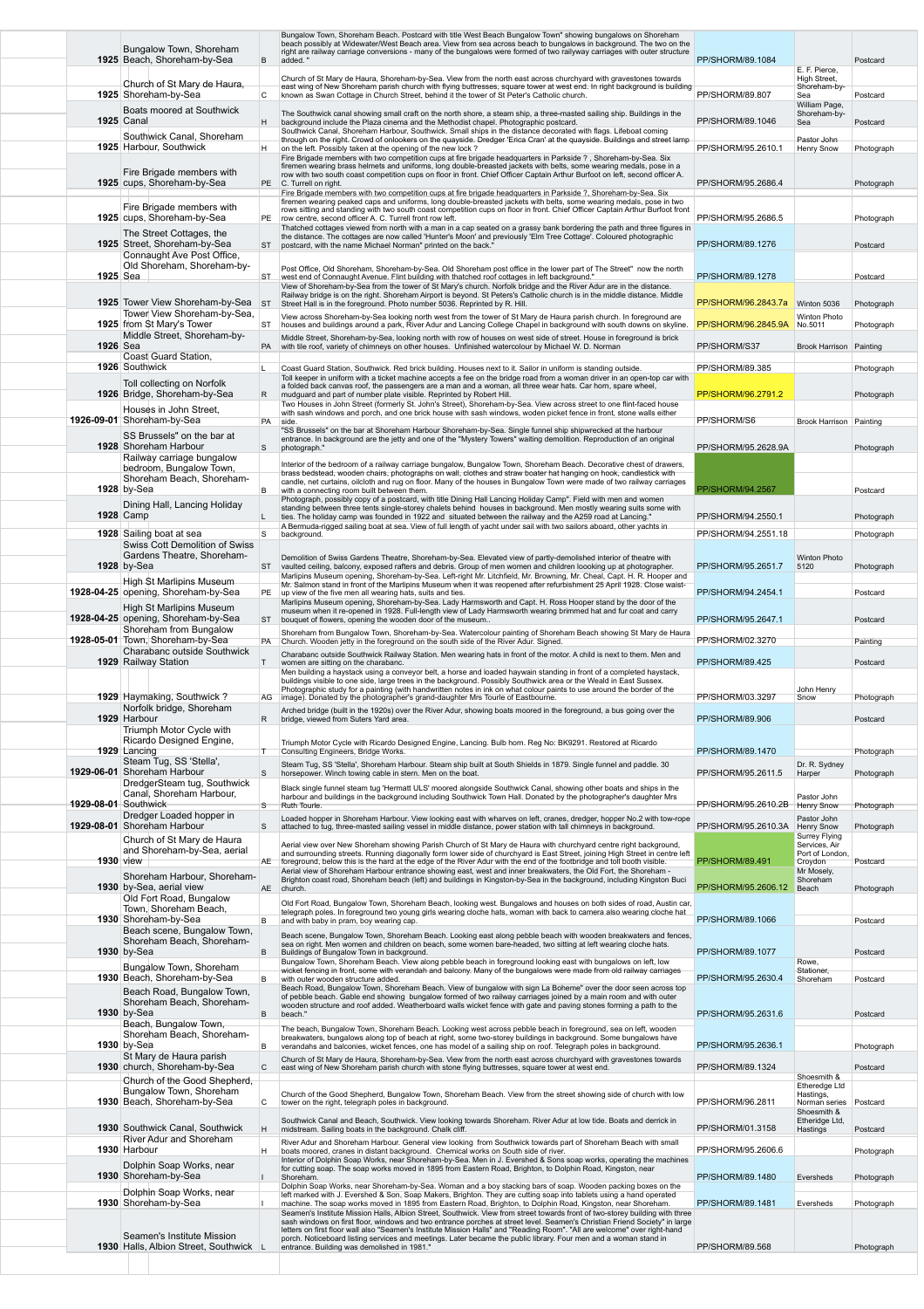|                      | Bungalow Town, Shoreham<br>1925 Beach, Shoreham-by-Sea               | B            | Bungalow Town, Shoreham Beach. Postcard with title West Beach Bungalow Town" showing bungalows on Shoreham<br>beach possibly at Widewater/West Beach area. View from sea across beach to bungalows in background. The two on the<br>right are railway carriage conversions - many of the bungalows were formed of two railyway carriages with outer structure<br>added.                 | PP/SHORM/89.1084                |                                                      | Postcard   |
|----------------------|----------------------------------------------------------------------|--------------|-----------------------------------------------------------------------------------------------------------------------------------------------------------------------------------------------------------------------------------------------------------------------------------------------------------------------------------------------------------------------------------------|---------------------------------|------------------------------------------------------|------------|
|                      |                                                                      |              | Church of St Mary de Haura, Shoreham-by-Sea. View from the north east across churchyard with gravestones towards                                                                                                                                                                                                                                                                        |                                 | E. F. Pierce,<br>High Street,                        |            |
|                      | Church of St Mary de Haura,<br>1925 Shoreham-by-Sea                  | C            | east wing of New Shoreham parish church with flying buttresses, square tower at west end. In right background is building<br>known as Swan Cottage in Church Street, behind it the tower of St Peter's Catholic church.                                                                                                                                                                 | PP/SHORM/89.807                 | Shoreham-by-<br>Sea                                  | Postcard   |
|                      | Boats moored at Southwick                                            |              | The Southwick canal showing small craft on the north shore, a steam ship, a three-masted sailing ship. Buildings in the                                                                                                                                                                                                                                                                 |                                 | William Page,<br>Shoreham-by-                        |            |
|                      | <b>1925</b> Canal                                                    | H.           | background include the Plaza cinema and the Methodist chapel. Photographic postcard.<br>Southwick Canal, Shoreham Harbour, Southwick. Small ships in the distance decorated with flags. Lifeboat coming                                                                                                                                                                                 | PP/SHORM/89.1046                | Sea                                                  | Postcard   |
|                      | Southwick Canal, Shoreham<br>1925 Harbour, Southwick                 | H            | through on the right. Crowd of onlookers on the quayside. Dredger 'Erica Cran' at the quayside. Buildings and street lamp<br>on the left. Possibly taken at the opening of the new lock?                                                                                                                                                                                                | PP/SHORM/95.2610.1              | Pastor John<br><b>Henry Snow</b>                     | Photograph |
|                      |                                                                      |              | Fire Brigade members with two competition cups at fire brigade headquarters in Parkside ?, Shoreham-by-Sea. Six<br>firemen wearing brass helmets and uniforms, long double-breasted jackets with belts, some wearing medals, pose in a                                                                                                                                                  |                                 |                                                      |            |
|                      | Fire Brigade members with<br>1925 cups, Shoreham-by-Sea              | PE           | row with two south coast competition cups on floor in front. Chief Officer Captain Arthur Burfoot on left, second officer A.<br>C. Turrell on right.                                                                                                                                                                                                                                    | PP/SHORM/95.2686.4              |                                                      | Photograph |
|                      |                                                                      |              | Fire Brigade members with two competition cups at fire brigade headquarters in Parkside ?, Shoreham-by-Sea. Six<br>firemen wearing peaked caps and uniforms, long double-breasted jackets with belts, some wearing medals, pose in two                                                                                                                                                  |                                 |                                                      |            |
|                      | Fire Brigade members with<br>1925 cups, Shoreham-by-Sea              | PE           | rows sitting and standing with two south coast competition cups on floor in front. Chief Officer Captain Arthur Burfoot front<br>row centre, second officer A. C. Turrell front row left.                                                                                                                                                                                               | PP/SHORM/95.2686.5              |                                                      | Photograph |
|                      | The Street Cottages, the                                             |              | Thatched cottages viewed from north with a man in a cap seated on a grassy bank bordering the path and three figures in<br>the distance. The cottages are now called 'Hunter's Moon' and previously 'Elm Tree Cottage'. Coloured photographic                                                                                                                                           |                                 |                                                      |            |
|                      | 1925 Street, Shoreham-by-Sea<br>Connaught Ave Post Office,           | <b>ST</b>    | postcard, with the name Michael Norman" printed on the back.'                                                                                                                                                                                                                                                                                                                           | PP/SHORM/89.1276                |                                                      | Postcard   |
| <b>1925</b> Sea      | Old Shoreham, Shoreham-by-                                           | ST.          | Post Office, Old Shoreham, Shoreham-by-Sea. Old Shoreham post office in the lower part of The Street" now the north<br>west end of Connaught Avenue. Flint building with thatched roof cottages in left background."                                                                                                                                                                    | PP/SHORM/89.1278                |                                                      | Postcard   |
|                      |                                                                      |              | View of Shoreham-by-Sea from the tower of St Mary's church. Norfolk bridge and the River Adur are in the distance.<br>Railway bridge is on the right. Shoreham Airport is beyond. St Peters's Catholic church is in the middle distance. Middle                                                                                                                                         |                                 |                                                      |            |
|                      | 1925 Tower View Shoreham-by-Sea<br>Tower View Shoreham-by-Sea,       | <b>ST</b>    | Street Hall is in the foreground. Photo number 5036. Reprinted by R. Hill.                                                                                                                                                                                                                                                                                                              | PP/SHORM/96.2843.7a Winton 5036 |                                                      | Photograph |
|                      | 1925 from St Mary's Tower                                            | <b>ST</b>    | View across Shoreham-by-Sea looking north west from the tower of St Mary de Haura parish church. In foreground are<br>houses and buildings around a park, River Adur and Lancing College Chapel in background with south downs on skyline.                                                                                                                                              | PP/SHORM/96.2845.9A No.5011     | <b>Winton Photo</b>                                  | Photograph |
| <b>1926</b> Sea      | Middle Street, Shoreham-by-                                          | <b>PA</b>    | Middle Street, Shoreham-by-Sea, looking north with row of houses on west side of street. House in foreground is brick<br>with tile roof, variety of chimneys on other houses. Unfinished watercolour by Michael W. D. Norman                                                                                                                                                            | PP/SHORM/S37                    | <b>Brook Harrison Painting</b>                       |            |
|                      | Coast Guard Station,<br>1926 Southwick                               |              | Coast Guard Station, Southwick. Red brick building. Houses next to it. Sailor in uniform is standing outside.                                                                                                                                                                                                                                                                           | PP/SHORM/89.385                 |                                                      | Photograph |
|                      | Toll collecting on Norfolk                                           |              | Toll keeper in uniform with a ticket machine accepts a fee on the bridge road from a woman driver in an open-top car with<br>a folded back canvas roof, the passengers are a man and a woman, all three wear hats. Car horn, spare wheel,                                                                                                                                               |                                 |                                                      |            |
|                      | 1926 Bridge, Shoreham-by-Sea                                         | R            | mudguard and part of number plate visible. Reprinted by Robert Hill.<br>Two Houses in John Street (formerly St. John's Street), Shoreham-by-Sea. View across street to one flint-faced house                                                                                                                                                                                            | PP/SHORM/96.2791.2              |                                                      | Photograph |
|                      | Houses in John Street,<br>1926-09-01 Shoreham-by-Sea                 | PA           | with sash windows and porch, and one brick house with sash windows, woden picket fence in front, stone walls either<br>side.                                                                                                                                                                                                                                                            | PP/SHORM/S6                     | <b>Brook Harrison Painting</b>                       |            |
|                      | SS Brussels" on the bar at                                           |              | "SS Brussels" on the bar at Shoreham Harbour Shoreham-by-Sea. Single funnel ship shipwrecked at the harbour<br>entrance. In background are the jetty and one of the "Mystery Towers" waiting demolition. Reproduction of an original                                                                                                                                                    |                                 |                                                      |            |
|                      | 1928 Shoreham Harbour<br>Railway carriage bungalow                   | <sub>S</sub> | photograph."                                                                                                                                                                                                                                                                                                                                                                            | PP/SHORM/95.2628.9A             |                                                      | Photograph |
|                      | bedroom, Bungalow Town,<br>Shoreham Beach, Shoreham-                 |              | Interior of the bedroom of a railway carriage bungalow, Bungalow Town, Shoreham Beach. Decorative chest of drawers,<br>brass bedstead, wooden chairs, photographs on wall, clothes and straw boater hat hanging on hook, candlestick with<br>candle, net curtains, oilcloth and rug on floor. Many of the houses in Bungalow Town were made of two railway carriages                    |                                 |                                                      |            |
|                      | 1928 by-Sea                                                          | B            | with a connecting room built between them.<br>Photograph, possibly copy of a postcard, with title Dining Hall Lancing Holiday Camp". Field with men and women                                                                                                                                                                                                                           | <b>PP/SHORM/94.2567</b>         |                                                      | Postcard   |
|                      | Dining Hall, Lancing Holiday<br><b>1928</b> Camp                     |              | standing between three tents single-storey chalets behind houses in background. Men mostly wearing suits some with<br>ties. The holiday camp was founded in 1922 and situated between the railway and the A259 road at Lancing."                                                                                                                                                        | PP/SHORM/94.2550.1              |                                                      | Photograph |
|                      | 1928 Sailing boat at sea                                             | l S          | A Bermuda-rigged sailing boat at sea. View of full length of yacht under sail with two sailors aboard, other yachts in<br>background.                                                                                                                                                                                                                                                   | PP/SHORM/94.2551.18             |                                                      | Photograph |
|                      | <b>Swiss Cott Demolition of Swiss</b><br>Gardens Theatre, Shoreham-  |              |                                                                                                                                                                                                                                                                                                                                                                                         |                                 | <b>Winton Photo</b>                                  |            |
|                      | 1928 by-Sea                                                          | ST.          | Demolition of Swiss Gardens Theatre, Shoreham-by-Sea. Elevated view of partly-demolished interior of theatre with<br>vaulted ceiling, balcony, exposed rafters and debris. Group of men women and children loooking up at photographer.<br>Marlipins Museum opening, Shoreham-by-Sea. Left-right Mr. Litchfield, Mr. Browning, Mr. Cheal, Capt. H. R. Hooper and                        | PP/SHORM/95.2651.7              | 5120                                                 | Photograph |
|                      | High St Marlipins Museum<br>1928-04-25 opening, Shoreham-by-Sea      | PE.          | Mr. Salmon stand in front of the Marlipins Museum when it was reopened after refurbishment 25 April 1928. Close waist-<br>up view of the five men all wearing hats, suits and ties.                                                                                                                                                                                                     | PP/SHORM/94.2454.1              |                                                      | Postcard   |
|                      | High St Marlipins Museum                                             |              | Marlipins Museum opening, Shoreham-by-Sea. Lady Harmsworth and Capt. H. Ross Hooper stand by the door of the<br>museum when it re-opened in 1928. Full-length view of Lady Harmsworth wearing brimmed hat and fur coat and carry                                                                                                                                                        |                                 |                                                      |            |
|                      | 1928-04-25 opening, Shoreham-by-Sea<br>Shoreham from Bungalow        | ST           | bouquet of flowers, opening the wooden door of the museum<br>Shoreham from Bungalow Town, Shoreham-by-Sea. Watercolour painting of Shoreham Beach showing St Mary de Haura                                                                                                                                                                                                              | PP/SHORM/95.2647.1              |                                                      | Postcard   |
|                      | 1928-05-01 Town, Shoreham-by-Sea<br>Charabanc outside Southwick      | PA           | Church. Wooden jetty in the foreground on the south side of the River Adur. Signed.                                                                                                                                                                                                                                                                                                     | PP/SHORM/02.3270                |                                                      | Painting   |
|                      | 1929 Railway Station                                                 | T.           | Charabanc outside Southwick Railway Station. Men wearing hats in front of the motor. A child is next to them. Men and<br>women are sitting on the charabanc.                                                                                                                                                                                                                            | PP/SHORM/89.425                 |                                                      | Postcard   |
|                      |                                                                      |              | Men building a haystack using a conveyor belt, a horse and loaded haywain standing in front of a completed haystack,<br>buildings visible to one side, large trees in the background. Possibly Southwick area or the Weald in East Sussex.<br>Photographic study for a painting (with handwritten notes in ink on what colour paints to use around the border of the                    |                                 | John Henry                                           |            |
|                      | 1929 Haymaking, Southwick?<br>Norfolk bridge, Shoreham               | AG           | image). Donated by the photographer's grand-daughter Mrs Tourle of Eastbourne.                                                                                                                                                                                                                                                                                                          | PP/SHORM/03.3297                | Snow                                                 | Photograph |
|                      | 1929 Harbour                                                         | R.           | Arched bridge (built in the 1920s) over the River Adur, showing boats moored in the foreground, a bus going over the<br>bridge, viewed from Suters Yard area.                                                                                                                                                                                                                           | PP/SHORM/89.906                 |                                                      | Postcard   |
|                      | Triumph Motor Cycle with<br>Ricardo Designed Engine,                 |              | Triumph Motor Cycle with Ricardo Designed Engine, Lancing. Bulb horn. Reg No: BK9291. Restored at Ricardo                                                                                                                                                                                                                                                                               |                                 |                                                      |            |
|                      | 1929 Lancing<br>Steam Tug, SS 'Stella',                              |              | Consulting Engineers, Bridge Works.<br>Steam Tug, SS 'Stella', Shoreham Harbour. Steam ship built at South Shields in 1879. Single funnel and paddle. 30                                                                                                                                                                                                                                | PP/SHORM/89.1470                | Dr. R. Sydney                                        | Photograph |
|                      | 1929-06-01 Shoreham Harbour<br>DredgerSteam tug, Southwick           | S            | horsepower. Winch towing cable in stern. Men on the boat.                                                                                                                                                                                                                                                                                                                               | PP/SHORM/95.2611.5              | Harper                                               | Photograph |
| 1929-08-01 Southwick | Canal, Shoreham Harbour,                                             | S            | Black single funnel steam tug 'Hermatt ULS' moored alongside Southwick Canal, showing other boats and ships in the<br>harbour and buildings in the background including Southwick Town Hall. Donated by the photographer's daughter Mrs<br>Ruth Tourle.                                                                                                                                 | PP/SHORM/95.2610.2B Henry Snow  | Pastor John                                          | Photograph |
|                      | Dredger Loaded hopper in                                             |              | Loaded hopper in Shoreham Harbour. View looking east with wharves on left, cranes, dredger, hopper No.2 with tow-rope                                                                                                                                                                                                                                                                   |                                 | Pastor John                                          |            |
|                      | 1929-08-01 Shoreham Harbour<br>Church of St Mary de Haura            | S            | attached to tug, three-masted sailing vessel in middle distance, power station with tall chimneys in background.                                                                                                                                                                                                                                                                        | PP/SHORM/95.2610.3A             | <b>Henry Snow</b><br>Surrey Flying                   | Photograph |
| $1930$ view          | and Shoreham-by-Sea, aerial                                          | AE           | Aerial view over New Shoreham showing Parish Church of St Mary de Haura with churchyard centre right background,<br>and surrounding streets. Running diagonally form lower side of churchyard is East Street, joining High Street in centre left<br>foreground, below this is the hard at the edge of the River Adur with the end of the footbridge and toll booth visible.             | <b>PP/SHORM/89.491</b>          | Services, Air<br>Port of London,<br>Croydon          | Postcard   |
|                      | Shoreham Harbour, Shoreham-                                          |              | Aerial view of Shoreham Harbour entrance showing east, west and inner breakwaters, the Old Fort, the Shoreham -<br>Brighton coast road, Shoreham beach (left) and buildings in Kingston-by-Sea in the background, including Kingston Buci                                                                                                                                               |                                 | Mr Mosely,<br>Shoreham                               |            |
|                      | 1930 by-Sea, aerial view<br>Old Fort Road, Bungalow                  |              | church.                                                                                                                                                                                                                                                                                                                                                                                 | PP/SHORM/95.2606.12 Beach       |                                                      | Photograph |
|                      | Town, Shoreham Beach,<br>1930 Shoreham-by-Sea                        | B            | Old Fort Road, Bungalow Town, Shoreham Beach, looking west. Bungalows and houses on both sides of road, Austin car,<br>telegraph poles. In foreground two young girls wearing cloche hats, woman with back to camera also wearing cloche hat<br>and with baby in pram, boy wearing cap.                                                                                                 | PP/SHORM/89.1066                |                                                      | Postcard   |
|                      | Beach scene, Bungalow Town,                                          |              | Beach scene, Bungalow Town, Shoreham Beach. Looking east along pebble beach with wooden breakwaters and fences,                                                                                                                                                                                                                                                                         |                                 |                                                      |            |
|                      | Shoreham Beach, Shoreham-<br>1930 by-Sea                             | B            | sea on right. Men women and children on beach, some women bare-headed, two sitting at left wearing cloche hats.<br>Buildings of Bungalow Town in background.                                                                                                                                                                                                                            | PP/SHORM/89.1077                |                                                      | Postcard   |
|                      | Bungalow Town, Shoreham<br>1930 Beach, Shoreham-by-Sea               | B            | Bungalow Town, Shoreham Beach. View along pebble beach in foreground looking east with bungalows on left, low<br>wicket fencing in front, some with verandah and balcony. Many of the bungalows were made from old railway carriages<br>with outer wooden structure added.                                                                                                              | PP/SHORM/95.2630.4              | Rowe,<br>Stationer,<br>Shoreham                      | Postcard   |
|                      | Beach Road, Bungalow Town,                                           |              | Beach Road, Bungalow Town, Shoreham Beach. View of bungalow with sign La Boheme" over the door seen across top<br>of pebble beach. Gable end showing bungalow formed of two railway carriages joined by a main room and with outer                                                                                                                                                      |                                 |                                                      |            |
|                      | Shoreham Beach, Shoreham-<br>1930 by-Sea                             | B            | wooden structure and roof added. Weatherboard walls wicket fence with gate and paving stones forming a path to the<br>beach."                                                                                                                                                                                                                                                           | PP/SHORM/95.2631.6              |                                                      | Postcard   |
|                      | Beach, Bungalow Town,<br>Shoreham Beach, Shoreham-                   |              | The beach, Bungalow Town, Shoreham Beach. Looking west across pebble beach in foreground, sea on left, wooden                                                                                                                                                                                                                                                                           |                                 |                                                      |            |
|                      | $1930$ by-Sea<br>St Mary de Haura parish                             | B            | breakwaters, bungalows along top of beach at right, some two-storey buildings in background. Some bungalows have<br>verandahs and balconies, wicket fences, one has model of a sailing ship on roof. Telegraph poles in background.                                                                                                                                                     | PP/SHORM/95.2636.1              |                                                      | Photograph |
|                      | 1930 church, Shoreham-by-Sea                                         | C            | Church of St Mary de Haura, Shoreham-by-Sea. View from the north east across churchyard with gravestones towards<br>east wing of New Shoreham parish church with stone flying buttresses, square tower at west end.                                                                                                                                                                     | PP/SHORM/89.1324                |                                                      | Postcard   |
|                      | Church of the Good Shepherd,<br>Bungalow Town, Shoreham              |              |                                                                                                                                                                                                                                                                                                                                                                                         |                                 | Shoesmith &<br>Etheredge Ltd                         |            |
|                      | 1930 Beach, Shoreham-by-Sea                                          | C            | Church of the Good Shepherd, Bungalow Town, Shoreham Beach. View from the street showing side of church with low<br>tower on the right, telegraph poles in background.                                                                                                                                                                                                                  | PP/SHORM/96.2811                | Hastings,<br>Norman series   Postcard<br>Shoesmith & |            |
|                      | 1930 Southwick Canal, Southwick                                      | H            | Southwick Canal and Beach, Southwick. View looking towards Shoreham. River Adur at low tide. Boats and derrick in<br>midstream. Sailing boats in the background. Chalk cliff.                                                                                                                                                                                                           | PP/SHORM/01.3158                | Etheridge Ltd,<br>Hastings                           | Postcard   |
|                      | River Adur and Shoreham<br>1930 Harbour                              | н            | River Adur and Shoreham Harbour. General view looking from Southwick towards part of Shoreham Beach with small<br>boats moored, cranes in distant background. Chemical works on South side of river.                                                                                                                                                                                    | PP/SHORM/95.2606.6              |                                                      | Photograph |
|                      | Dolphin Soap Works, near                                             |              | Interior of Dolphin Soap Works, near Shoreham-by-Sea. Men in J. Evershed & Sons soap works, operating the machines<br>for cutting soap. The soap works moved in 1895 from Eastern Road, Brighton, to Dolphin Road, Kingston, near                                                                                                                                                       |                                 |                                                      |            |
|                      | 1930 Shoreham-by-Sea                                                 |              | Shoreham.<br>Dolphin Soap Works, near Shoreham-by-Sea. Woman and a boy stacking bars of soap. Wooden packing boxes on the                                                                                                                                                                                                                                                               | PP/SHORM/89.1480                | Eversheds                                            | Photograph |
|                      | Dolphin Soap Works, near<br>1930 Shoreham-by-Sea                     |              | left marked with J. Evershed & Son, Soap Makers, Brighton. They are cutting soap into tablets using a hand operated<br>machine. The soap works moved in 1895 from Eastern Road, Brighton, to Dolphin Road, Kingston, near Shoreham.                                                                                                                                                     | PP/SHORM/89.1481                | Eversheds                                            | Photograph |
|                      |                                                                      |              | Seamen's Institute Mission Halls, Albion Street, Southwick. View from street towards front of two-storey building with three<br>sash windows on first floor, windows and two entrance porches at street level. Seamen's Christian Friend Society" in large<br>letters on first floor wall also "Seamen's Institute Mission Halls" and "Reading Room". "All are welcome" over right-hand |                                 |                                                      |            |
|                      | Seamen's Institute Mission<br>1930 Halls, Albion Street, Southwick L |              | porch. Noticeboard listing services and meetings. Later became the public library. Four men and a woman stand in<br>entrance. Building was demolished in 1981."                                                                                                                                                                                                                         | PP/SHORM/89.568                 |                                                      | Photograph |
|                      |                                                                      |              |                                                                                                                                                                                                                                                                                                                                                                                         |                                 |                                                      |            |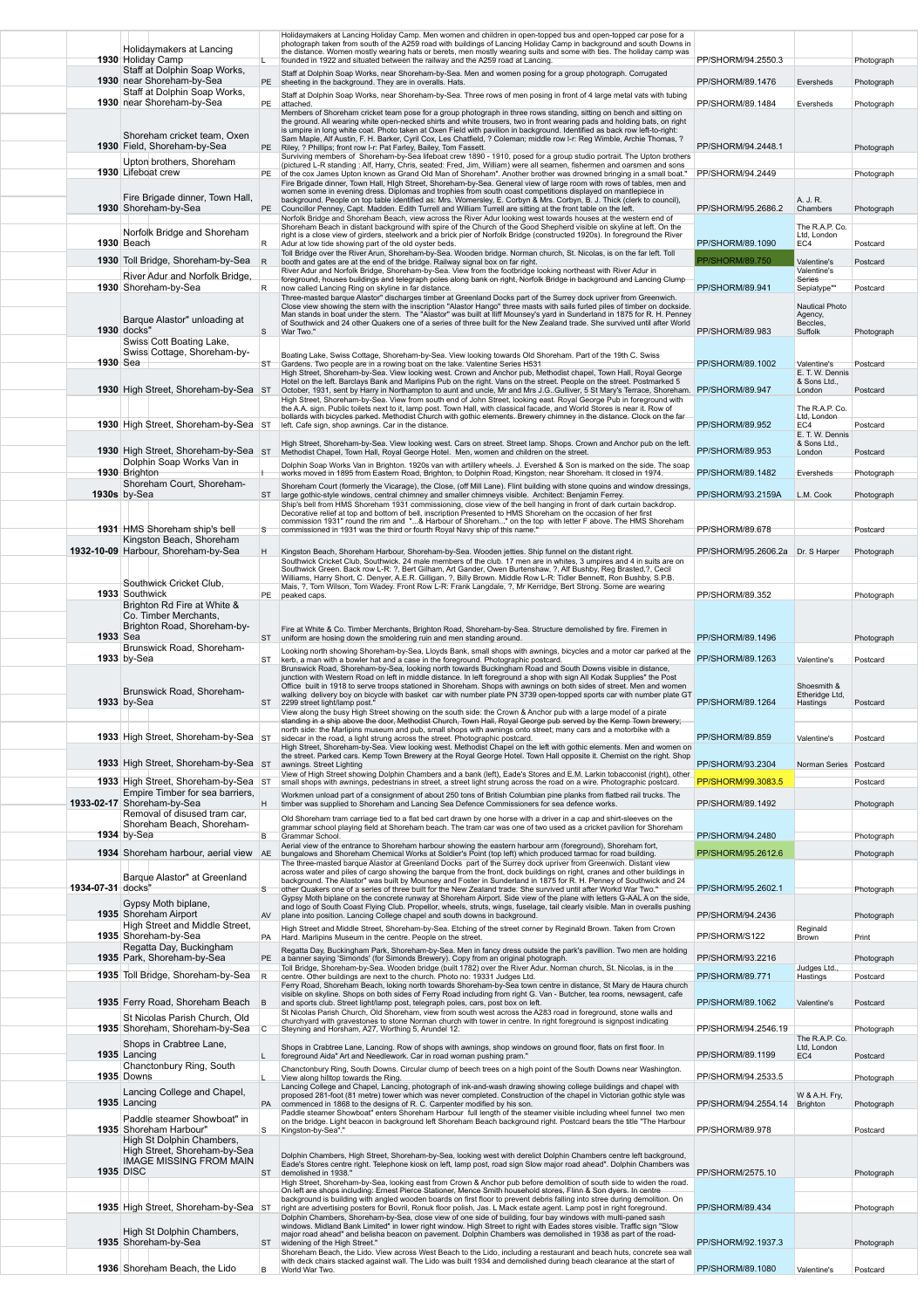|                   |                                                                 |                | Holidaymakers at Lancing Holiday Camp. Men women and children in open-topped bus and open-topped car pose for a                                                                                                                                                    |                                  |                                |            |
|-------------------|-----------------------------------------------------------------|----------------|--------------------------------------------------------------------------------------------------------------------------------------------------------------------------------------------------------------------------------------------------------------------|----------------------------------|--------------------------------|------------|
|                   | Holidaymakers at Lancing                                        |                | photograph taken from south of the A259 road with buildings of Lancing Holiday Camp in background and south Downs in<br>the distance. Women mostly wearing hats or berets, men mostly wearing suits and some with ties. The holiday camp was                       |                                  |                                |            |
|                   | 1930 Holiday Camp<br>Staff at Dolphin Soap Works,               |                | founded in 1922 and situated between the railway and the A259 road at Lancing.                                                                                                                                                                                     | PP/SHORM/94.2550.3               |                                | Photograph |
|                   | 1930 near Shoreham-by-Sea                                       |                | Staff at Dolphin Soap Works, near Shoreham-by-Sea. Men and women posing for a group photograph. Corrugated<br>PE sheeting in the background. They are in overalls. Hats.                                                                                           | PP/SHORM/89.1476                 | Eversheds                      | Photograph |
|                   | Staff at Dolphin Soap Works,<br>1930 near Shoreham-by-Sea       | PE.            | Staff at Dolphin Soap Works, near Shoreham-by-Sea. Three rows of men posing in front of 4 large metal vats with tubing<br>attached.                                                                                                                                | PP/SHORM/89.1484                 | Eversheds                      | Photograph |
|                   |                                                                 |                | Members of Shoreham cricket team pose for a group photograph in three rows standing, sitting on bench and sitting on<br>the ground. All wearing white open-necked shirts and white trousers, two in front wearing pads and holding bats, on right                  |                                  |                                |            |
|                   | Shoreham cricket team, Oxen                                     |                | is umpire in long white coat. Photo taken at Oxen Field with pavilion in background. Identified as back row left-to-right:                                                                                                                                         |                                  |                                |            |
|                   | 1930 Field, Shoreham-by-Sea                                     | PE             | Sam Maple, Alf Austin, F. H. Barker, Cyril Cox, Les Chatfield, ? Coleman; middle row I-r: Reg Wimble, Archie Thomas, ?<br>Riley, ? Phillips; front row I-r: Pat Farley, Bailey, Tom Fassett.                                                                       | PP/SHORM/94.2448.1               |                                | Photograph |
|                   | Upton brothers, Shoreham                                        |                | Surviving members of Shoreham-by-Sea lifeboat crew 1890 - 1910, posed for a group studio portrait. The Upton brothers<br>(pictured L-R standing : Alf, Harry, Chris, seated: Fred, Jim, William) were all seamen, fishermen and oarsmen and sons                   |                                  |                                |            |
|                   | 1930 Lifeboat crew                                              | PE             | of the cox James Upton known as Grand Old Man of Shoreham". Another brother was drowned bringing in a small boat."<br>Fire Brigade dinner, Town Hall, Hlgh Street, Shoreham-by-Sea. General view of large room with rows of tables, men and                        | PP/SHORM/94.2449                 |                                | Photograph |
|                   | Fire Brigade dinner, Town Hall,                                 |                | women some in evening dress. Diplomas and trophies from south coast competitions displayed on mantlepiece in<br>background. People on top table identified as: Mrs. Womersley, E. Corbyn & Mrs. Corbyn, B. J. Thick (clerk to council),                            |                                  | A. J. R.                       |            |
|                   | 1930 Shoreham-by-Sea                                            | PE             | Councillor Penney, Capt. Madden. Edith Turrell and William Turrell are sitting at the front table on the left.                                                                                                                                                     | PP/SHORM/95.2686.2               | Chambers                       | Photograph |
|                   | Norfolk Bridge and Shoreham                                     |                | Norfolk Bridge and Shoreham Beach, view across the River Adur looking west towards houses at the western end of<br>Shoreham Beach in distant background with spire of the Church of the Good Shepherd visible on skyline at left. On the                           |                                  | The R.A.P. Co.                 |            |
|                   | 1930 Beach                                                      |                | right is a close view of girders, steelwork and a brick pier of Norfolk Bridge (constructed 1920s). In foreground the River<br>Adur at low tide showing part of the old oyster beds.                                                                               | PP/SHORM/89.1090                 | Ltd, London<br>EC4             | Postcard   |
|                   | 1930 Toll Bridge, Shoreham-by-Sea                               |                | Toll Bridge over the River Arun, Shoreham-by-Sea. Wooden bridge. Norman church, St. Nicolas, is on the far left. Toll<br>booth and gates are at the end of the bridge. Railway signal box on far right.                                                            | <b>PP/SHORM/89.750</b>           | Valentine's                    | Postcard   |
|                   | River Adur and Norfolk Bridge,                                  |                | River Adur and Norfolk Bridge, Shoreham-by-Sea. View from the footbridge looking northeast with River Adur in<br>foreground, houses buildings and telegraph poles along bank on right, Norfolk Bridge in background and Lancing Clump                              |                                  | Valentine's<br>Series          |            |
|                   | 1930 Shoreham-by-Sea                                            |                | now called Lancing Ring on skyline in far distance.<br>Three-masted barque Alastor" discharges timber at Greenland Docks part of the Surrey dock upriver from Greenwich.                                                                                           | PP/SHORM/89.941                  | Sepiatype""                    | Postcard   |
|                   |                                                                 |                | Close view showing the stern with the inscription "Alastor Hango" three masts with sails furled piles of timber on dockside.                                                                                                                                       |                                  | Nautical Photo                 |            |
|                   | Barque Alastor" unloading at                                    |                | Man stands in boat under the stern. The "Alastor" was built at Iliff Mounsey's yard in Sunderland in 1875 for R. H. Penney<br>of Southwick and 24 other Quakers one of a series of three built for the New Zealand trade. She survived until after World           |                                  | Agency,<br>Beccles,            |            |
|                   | 1930 docks"<br>Swiss Cott Boating Lake,                         | <sub>S</sub>   | War Two."                                                                                                                                                                                                                                                          | PP/SHORM/89.983                  | Suffolk                        | Photograph |
|                   | Swiss Cottage, Shoreham-by-                                     |                | Boating Lake, Swiss Cottage, Shoreham-by-Sea. View looking towards Old Shoreham. Part of the 19th C. Swiss                                                                                                                                                         |                                  |                                |            |
| 1930 Sea          |                                                                 | ST.            | Gardens. Two people are in a rowing boat on the lake. Valentine Series H531<br>High Street, Shoreham-by-Sea. View looking west. Crown and Anchor pub, Methodist chapel, Town Hall, Royal George                                                                    | PP/SHORM/89.1002                 | Valentine's<br>E. T. W. Dennis | Postcard   |
|                   | 1930 High Street, Shoreham-by-Sea ST                            |                | Hotel on the left. Barclays Bank and Marlipins Pub on the right. Vans on the street. People on the street. Postmarked 5<br>October, 1931, sent by Harry in Northampton to aunt and uncle, Mr and Mrs J.G. Gulliver, 5 St Mary's Terrace, Shoreham. PP/SHORM/89.947 |                                  | & Sons Ltd.,<br>London         | Postcard   |
|                   |                                                                 |                | High Street, Shoreham-by-Sea. View from south end of John Street, looking east. Royal George Pub in foreground with<br>the A.A. sign. Public toilets next to it, lamp post. Town Hall, with classical facade, and World Stores is near it. Row of                  |                                  | The R.A.P. Co.                 |            |
|                   | 1930 High Street, Shoreham-by-Sea ST                            |                | bollards with bicycles parked. Methodist Church with gothic elements. Brewery chimney in the distance. Clock on the far                                                                                                                                            | PP/SHORM/89.952                  | Ltd, London                    |            |
|                   |                                                                 |                | left. Cafe sign, shop awnings. Car in the distance.                                                                                                                                                                                                                |                                  | EC4<br>E. T. W. Dennis         | Postcard   |
|                   | 1930 High Street, Shoreham-by-Sea ST                            |                | High Street, Shoreham-by-Sea. View looking west. Cars on street. Street lamp. Shops. Crown and Anchor pub on the left.<br>Methodist Chapel, Town Hall, Royal George Hotel. Men, women and children on the street.                                                  | PP/SHORM/89.953                  | & Sons Ltd.,<br>London         | Postcard   |
|                   | Dolphin Soap Works Van in                                       |                | Dolphin Soap Works Van in Brighton. 1920s van with artillery wheels. J. Evershed & Son is marked on the side. The soap                                                                                                                                             |                                  |                                |            |
|                   | 1930 Brighton<br>Shoreham Court, Shoreham-                      |                | works moved in 1895 from Eastern Road, Brighton, to Dolphin Road, Kingston, near Shoreham. It closed in 1974.<br>Shoreham Court (formerly the Vicarage), the Close, (off Mill Lane). Flint building with stone quoins and window dressings,                        | PP/SHORM/89.1482                 | Eversheds                      | Photograph |
|                   | 1930s by-Sea                                                    | ST             | large gothic-style windows, central chimney and smaller chimneys visible. Architect: Benjamin Ferrey.<br>Ship's bell from HMS Shoreham 1931 commissioning, close view of the bell hanging in front of dark curtain backdrop.                                       | PP/SHORM/93.2159A                | L.M. Cook                      | Photograph |
|                   |                                                                 |                | Decorative relief at top and bottom of bell, inscription Presented to HMS Shoreham on the occasion of her first                                                                                                                                                    |                                  |                                |            |
|                   | 1931 HMS Shoreham ship's bell                                   | S.             | commission 1931" round the rim and "& Harbour of Shoreham" on the top with letter F above. The HMS Shoreham<br>commissioned in 1931 was the third or fourth Royal Navy ship of this name."                                                                         | PP/SHORM/89.678                  |                                | Postcard   |
|                   | Kingston Beach, Shoreham<br>1932-10-09 Harbour, Shoreham-by-Sea |                |                                                                                                                                                                                                                                                                    | PP/SHORM/95.2606.2a Dr. S Harper |                                |            |
|                   |                                                                 |                | Kingston Beach, Shoreham Harbour, Shoreham-by-Sea. Wooden jetties. Ship funnel on the distant right.<br>Southwick Cricket Club, Southwick. 24 male members of the club. 17 men are in whites, 3 umpires and 4 in suits are on                                      |                                  |                                | Photograph |
|                   |                                                                 |                | Southwick Green. Back row L-R: ?, Bert Gilham, Art Gander, Owen Burtenshaw, ?, Alf Bushby, Reg Brasted,?, Cecil<br>Williams, Harry Short, C. Denyer, A.E.R. Gilligan, ?, Billy Brown. Middle Row L-R: Tidler Bennett, Ron Bushby, S.P.B.                           |                                  |                                |            |
|                   | Southwick Cricket Club,<br>1933 Southwick                       | PE             | Mais, ?, Tom Wilson, Tom Wadey. Front Row L-R: Frank Langdale, ?, Mr Kerridge, Bert Strong. Some are wearing<br>peaked caps.                                                                                                                                       | PP/SHORM/89.352                  |                                | Photograph |
|                   | Brighton Rd Fire at White &                                     |                |                                                                                                                                                                                                                                                                    |                                  |                                |            |
|                   | Co. Timber Merchants,<br>Brighton Road, Shoreham-by-            |                | Fire at White & Co. Timber Merchants, Brighton Road, Shoreham-by-Sea. Structure demolished by fire. Firemen in                                                                                                                                                     |                                  |                                |            |
| <b>1933</b> Sea   |                                                                 | <b>ST</b>      | uniform are hosing down the smoldering ruin and men standing around.                                                                                                                                                                                               | PP/SHORM/89.1496                 |                                | Photograph |
|                   |                                                                 |                |                                                                                                                                                                                                                                                                    |                                  |                                |            |
|                   | Brunswick Road, Shoreham-                                       |                | Looking north showing Shoreham-by-Sea, Lloyds Bank, small shops with awnings, bicycles and a motor car parked at the                                                                                                                                               |                                  |                                |            |
|                   | $1933$ by-Sea                                                   | <b>ST</b>      | kerb, a man with a bowler hat and a case in the foreground. Photographic postcard.<br>Brunswick Road, Shoreham-by-Sea, looking north towards Buckingham Road and South Downs visible in distance,                                                                  | PP/SHORM/89.1263                 | Valentine's                    | Postcard   |
|                   |                                                                 |                | junction with Western Road on left in middle distance. In left foreground a shop with sign All Kodak Supplies" the Post<br>Office built in 1918 to serve troops stationed in Shoreham. Shops with awnings on both sides of street. Men and women                   |                                  | Shoesmith &                    |            |
|                   | Brunswick Road, Shoreham-<br>$1933$ by-Sea                      | ST             | walking delivery boy on bicycle with basket car with number plate PN 3739 open-topped sports car with number plate GT<br>2299 street light/lamp post."                                                                                                             | PP/SHORM/89.1264                 | Etheridge Ltd,<br>Hastings     | Postcard   |
|                   |                                                                 |                | View along the busy High Street showing on the south side: the Crown & Anchor pub with a large model of a pirate<br>standing in a ship above the door, Methodist Church, Town Hall, Royal George pub served by the Kemp Town brewery;                              |                                  |                                |            |
|                   |                                                                 |                | north side: the Marlipins museum and pub, small shops with awnings onto street; many cars and a motorbike with a                                                                                                                                                   |                                  | Valentine's                    | Postcard   |
|                   | 1933 High Street, Shoreham-by-Sea ST                            |                | sidecar in the road, a light strung across the street. Photographic postcard.<br>High Street, Shoreham-by-Sea. View looking west. Methodist Chapel on the left with gothic elements. Men and women on                                                              | PP/SHORM/89.859                  |                                |            |
|                   | 1933 High Street, Shoreham-by-Sea ST                            |                | the street. Parked cars. Kemp Town Brewery at the Royal George Hotel. Town Hall opposite it. Chemist on the right. Shop<br>awnings. Street Lighting                                                                                                                | PP/SHORM/93.2304                 | Norman Series Postcard         |            |
|                   | 1933 High Street, Shoreham-by-Sea ST                            |                | View of High Street showing Dolphin Chambers and a bank (left), Eade's Stores and E.M. Larkin tobacconist (right), other<br>small shops with awnings, pedestrians in street, a street light strung across the road on a wire. Photographic postcard.               | PP/SHORM/99.3083.5               |                                | Postcard   |
|                   | Empire Timber for sea barriers,                                 |                | Workmen unload part of a consignment of about 250 tons of British Columbian pine planks from flatbed rail trucks. The                                                                                                                                              |                                  |                                |            |
|                   | 1933-02-17 Shoreham-by-Sea<br>Removal of disused tram car,      | H              | timber was supplied to Shoreham and Lancing Sea Defence Commissioners for sea defence works.<br>Old Shoreham tram carriage tied to a flat bed cart drawn by one horse with a driver in a cap and shirt-sleeves on the                                              | PP/SHORM/89.1492                 |                                | Photograph |
|                   | Shoreham Beach, Shoreham-                                       | B              | grammar school playing field at Shoreham beach. The tram car was one of two used as a cricket pavilion for Shoreham                                                                                                                                                |                                  |                                |            |
|                   | 1934 by-Sea                                                     |                | Grammar School.<br>Aerial view of the entrance to Shoreham harbour showing the eastern harbour arm (foreground), Shoreham fort,                                                                                                                                    | PP/SHORM/94.2480                 |                                | Photograph |
|                   | 1934 Shoreham harbour, aerial view AE                           |                | bungalows and Shoreham Chemical Works at Soldier's Point (top left) which produced tarmac for road building.<br>The three-masted barque Alastor at Greenland Docks part of the Surrey dock upriver from Greenwich. Distant view                                    | PP/SHORM/95.2612.6               |                                | Photograph |
|                   | Barque Alastor" at Greenland                                    |                | across water and piles of cargo showing the barque from the front, dock buildings on right, cranes and other buildings in<br>background. The Alastor" was built by Mounsey and Foster in Sunderland in 1875 for R. H. Penney of Southwick and 24                   |                                  |                                |            |
| 1934-07-31 docks" |                                                                 |                | other Quakers one of a series of three built for the New Zealand trade. She survived until after Workd War Two.<br>Gypsy Moth biplane on the concrete runway at Shoreham Airport. Side view of the plane with letters G-AAL A on the side,                         | PP/SHORM/95.2602.1               |                                | Photograph |
|                   | Gypsy Moth biplane,<br>1935 Shoreham Airport                    | AV.            | and logo of South Coast Flying Club. Propellor, wheels, struts, wings, fuselage, tail clearly visible. Man in overalls pushing<br>plane into position. Lancing College chapel and south downs in background.                                                       | PP/SHORM/94.2436                 |                                | Photograph |
|                   | High Street and Middle Street,                                  |                | High Street and Middle Street, Shoreham-by-Sea. Etching of the street corner by Reginald Brown. Taken from Crown                                                                                                                                                   |                                  | Reginald                       |            |
|                   | 1935 Shoreham-by-Sea<br>Regatta Day, Buckingham                 | <b>PA</b>      | Hard. Marlipins Museum in the centre. People on the street.                                                                                                                                                                                                        | PP/SHORM/S122                    | Brown                          | Print      |
|                   | 1935 Park, Shoreham-by-Sea                                      | PE.            | Regatta Day, Buckingham Park, Shoreham-by-Sea. Men in fancy dress outside the park's pavillion. Two men are holding<br>a banner saying 'Simonds' (for Simonds Brewery). Copy from an original photograph.                                                          | PP/SHORM/93.2216                 |                                | Photograph |
|                   | 1935 Toll Bridge, Shoreham-by-Sea                               |                | Toll Bridge, Shoreham-by-Sea. Wooden bridge (built 1782) over the River Adur. Norman church, St. Nicolas, is in the<br>centre. Other buildings are next to the church. Photo no: 19331 Judges Ltd.                                                                 | PP/SHORM/89.771                  | Judges Ltd.<br>Hastings        | Postcard   |
|                   |                                                                 |                | Ferry Road, Shoreham Beach, loking north towards Shoreham-by-Sea town centre in distance, St Mary de Haura church<br>visible on skyline. Shops on both sides of Ferry Road including from right G. Van - Butcher, tea rooms, newsagent, cafe                       |                                  |                                |            |
|                   | 1935 Ferry Road, Shoreham Beach                                 |                | and sports club. Street light/lamp post, telegraph poles, cars, post box on left.                                                                                                                                                                                  | PP/SHORM/89.1062                 | Valentine's                    | Postcard   |
|                   | St Nicolas Parish Church, Old                                   | $\overline{C}$ | St Nicolas Parish Church, Old Shoreham, view from south west across the A283 road in foreground, stone walls and<br>churchyard with gravestones to stone Norman church with tower in centre. In right foreground is signpost indicating                            |                                  |                                |            |
|                   | 1935 Shoreham, Shoreham-by-Sea                                  |                | Steyning and Horsham, A27, Worthing 5, Arundel 12.                                                                                                                                                                                                                 | PP/SHORM/94.2546.19              | The R.A.P. Co.                 | Photograph |
|                   | Shops in Crabtree Lane,<br>1935 Lancing                         |                | Shops in Crabtree Lane, Lancing. Row of shops with awnings, shop windows on ground floor, flats on first floor. In<br>foreground Aida" Art and Needlework. Car in road woman pushing pram."                                                                        | PP/SHORM/89.1199                 | Ltd, London<br>EC <sub>4</sub> | Postcard   |
|                   | Chanctonbury Ring, South<br>1935 Downs                          |                | Chanctonbury Ring, South Downs. Circular clump of beech trees on a high point of the South Downs near Washington.                                                                                                                                                  |                                  |                                |            |
|                   |                                                                 |                | View along hilltop towards the Ring.<br>Lancing College and Chapel, Lancing, photograph of ink-and-wash drawing showing college buildings and chapel with                                                                                                          | PP/SHORM/94.2533.5               |                                | Photograph |
|                   | Lancing College and Chapel,<br>1935 Lancing                     | <b>PA</b>      | proposed 281-foot (81 metre) tower which was never completed. Construction of the chapel in Victorian gothic style was<br>commenced in 1868 to the designs of R. C. Carpenter modified by his son.                                                                 | PP/SHORM/94.2554.14              | W & A.H. Fry,<br>Brighton      | Photograph |
|                   | Paddle steamer Showboat" in                                     |                | Paddle steamer Showboat" enters Shoreham Harbour full length of the steamer visible including wheel funnel two men<br>on the bridge. Light beacon in background left Shoreham Beach background right. Postcard bears the title "The Harbour                        |                                  |                                |            |
|                   | 1935 Shoreham Harbour"                                          | S              | Kingston-by-Sea"."                                                                                                                                                                                                                                                 | PP/SHORM/89.978                  |                                | Postcard   |
|                   | High St Dolphin Chambers,<br>High Street, Shoreham-by-Sea       |                |                                                                                                                                                                                                                                                                    |                                  |                                |            |
|                   | <b>IMAGE MISSING FROM MAIN</b>                                  |                | Dolphin Chambers, High Street, Shoreham-by-Sea, looking west with derelict Dolphin Chambers centre left background,<br>Eade's Stores centre right. Telephone kiosk on left, lamp post, road sign Slow major road ahead". Dolphin Chambers was                      |                                  |                                |            |
| <b>1935 DISC</b>  |                                                                 | <b>ST</b>      | demolished in 1938."<br>High Street, Shoreham-by-Sea, looking east from Crown & Anchor pub before demolition of south side to widen the road.                                                                                                                      | PP/SHORM/2575.10                 |                                | Photograph |
|                   |                                                                 |                | On left are shops including: Ernest Pierce Stationer, Mence Smith household stores, Flinn & Son dyers. In centre<br>background is building with angled wooden boards on first floor to prevent debris falling into stree during demolition. On                     |                                  |                                |            |
|                   | 1935 High Street, Shoreham-by-Sea ST                            |                | right are advertising posters for Bovril, Ronuk floor polish, Jas. L Mack estate agent. Lamp post in right foreground.<br>Dolphin Chambers, Shoreham-by-Sea, close view of one side of building, four bay windows with multi-paned sash                            | PP/SHORM/89.434                  |                                | Photograph |
|                   | High St Dolphin Chambers,                                       |                | windows. Midland Bank Limited" in lower right window. High Street to right with Eades stores visible. Traffic sign "Slow                                                                                                                                           |                                  |                                |            |
|                   | 1935 Shoreham-by-Sea                                            | <b>ST</b>      | major road ahead" and belisha beacon on pavement. Dolphin Chambers was demolished in 1938 as part of the road-<br>widening of the High Street."                                                                                                                    | PP/SHORM/92.1937.3               |                                | Photograph |
|                   | 1936 Shoreham Beach, the Lido                                   | B              | Shoreham Beach, the Lido. View across West Beach to the Lido, including a restaurant and beach huts, concrete sea wall<br>with deck chairs stacked against wall. The Lido was built 1934 and demolished during beach clearance at the start of<br>World War Two.   | PP/SHORM/89.1080                 | Valentine's                    | Postcard   |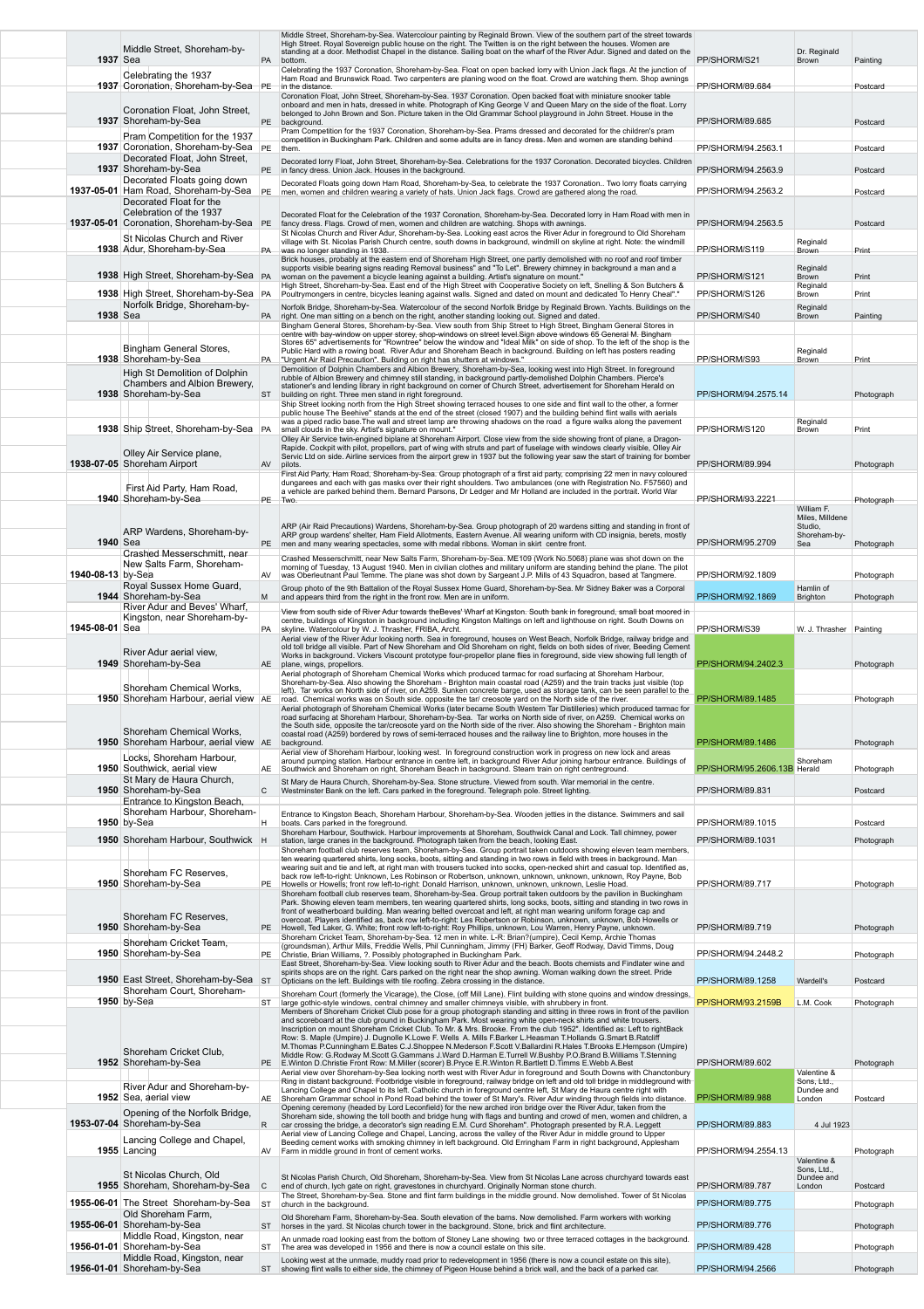|                   | Middle Street, Shoreham-by-                                             |                     | Middle Street, Shoreham-by-Sea. Watercolour painting by Reginald Brown. View of the southern part of the street towards<br>High Street. Royal Sovereign public house on the right. The Twitten is on the right between the houses. Women are<br>standing at a door. Methodist Chapel in the distance. Sailing boat on the wharf of the River Adur. Signed and dated on the                |                                      | Dr. Reginald                             |                        |
|-------------------|-------------------------------------------------------------------------|---------------------|-------------------------------------------------------------------------------------------------------------------------------------------------------------------------------------------------------------------------------------------------------------------------------------------------------------------------------------------------------------------------------------------|--------------------------------------|------------------------------------------|------------------------|
| <b>1937</b> Sea   | Celebrating the 1937                                                    | PA                  | bottom.<br>Celebrating the 1937 Coronation, Shoreham-by-Sea. Float on open backed lorry with Union Jack flags. At the junction of<br>Ham Road and Brunswick Road. Two carpenters are planing wood on the float. Crowd are watching them. Shop awnings                                                                                                                                     | PP/SHORM/S21                         | <b>Brown</b>                             | Painting               |
|                   | 1937 Coronation, Shoreham-by-Sea PE                                     |                     | in the distance.<br>Coronation Float, John Street, Shoreham-by-Sea. 1937 Coronation. Open backed float with miniature snooker table                                                                                                                                                                                                                                                       | PP/SHORM/89.684                      |                                          | Postcard               |
|                   | Coronation Float, John Street,<br>1937 Shoreham-by-Sea                  |                     | onboard and men in hats, dressed in white. Photograph of King George V and Queen Mary on the side of the float. Lorry<br>belonged to John Brown and Son. Picture taken in the Old Grammar School playground in John Street. House in the<br>PE background.                                                                                                                                | PP/SHORM/89.685                      |                                          | Postcard               |
|                   | Pram Competition for the 1937<br>1937 Coronation, Shoreham-by-Sea   PE  |                     | Pram Competition for the 1937 Coronation, Shoreham-by-Sea. Prams dressed and decorated for the children's pram<br>competition in Buckingham Park. Children and some adults are in fancy dress. Men and women are standing behind<br>them.                                                                                                                                                 | PP/SHORM/94.2563.1                   |                                          | Postcard               |
|                   | Decorated Float, John Street,<br>1937 Shoreham-by-Sea                   |                     | Decorated lorry Float, John Street, Shoreham-by-Sea. Celebrations for the 1937 Coronation. Decorated bicycles. Children<br>PE in fancy dress. Union Jack. Houses in the background.                                                                                                                                                                                                       | PP/SHORM/94.2563.9                   |                                          | Postcard               |
|                   | Decorated Floats going down<br>1937-05-01 Ham Road, Shoreham-by-Sea     | <b>PE</b>           | Decorated Floats going down Ham Road, Shoreham-by-Sea, to celebrate the 1937 Coronation Two lorry floats carrying<br>men, women and children wearing a variety of hats. Union Jack flags. Crowd are gathered along the road.                                                                                                                                                              | PP/SHORM/94.2563.2                   |                                          | Postcard               |
|                   | Decorated Float for the<br>Celebration of the 1937                      |                     | Decorated Float for the Celebration of the 1937 Coronation, Shoreham-by-Sea. Decorated lorry in Ham Road with men in                                                                                                                                                                                                                                                                      |                                      |                                          |                        |
|                   | 1937-05-01 Coronation, Shoreham-by-Sea<br>St Nicolas Church and River   | PE                  | fancy dress. Flags. Crowd of men, women and children are watching. Shops with awnings.<br>St Nicolas Church and River Adur, Shoreham-by-Sea. Looking east acros the River Adur in foreground to Old Shoreham<br>village with St. Nicolas Parish Church centre, south downs in background, windmill on skyline at right. Note: the windmill                                                | PP/SHORM/94.2563.5                   | Reginald                                 | Postcard               |
|                   | 1938 Adur, Shoreham-by-Sea                                              | <b>PA</b>           | was no longer standing in 1938.<br>Brick houses, probably at the eastern end of Shoreham High Street, one partly demolished with no roof and roof timber<br>supports visible bearing signs reading Removal business" and "To Let". Brewery chimney in background a man and a                                                                                                              | PP/SHORM/S119                        | <b>Brown</b><br>Reginald                 | Print                  |
|                   | 1938 High Street, Shoreham-by-Sea PA                                    |                     | woman on the pavement a bicycle leaning against a building. Artist's signature on mount."<br>High Street, Shoreham-by-Sea. East end of the High Street with Cooperative Society on left, Snelling & Son Butchers &                                                                                                                                                                        | PP/SHORM/S121                        | Brown<br>Reginald                        | Print                  |
| <b>1938</b> Sea   | 1938 High Street, Shoreham-by-Sea   PA<br>Norfolk Bridge, Shoreham-by-  | <b>PA</b>           | Poultrymongers in centre, bicycles leaning against walls. Signed and dated on mount and dedicated To Henry Cheal"."<br>Norfolk Bridge, Shoreham-by-Sea. Watercolour of the second Norfolk Bridge by Reginald Brown. Yachts. Buildings on the<br>right. One man sitting on a bench on the right, another standing looking out. Signed and dated.                                           | PP/SHORM/S126<br>PP/SHORM/S40        | Brown<br>Reginald<br><b>Brown</b>        | Print                  |
|                   |                                                                         |                     | Bingham General Stores, Shoreham-by-Sea. View south from Ship Street to High Street, Bingham General Stores in<br>centre with bay-window on upper storey, shop-windows on street level. Sign above windows 65 General M. Bingham                                                                                                                                                          |                                      |                                          | Painting               |
|                   | Bingham General Stores,<br>1938 Shoreham-by-Sea                         | PA <sub>-</sub>     | Stores 65" advertisements for "Rowntree" below the window and "Ideal Milk" on side of shop. To the left of the shop is the<br>Public Hard with a rowing boat. River Adur and Shoreham Beach in background. Building on left has posters reading<br>"Urgent Air Raid Precaution". Building on right has shutters at windows."                                                              | PP/SHORM/S93                         | Reginald<br>Brown                        | Print                  |
|                   | High St Demolition of Dolphin<br>Chambers and Albion Brewery,           |                     | Demolition of Dolphin Chambers and Albion Brewery, Shoreham-by-Sea, looking west into High Street. In foreground<br>rubble of Albion Brewery and chimney still standing, in background partly-demolished Dolphin Chambers. Pierce's<br>stationer's and lending library in right background on corner of Church Street, advertisement for Shoreham Herald on                               |                                      |                                          |                        |
|                   | 1938 Shoreham-by-Sea                                                    | <b>ST</b>           | building on right. Three men stand in right foreground.<br>Ship Street looking north from the High Street showing terraced houses to one side and flint wall to the other, a former                                                                                                                                                                                                       | PP/SHORM/94.2575.14                  |                                          | Photograph             |
|                   | 1938 Ship Street, Shoreham-by-Sea   PA                                  |                     | public house The Beehive" stands at the end of the street (closed 1907) and the building behind flint walls with aerials<br>was a piped radio base. The wall and street lamp are throwing shadows on the road a figure walks along the pavement<br>small clouds in the sky. Artist's signature on mount."                                                                                 | PP/SHORM/S120                        | Reginald<br><b>Brown</b>                 | Print                  |
|                   | Olley Air Service plane,                                                |                     | Olley Air Service twin-engined biplane at Shoreham Airport. Close view from the side showing front of plane, a Dragon-<br>Rapide. Cockpit with pilot, propellors, part of wing with struts and part of fuselage with windows clearly visible, Olley Air<br>Servic Ltd on side. Airline services from the airport grew in 1937 but the following year saw the start of training for bomber |                                      |                                          |                        |
|                   | 1938-07-05 Shoreham Airport                                             | AV                  | pilots.<br>First Aid Party, Ham Road, Shoreham-by-Sea. Group photograph of a first aid party, comprising 22 men in navy coloured                                                                                                                                                                                                                                                          | PP/SHORM/89.994                      |                                          | Photograph             |
|                   | First Aid Party, Ham Road,<br>1940 Shoreham-by-Sea                      | PE Two.             | dungarees and each with gas masks over their right shoulders. Two ambulances (one with Registration No. F57560) and<br>a vehicle are parked behind them. Bernard Parsons, Dr Ledger and Mr Holland are included in the portrait. World War                                                                                                                                                | PP/SHORM/93.2221                     |                                          | Photograph             |
|                   |                                                                         |                     | ARP (Air Raid Precautions) Wardens, Shoreham-by-Sea. Group photograph of 20 wardens sitting and standing in front of                                                                                                                                                                                                                                                                      |                                      | William F.<br>Miles, Milldene<br>Studio, |                        |
| 1940 Sea          | ARP Wardens, Shoreham-by-<br>Crashed Messerschmitt, near                |                     | ARP group wardens' shelter, Ham Field Allotments, Eastern Avenue. All wearing uniform with CD insignia, berets, mostly<br>PE men and many wearing spectacles, some with medal ribbons. Woman in skirt centre front.                                                                                                                                                                       | PP/SHORM/95.2709                     | Shoreham-by-<br>Sea                      | Photograph             |
| 1940-08-13 by-Sea | New Salts Farm, Shoreham-                                               | AV                  | Crashed Messerschmitt, near New Salts Farm, Shoreham-by-Sea. ME109 (Work No.5068) plane was shot down on the<br>morning of Tuesday, 13 August 1940. Men in civilian clothes and military uniform are standing behind the plane. The pilot<br>was Oberleutnant Paul Temme. The plane was shot down by Sargeant J.P. Mills of 43 Squadron, based at Tangmere.                               | PP/SHORM/92.1809                     |                                          | Photograph             |
|                   | Royal Sussex Home Guard,<br>1944 Shoreham-by-Sea                        | M                   | Group photo of the 9th Battalion of the Royal Sussex Home Guard, Shoreham-by-Sea. Mr Sidney Baker was a Corporal<br>and appears third from the right in the front row. Men are in uniform.                                                                                                                                                                                                | PP/SHORM/92.1869                     | Hamlin of<br>Brighton                    | Photograph             |
|                   | River Adur and Beves' Wharf,<br>Kingston, near Shoreham-by-             |                     | View from south side of River Adur towards the Beves' Wharf at Kingston. South bank in foreground, small boat moored in<br>centre, buildings of Kingston in background including Kingston Maltings on left and lighthouse on right. South Downs on                                                                                                                                        |                                      |                                          |                        |
| 1945-08-01 Sea    |                                                                         | PA                  | skyline. Watercolour by W. J. Thrasher, FRIBA, Archt.<br>Aerial view of the River Adur looking north. Sea in foreground, houses on West Beach, Norfolk Bridge, railway bridge and<br>old toll bridge all visible. Part of New Shoreham and Old Shoreham on right, fields on both sides of river, Beeding Cement                                                                           | PP/SHORM/S39                         | W. J. Thrasher Painting                  |                        |
|                   | River Adur aerial view,<br>1949 Shoreham-by-Sea                         | AE                  | Works in background. Vickers Viscount prototype four-propellor plane flies in foreground, side view showing full length of<br>plane, wings, propellors.<br>Aerial photograph of Shoreham Chemical Works which produced tarmac for road surfacing at Shoreham Harbour,                                                                                                                     | PP/SHORM/94.2402.3                   |                                          | Photograph             |
|                   | Shoreham Chemical Works,<br>1950 Shoreham Harbour, aerial view AE       |                     | Shoreham-by-Sea. Also showing the Shoreham - Brighton main coastal road (A259) and the train tracks just visible (top<br>left). Tar works on North side of river, on A259. Sunken concrete barge, used as storage tank, can be seen parallel to the                                                                                                                                       | PP/SHORM/89.1485                     |                                          |                        |
|                   |                                                                         |                     | road. Chemical works was on South side. opposite the tar/ creosote yard on the North side of the river.<br>Aerial photograph of Shoreham Chemical Works (later became South Western Tar Distilleries) which produced tarmac for<br>road surfacing at Shoreham Harbour, Shoreham-by-Sea. Tar works on North side of river, on A259. Chemical works on                                      |                                      |                                          | Photograph             |
|                   | Shoreham Chemical Works,<br>1950 Shoreham Harbour, aerial view AE       |                     | the South side, opposite the tar/creosote yard on the North side of the river. Also showing the Shoreham - Brighton main<br>coastal road (A259) bordered by rows of semi-terraced houses and the railway line to Brighton, more houses in the<br>background.                                                                                                                              | PP/SHORM/89.1486                     |                                          | Photograph             |
|                   | Locks, Shoreham Harbour,<br>1950 Southwick, aerial view                 |                     | Aerial view of Shoreham Harbour, looking west. In foreground construction work in progress on new lock and areas<br>around pumping station. Harbour entrance in centre left, in background River Adur joining harbour entrance. Buildings of<br>AE Southwick and Shoreham on right, Shoreham Beach in background. Steam train on right centreground.                                      | PP/SHORM/95.2606.13B Herald          | Shoreham                                 | Photograph             |
|                   | St Mary de Haura Church,<br>1950 Shoreham-by-Sea                        | $\mathsf{C}$        | St Mary de Haura Church, Shoreham-by-Sea. Stone structure. Viewed from south. War memorial in the centre.<br>Westminster Bank on the left. Cars parked in the foreground. Telegraph pole. Street lighting.                                                                                                                                                                                | PP/SHORM/89.831                      |                                          | Postcard               |
|                   | Entrance to Kingston Beach,<br>Shoreham Harbour, Shoreham-              |                     | Entrance to Kingston Beach, Shoreham Harbour, Shoreham-by-Sea. Wooden jetties in the distance. Swimmers and sail                                                                                                                                                                                                                                                                          |                                      |                                          |                        |
|                   | 1950 by-Sea<br>1950 Shoreham Harbour, Southwick H                       | H                   | boats. Cars parked in the foreground.<br>Shoreham Harbour, Southwick. Harbour improvements at Shoreham, Southwick Canal and Lock. Tall chimney, power<br>station, large cranes in the background. Photograph taken from the beach, looking East.                                                                                                                                          | PP/SHORM/89.1015<br>PP/SHORM/89.1031 |                                          | Postcard<br>Photograph |
|                   |                                                                         |                     | Shoreham football club reserves team, Shoreham-by-Sea. Group portrait taken outdoors showing eleven team members,<br>ten wearing quartered shirts, long socks, boots, sitting and standing in two rows in field with trees in background. Man<br>wearing suit and tie and left, at right man with trousers tucked into socks, open-necked shirt and casual top. Identified as,            |                                      |                                          |                        |
|                   | Shoreham FC Reserves,<br>1950 Shoreham-by-Sea                           | <b>PE</b>           | back row left-to-right: Unknown, Les Robinson or Robertson, unknown, unknown, unknown, unknown, Roy Payne, Bob<br>Howells or Howells; front row left-to-right: Donald Harrison, unknown, unknown, unknown, Leslie Hoad.                                                                                                                                                                   | PP/SHORM/89.717                      |                                          | Photograph             |
|                   | Shoreham FC Reserves,                                                   |                     | Shoreham football club reserves team, Shoreham-by-Sea. Group portrait taken outdoors by the pavilion in Buckingham<br>Park. Showing eleven team members, ten wearing quartered shirts, long socks, boots, sitting and standing in two rows in<br>front of weatherboard building. Man wearing belted overcoat and left, at right man wearing uniform forage cap and                        |                                      |                                          |                        |
|                   | 1950 Shoreham-by-Sea                                                    |                     | overcoat. Players identified as, back row left-to-right: Les Robertson or Robinson, unknown, unknown, Bob Howells or<br>PE Howell, Ted Laker, G. White; front row left-to-right: Roy Phillips, unknown, Lou Warren, Henry Payne, unknown.<br>Shoreham Cricket Team, Shoreham-by-Sea. 12 men in white. L-R: Brian?(umpire), Cecil Kemp, Archie Thomas                                      | PP/SHORM/89.719                      |                                          | Photograph             |
|                   | Shoreham Cricket Team,<br>1950 Shoreham-by-Sea                          |                     | (groundsman), Arthur Mills, Freddie Wells, Phil Cunningham, Jimmy (FH) Barker, Geoff Rodway, David Timms, Doug<br>PE Christie, Brian Williams, ?. Possibly photographed in Buckingham Park.<br>East Street, Shoreham-by-Sea. View looking south to River Adur and the beach. Boots chemists and Findlater wine and                                                                        | PP/SHORM/94.2448.2                   |                                          | Photograph             |
|                   | 1950 East Street, Shoreham-by-Sea ST                                    |                     | spirits shops are on the right. Cars parked on the right near the shop awning. Woman walking down the street. Pride<br>Opticians on the left. Buildings with tile roofing. Zebra crossing in the distance.                                                                                                                                                                                | PP/SHORM/89.1258                     | Wardell's                                | Postcard               |
|                   | Shoreham Court, Shoreham-<br>$1950$ by-Sea                              | ST                  | Shoreham Court (formerly the Vicarage), the Close, (off Mill Lane). Flint building with stone quoins and window dressings,<br>large gothic-style windows, central chimney and smaller chimneys visible, with shrubbery in front.<br>Members of Shoreham Cricket Club pose for a group photograph standing and sitting in three rows in front of the pavilion                              | PP/SHORM/93.2159B                    | L.M. Cook                                | Photograph             |
|                   |                                                                         |                     | and scoreboard at the club ground in Buckingham Park. Most wearing white open-neck shirts and white trousers.<br>Inscription on mount Shoreham Cricket Club. To Mr. & Mrs. Brooke. From the club 1952". Identified as: Left to rightBack                                                                                                                                                  |                                      |                                          |                        |
|                   | Shoreham Cricket Club,                                                  |                     | Row: S. Maple (Umpire) J. Dugnolle K.Lowe F. Wells A. Mills F.Barker L.Heasman T.Hollands G.Smart B.Ratcliff<br>M. Thomas P.Cunningham E.Bates C.J.Shoppee N.Mederson F.Scott V.Ballardini R.Hales T.Brooks E.Hempson (Umpire)<br>Middle Row: G.Rodway M.Scott G.Gammans J.Ward D.Harman E.Turrell W.Bushby P.O.Brand B.Williams T.Stenning                                               |                                      |                                          |                        |
|                   | 1952 Shoreham-by-Sea                                                    | PE.                 | E. Winton D. Christie Front Row: M. Miller (scorer) B. Pryce E.R. Winton R. Bartlett D. Timms E. Webb A. Best<br>Aerial view over Shoreham-by-Sea looking north west with River Adur in foreground and South Downs with Chanctonbury<br>Ring in distant background. Footbridge visible in foreground, railway bridge on left and old toll bridge in middleground with                     | PP/SHORM/89.602                      | Valentine &<br>Sons, Ltd.,               | Photograph             |
|                   | River Adur and Shoreham-by-<br>1952 Sea, aerial view                    |                     | Lancing College and Chapel to its left. Catholic church in foreground centre left, St Mary de Haura centre right with<br>AE Shoreham Grammar school in Pond Road behind the tower of St Mary's. River Adur winding through fields into distance.<br>Opening ceremony (headed by Lord Leconfield) for the new arched iron bridge over the River Adur, taken from the                       | <b>PP/SHORM/89.988</b>               | Dundee and<br>London                     | Postcard               |
|                   | Opening of the Norfolk Bridge,<br>1953-07-04 Shoreham-by-Sea            | R                   | Shoreham side, showing the toll booth and bridge hung with flags and bunting and crowd of men, women and children, a<br>car crossing the bridge, a decorator's sign reading E.M. Curd Shoreham". Photograph presented by R.A. Leggett                                                                                                                                                     | PP/SHORM/89.883                      | 4 Jul 1923                               |                        |
|                   | Lancing College and Chapel,<br>1955 Lancing                             | AV                  | Aerial view of Lancing College and Chapel, Lancing, across the valley of the River Adur in middle ground to Upper<br>Beeding cement works with smoking chimney in left background. Old Erringham Farm in right background, Applesham<br>Farm in middle ground in front of cement works.                                                                                                   | PP/SHORM/94.2554.13                  |                                          | Photograph             |
|                   | St Nicolas Church, Old                                                  |                     | St Nicolas Parish Church, Old Shoreham, Shoreham-by-Sea. View from St Nicolas Lane across churchyard towards east                                                                                                                                                                                                                                                                         |                                      | Valentine &<br>Sons, Ltd.,<br>Dundee and |                        |
|                   | 1955 Shoreham, Shoreham-by-Sea<br>1955-06-01 The Street Shoreham-by-Sea | $\mathsf{C}$<br> ST | end of church, lych gate on right, gravestones in churchyard. Originally Norman stone church.<br>The Street, Shoreham-by-Sea. Stone and flint farm buildings in the middle ground. Now demolished. Tower of St Nicolas<br>church in the background.                                                                                                                                       | PP/SHORM/89.787<br>PP/SHORM/89.775   | London                                   | Postcard<br>Photograph |
|                   | Old Shoreham Farm,<br>1955-06-01 Shoreham-by-Sea                        | ST                  | Old Shoreham Farm, Shoreham-by-Sea. South elevation of the barns. Now demolished. Farm workers with working<br>horses in the yard. St Nicolas church tower in the background. Stone, brick and flint architecture.                                                                                                                                                                        | PP/SHORM/89.776                      |                                          | Photograph             |
|                   | Middle Road, Kingston, near<br>1956-01-01 Shoreham-by-Sea               | <b>ST</b>           | An unmade road looking east from the bottom of Stoney Lane showing two or three terraced cottages in the background.<br>The area was developed in 1956 and there is now a council estate on this site.                                                                                                                                                                                    | PP/SHORM/89.428                      |                                          | Photograph             |
|                   | Middle Road, Kingston, near<br>1956-01-01 Shoreham-by-Sea               |                     | Looking west at the unmade, muddy road prior to redevelopment in 1956 (there is now a council estate on this site),<br>ST showing flint walls to either side, the chimney of Pigeon House behind a brick wall, and the back of a parked car.                                                                                                                                              | PP/SHORM/94.2566                     |                                          | Photograph             |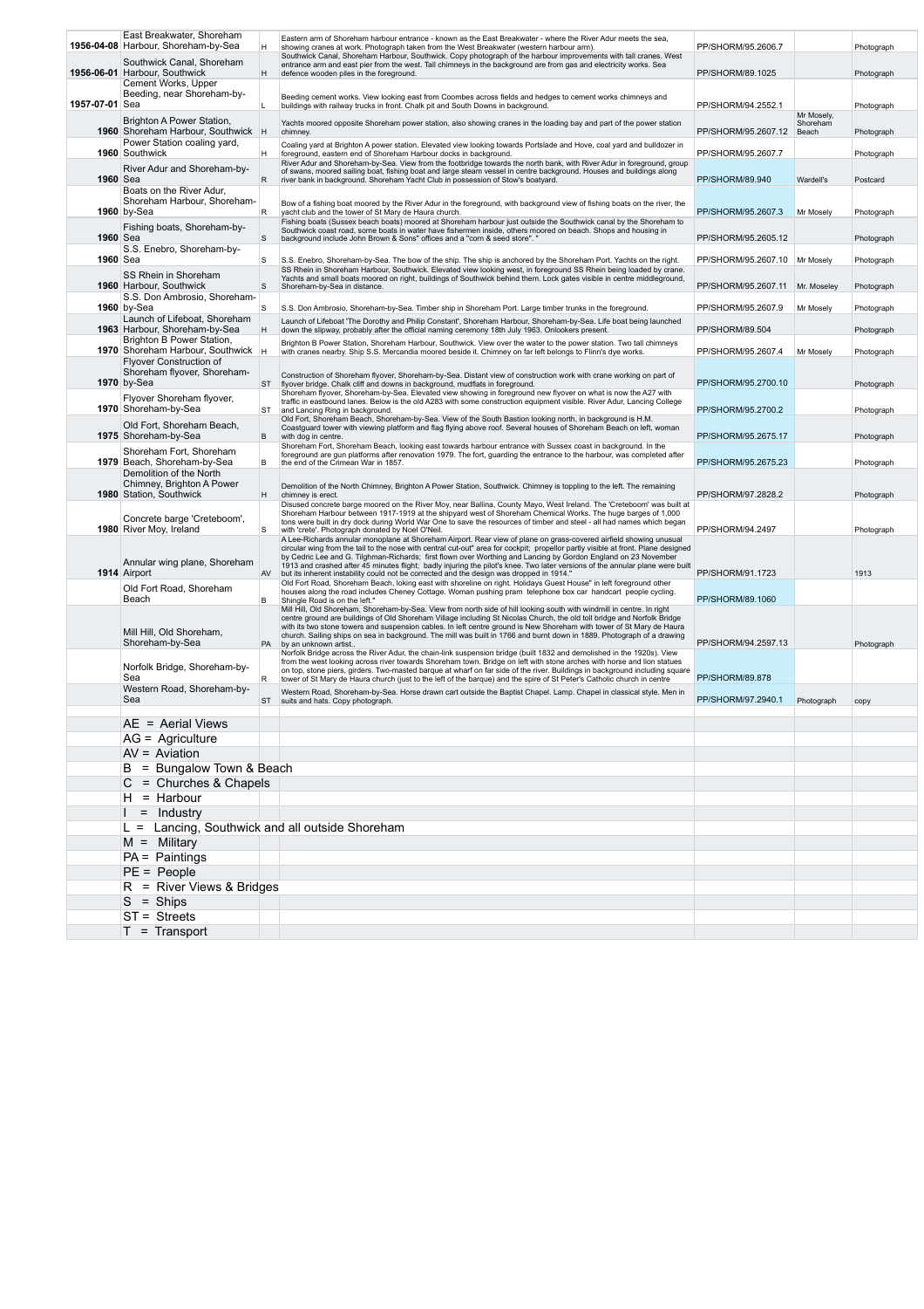|                | East Breakwater, Shoreham                                  |           | Eastern arm of Shoreham harbour entrance - known as the East Breakwater - where the River Adur meets the sea,                                                                                                                                         |                     |                        |            |
|----------------|------------------------------------------------------------|-----------|-------------------------------------------------------------------------------------------------------------------------------------------------------------------------------------------------------------------------------------------------------|---------------------|------------------------|------------|
|                | 1956-04-08 Harbour, Shoreham-by-Sea                        |           | showing cranes at work. Photograph taken from the West Breakwater (western harbour arm).<br>Southwick Canal, Shoreham Harbour, Southwick. Copy photograph of the harbour improvements with tall cranes. West                                          | PP/SHORM/95.2606.7  |                        | Photograph |
|                | Southwick Canal, Shoreham                                  |           | entrance arm and east pier from the west. Tall chimneys in the background are from gas and electricity works. Sea                                                                                                                                     |                     |                        |            |
|                | 1956-06-01 Harbour, Southwick<br>Cement Works, Upper       | H         | defence wooden piles in the foreground.                                                                                                                                                                                                               | PP/SHORM/89.1025    |                        | Photograph |
|                | Beeding, near Shoreham-by-                                 |           | Beeding cement works. View looking east from Coombes across fields and hedges to cement works chimneys and                                                                                                                                            |                     |                        |            |
| 1957-07-01 Sea |                                                            |           | buildings with railway trucks in front. Chalk pit and South Downs in background.                                                                                                                                                                      | PP/SHORM/94.2552.1  |                        | Photograph |
|                | Brighton A Power Station,                                  |           | Yachts moored opposite Shoreham power station, also showing cranes in the loading bay and part of the power station                                                                                                                                   |                     | Mr Mosely,<br>Shoreham |            |
|                | 1960 Shoreham Harbour, Southwick H                         |           | chimney.                                                                                                                                                                                                                                              | PP/SHORM/95.2607.12 | Beach                  | Photograph |
|                | Power Station coaling yard,<br>1960 Southwick              | H         | Coaling yard at Brighton A power station. Elevated view looking towards Portslade and Hove, coal yard and bulldozer in<br>foreground, eastern end of Shoreham Harbour docks in background.                                                            | PP/SHORM/95.2607.7  |                        | Photograph |
|                | River Adur and Shoreham-by-                                |           | River Adur and Shoreham-by-Sea. View from the footbridge towards the north bank, with River Adur in foreground, group                                                                                                                                 |                     |                        |            |
|                | <b>1960</b> Sea                                            | R.        | of swans, moored sailing boat, fishing boat and large steam vessel in centre background. Houses and buildings along<br>river bank in background. Shoreham Yacht Club in possession of Stow's boatyard.                                                | PP/SHORM/89.940     | Wardell's              | Postcard   |
|                | Boats on the River Adur,                                   |           |                                                                                                                                                                                                                                                       |                     |                        |            |
|                | Shoreham Harbour, Shoreham-<br>$1960$ by-Sea               | R         | Bow of a fishing boat moored by the River Adur in the foreground, with background view of fishing boats on the river, the<br>yacht club and the tower of St Mary de Haura church.                                                                     | PP/SHORM/95.2607.3  | Mr Mosely              | Photograph |
|                | Fishing boats, Shoreham-by-                                |           | Fishing boats (Sussex beach boats) moored at Shoreham harbour just outside the Southwick canal by the Shoreham to                                                                                                                                     |                     |                        |            |
|                | 1960 Sea                                                   | S         | Southwick coast road, some boats in water have fishermen inside, others moored on beach. Shops and housing in<br>background include John Brown & Sons" offices and a "corn & seed store". "                                                           | PP/SHORM/95.2605.12 |                        | Photograph |
|                | S.S. Enebro, Shoreham-by-                                  |           |                                                                                                                                                                                                                                                       |                     |                        |            |
|                | 1960 Sea                                                   | S         | S.S. Enebro, Shoreham-by-Sea. The bow of the ship. The ship is anchored by the Shoreham Port. Yachts on the right.<br>SS Rhein in Shoreham Harbour, Southwick. Elevated view looking west, in foreground SS Rhein being loaded by crane.              | PP/SHORM/95.2607.10 | Mr Mosely              | Photograph |
|                | <b>SS Rhein in Shoreham</b>                                |           | Yachts and small boats moored on right, buildings of Southwick behind them. Lock gates visible in centre middleground,                                                                                                                                |                     |                        |            |
|                | 1960 Harbour, Southwick<br>S.S. Don Ambrosio, Shoreham-    | S         | Shoreham-by-Sea in distance.                                                                                                                                                                                                                          | PP/SHORM/95.2607.11 | Mr. Moseley            | Photograph |
|                | 1960 by-Sea                                                | ۱S        | S.S. Don Ambrosio, Shoreham-by-Sea. Timber ship in Shoreham Port. Large timber trunks in the foreground.                                                                                                                                              | PP/SHORM/95.2607.9  | Mr Mosely              | Photograph |
|                | Launch of Lifeboat, Shoreham                               |           | Launch of Lifeboat 'The Dorothy and Philip Constant', Shoreham Harbour, Shoreham-by-Sea. Life boat being launched                                                                                                                                     |                     |                        |            |
|                | 1963 Harbour, Shoreham-by-Sea<br>Brighton B Power Station, | H         | down the slipway, probably after the official naming ceremony 18th July 1963. Onlookers present.                                                                                                                                                      | PP/SHORM/89.504     |                        | Photograph |
|                | 1970 Shoreham Harbour, Southwick   H                       |           | Brighton B Power Station, Shoreham Harbour, Southwick. View over the water to the power station. Two tall chimneys<br>with cranes nearby. Ship S.S. Mercandia moored beside it. Chimney on far left belongs to Flinn's dye works.                     | PP/SHORM/95.2607.4  | Mr Mosely              | Photograph |
|                | <b>Flyover Construction of</b>                             |           |                                                                                                                                                                                                                                                       |                     |                        |            |
|                | Shoreham flyover, Shoreham-<br>1970 by-Sea                 |           | Construction of Shoreham flyover, Shoreham-by-Sea. Distant view of construction work with crane working on part of<br>ST flyover bridge. Chalk cliff and downs in background, mudflats in foreground.                                                 | PP/SHORM/95.2700.10 |                        | Photograph |
|                | Flyover Shoreham flyover,                                  |           | Shoreham flyover, Shoreham-by-Sea. Elevated view showing in foreground new flyover on what is now the A27 with                                                                                                                                        |                     |                        |            |
|                | 1970 Shoreham-by-Sea                                       | <b>ST</b> | traffic in eastbound lanes. Below is the old A283 with some construction equipment visible. River Adur, Lancing College<br>and Lancing Ring in background.                                                                                            | PP/SHORM/95.2700.2  |                        | Photograph |
|                | Old Fort, Shoreham Beach,                                  |           | Old Fort, Shoreham Beach, Shoreham-by-Sea. View of the South Bastion looking north, in background is H.M.<br>Coastguard tower with viewing platform and flag flying above roof. Several houses of Shoreham Beach on left, woman                       |                     |                        |            |
|                | 1975 Shoreham-by-Sea                                       | B         | with dog in centre.                                                                                                                                                                                                                                   | PP/SHORM/95.2675.17 |                        | Photograph |
|                | Shoreham Fort, Shoreham                                    |           | Shoreham Fort, Shoreham Beach, looking east towards harbour entrance with Sussex coast in background. In the<br>foreground are gun platforms after renovation 1979. The fort, guarding the entrance to the harbour, was completed after               |                     |                        |            |
|                | 1979 Beach, Shoreham-by-Sea                                | B         | the end of the Crimean War in 1857.                                                                                                                                                                                                                   | PP/SHORM/95.2675.23 |                        | Photograph |
|                | Demolition of the North<br>Chimney, Brighton A Power       |           |                                                                                                                                                                                                                                                       |                     |                        |            |
|                | 1980 Station, Southwick                                    | H         | Demolition of the North Chimney, Brighton A Power Station, Southwick. Chimney is toppling to the left. The remaining<br>chimney is erect.                                                                                                             | PP/SHORM/97.2828.2  |                        | Photograph |
|                |                                                            |           | Disused concrete barge moored on the River Moy, near Ballina, County Mayo, West Ireland. The 'Creteboom' was built at<br>Shoreham Harbour between 1917-1919 at the shipyard west of Shoreham Chemical Works. The huge barges of 1,000                 |                     |                        |            |
|                | Concrete barge 'Creteboom',                                |           | tons were built in dry dock during World War One to save the resources of timber and steel - all had names which began                                                                                                                                |                     |                        |            |
|                | 1980 River Moy, Ireland                                    |           | with 'crete'. Photograph donated by Noel O'Neil<br>A Lee-Richards annular monoplane at Shoreham Airport. Rear view of plane on grass-covered airfield showing unusual                                                                                 | PP/SHORM/94.2497    |                        | Photograph |
|                |                                                            |           | circular wing from the tail to the nose with central cut-out" area for cockpit; propellor partly visible at front. Plane designed<br>by Cedric Lee and G. Tilghman-Richards; first flown over Worthing and Lancing by Gordon England on 23 November   |                     |                        |            |
|                | Annular wing plane, Shoreham                               |           | 1913 and crashed after 45 minutes flight; badly injuring the pilot's knee. Two later versions of the annular plane were built                                                                                                                         |                     |                        |            |
|                | 1914 Airport                                               |           | AV but its inherent instability could not be corrected and the design was dropped in 1914."<br>Old Fort Road, Shoreham Beach, loking east with shoreline on right. Holidays Guest House" in left foreground other                                     | PP/SHORM/91.1723    |                        | 1913       |
|                | Old Fort Road, Shoreham<br>Beach                           |           | houses along the road includes Cheney Cottage. Woman pushing pram telephone box car handcart people cycling.<br>Shingle Road is on the left."                                                                                                         | PP/SHORM/89.1060    |                        |            |
|                |                                                            |           | Mill Hill, Old Shoreham, Shoreham-by-Sea. View from north side of hill looking south with windmill in centre. In right                                                                                                                                |                     |                        |            |
|                |                                                            |           | centre ground are buildings of Old Shoreham Village including St Nicolas Church, the old toll bridge and Norfolk Bridge<br>with its two stone towers and suspension cables. In left centre ground is New Shoreham with tower of St Mary de Haura      |                     |                        |            |
|                | Mill Hill, Old Shoreham,<br>Shoreham-by-Sea                | PA        | church. Sailing ships on sea in background. The mill was built in 1766 and burnt down in 1889. Photograph of a drawing<br>by an unknown artist                                                                                                        | PP/SHORM/94.2597.13 |                        | Photograph |
|                |                                                            |           | Norfolk Bridge across the River Adur, the chain-link suspension bridge (built 1832 and demolished in the 1920s). View                                                                                                                                 |                     |                        |            |
|                | Norfolk Bridge, Shoreham-by-                               |           | from the west looking across river towards Shoreham town. Bridge on left with stone arches with horse and lion statues<br>on top, stone piers, girders. Two-masted barque at wharf on far side of the river. Buildings in background including square |                     |                        |            |
|                | Sea                                                        | R         | tower of St Mary de Haura church (just to the left of the barque) and the spire of St Peter's Catholic church in centre                                                                                                                               | PP/SHORM/89.878     |                        |            |
|                | Western Road, Shoreham-by-<br>Sea                          |           | Western Road, Shoreham-by-Sea. Horse drawn cart outside the Baptist Chapel. Lamp. Chapel in classical style. Men in<br>ST suits and hats. Copy photograph.                                                                                            | PP/SHORM/97.2940.1  | Photograph             | copy       |
|                |                                                            |           |                                                                                                                                                                                                                                                       |                     |                        |            |
|                | $AE = Aerial Views$                                        |           |                                                                                                                                                                                                                                                       |                     |                        |            |
|                | $AG =$ Agriculture                                         |           |                                                                                                                                                                                                                                                       |                     |                        |            |
|                | $AV =$ Aviation                                            |           |                                                                                                                                                                                                                                                       |                     |                        |            |
|                | = Bungalow Town & Beach<br>B                               |           |                                                                                                                                                                                                                                                       |                     |                        |            |
|                | $=$ Churches & Chapels                                     |           |                                                                                                                                                                                                                                                       |                     |                        |            |
|                | H<br>$=$ Harbour                                           |           |                                                                                                                                                                                                                                                       |                     |                        |            |
|                | Industry<br>$=$                                            |           |                                                                                                                                                                                                                                                       |                     |                        |            |
|                | $=$                                                        |           | Lancing, Southwick and all outside Shoreham                                                                                                                                                                                                           |                     |                        |            |
|                | $M =$<br>Military                                          |           |                                                                                                                                                                                                                                                       |                     |                        |            |
|                | PA = Paintings                                             |           |                                                                                                                                                                                                                                                       |                     |                        |            |
|                | $PE = People$                                              |           |                                                                                                                                                                                                                                                       |                     |                        |            |
|                | = River Views & Bridges                                    |           |                                                                                                                                                                                                                                                       |                     |                        |            |
|                | $S = Ships$                                                |           |                                                                                                                                                                                                                                                       |                     |                        |            |
|                | $ST =$ Streets                                             |           |                                                                                                                                                                                                                                                       |                     |                        |            |
|                | $T =$ Transport                                            |           |                                                                                                                                                                                                                                                       |                     |                        |            |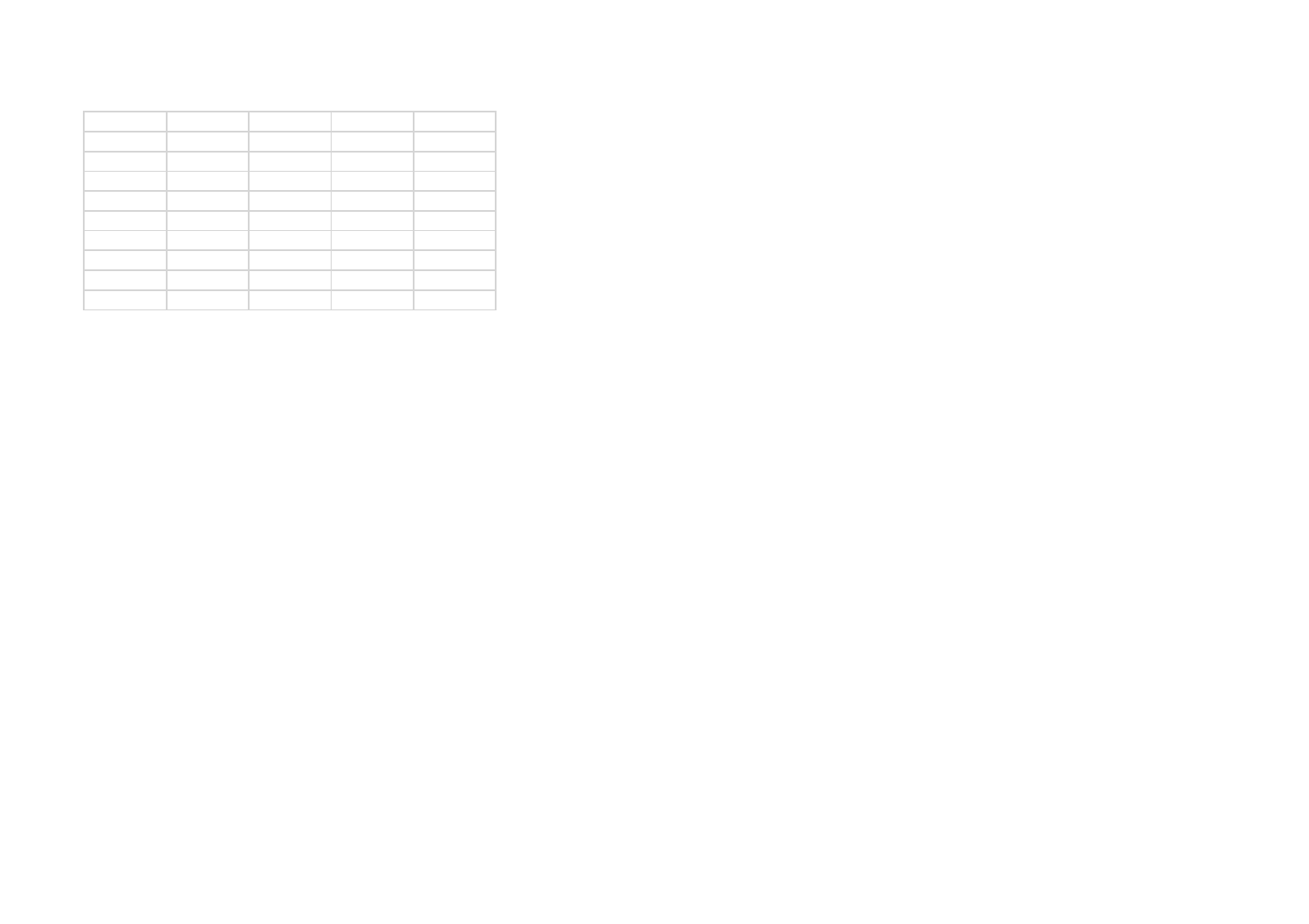| the control of the control of the control of the control of<br>the control of the control of the control of the control of the control of the control of | the control of the control of the control of<br>the control of the control of the control of the control of the control of<br>the control of the control of the<br><b>Contract Contract</b> | the control of the control of the control of<br>the control of the control of the control of the control of the control of |
|----------------------------------------------------------------------------------------------------------------------------------------------------------|---------------------------------------------------------------------------------------------------------------------------------------------------------------------------------------------|----------------------------------------------------------------------------------------------------------------------------|